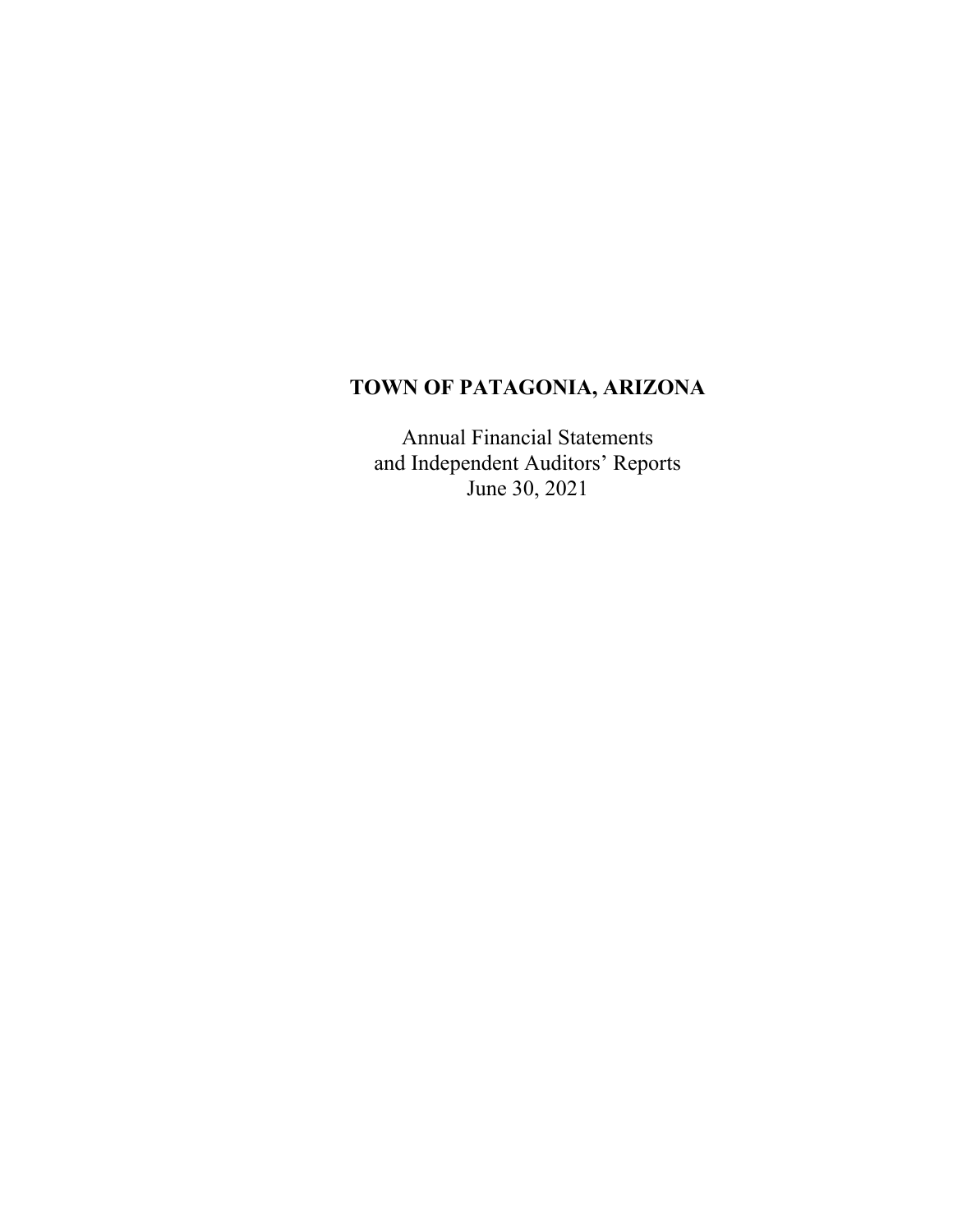# **TOWN OF PATAGONIA, ARIZONA**

Annual Financial Statements and Independent Auditors' Reports June 30, 2021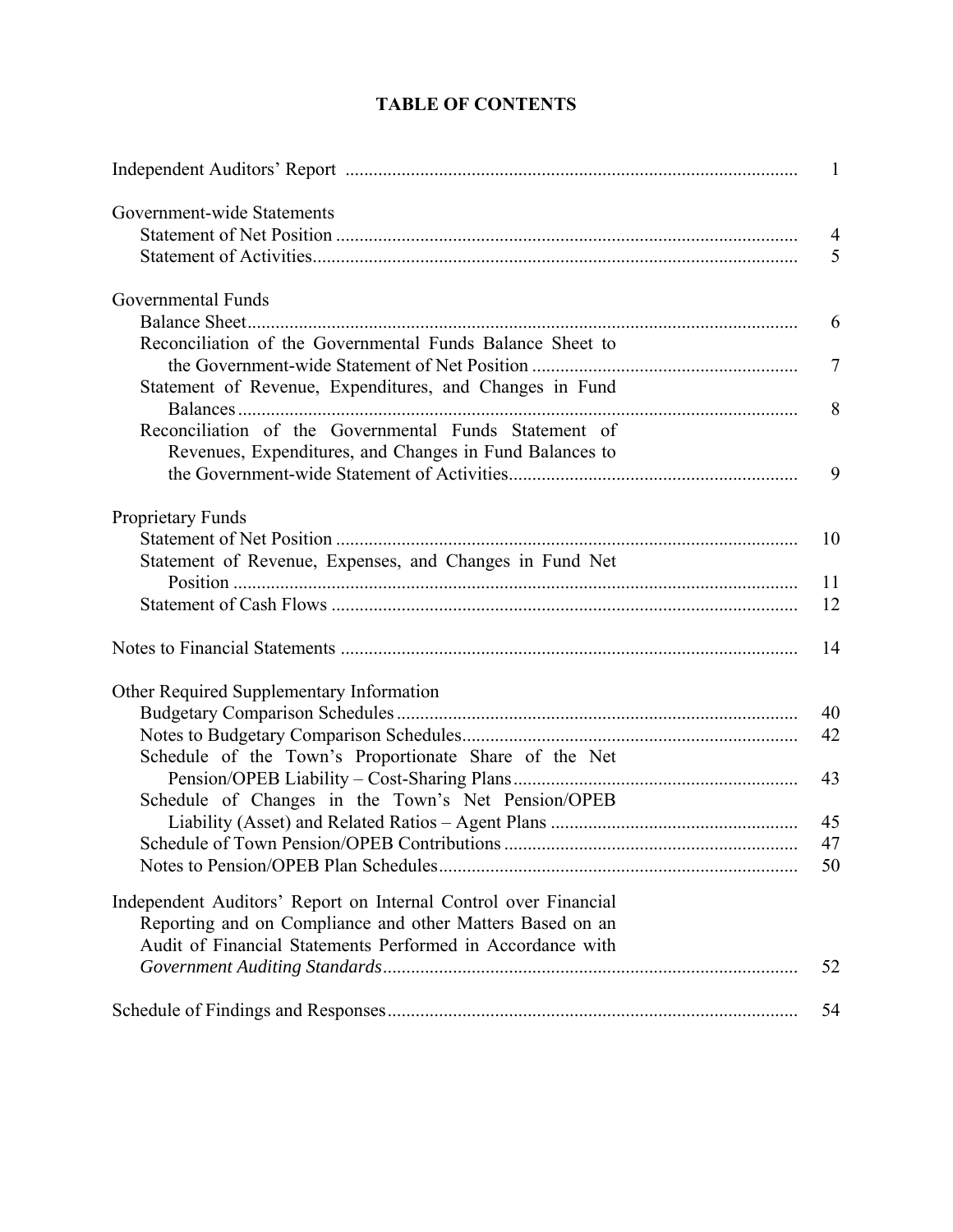### **TABLE OF CONTENTS**

| Government-wide Statements                                      |                |
|-----------------------------------------------------------------|----------------|
|                                                                 | $\overline{4}$ |
|                                                                 | 5              |
| Governmental Funds                                              |                |
|                                                                 | 6              |
| Reconciliation of the Governmental Funds Balance Sheet to       |                |
|                                                                 | $\overline{7}$ |
| Statement of Revenue, Expenditures, and Changes in Fund         | 8              |
| Reconciliation of the Governmental Funds Statement of           |                |
| Revenues, Expenditures, and Changes in Fund Balances to         |                |
|                                                                 | 9              |
|                                                                 |                |
| Proprietary Funds                                               |                |
|                                                                 | 10             |
| Statement of Revenue, Expenses, and Changes in Fund Net         | 11             |
|                                                                 | 12             |
|                                                                 |                |
|                                                                 | 14             |
| Other Required Supplementary Information                        |                |
|                                                                 | 40             |
|                                                                 | 42             |
| Schedule of the Town's Proportionate Share of the Net           |                |
|                                                                 | 43             |
| Schedule of Changes in the Town's Net Pension/OPEB              |                |
|                                                                 | 45             |
|                                                                 | 47             |
|                                                                 | 50             |
| Independent Auditors' Report on Internal Control over Financial |                |
| Reporting and on Compliance and other Matters Based on an       |                |
| Audit of Financial Statements Performed in Accordance with      |                |
|                                                                 | 52             |
|                                                                 | 54             |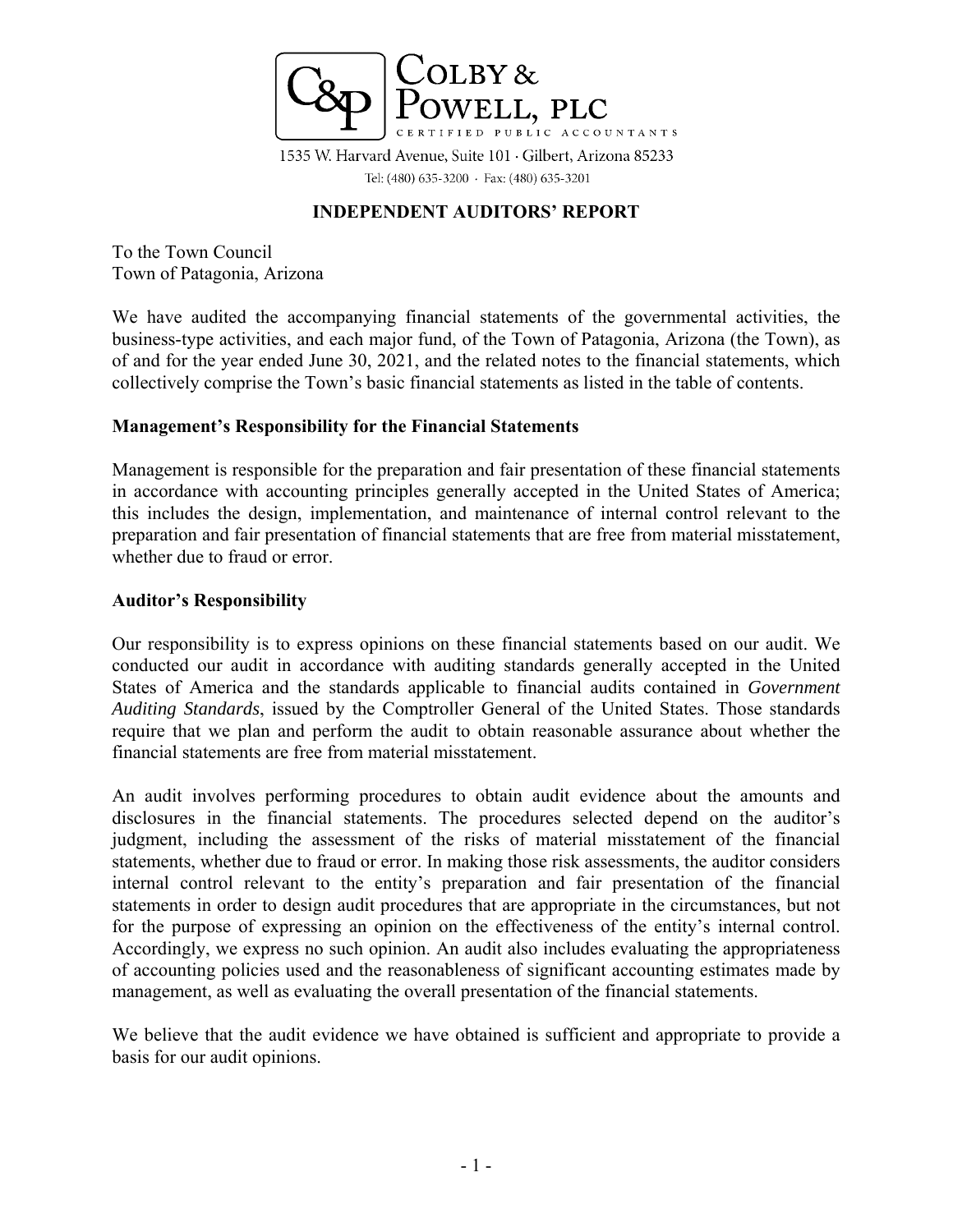

1535 W. Harvard Avenue, Suite 101 · Gilbert, Arizona 85233 Tel: (480) 635-3200 · Fax: (480) 635-3201

### **INDEPENDENT AUDITORS' REPORT**

To the Town Council Town of Patagonia, Arizona

We have audited the accompanying financial statements of the governmental activities, the business-type activities, and each major fund, of the Town of Patagonia, Arizona (the Town), as of and for the year ended June 30, 2021, and the related notes to the financial statements, which collectively comprise the Town's basic financial statements as listed in the table of contents.

### **Management's Responsibility for the Financial Statements**

Management is responsible for the preparation and fair presentation of these financial statements in accordance with accounting principles generally accepted in the United States of America; this includes the design, implementation, and maintenance of internal control relevant to the preparation and fair presentation of financial statements that are free from material misstatement, whether due to fraud or error.

### **Auditor's Responsibility**

Our responsibility is to express opinions on these financial statements based on our audit. We conducted our audit in accordance with auditing standards generally accepted in the United States of America and the standards applicable to financial audits contained in *Government Auditing Standards*, issued by the Comptroller General of the United States. Those standards require that we plan and perform the audit to obtain reasonable assurance about whether the financial statements are free from material misstatement.

An audit involves performing procedures to obtain audit evidence about the amounts and disclosures in the financial statements. The procedures selected depend on the auditor's judgment, including the assessment of the risks of material misstatement of the financial statements, whether due to fraud or error. In making those risk assessments, the auditor considers internal control relevant to the entity's preparation and fair presentation of the financial statements in order to design audit procedures that are appropriate in the circumstances, but not for the purpose of expressing an opinion on the effectiveness of the entity's internal control. Accordingly, we express no such opinion. An audit also includes evaluating the appropriateness of accounting policies used and the reasonableness of significant accounting estimates made by management, as well as evaluating the overall presentation of the financial statements.

We believe that the audit evidence we have obtained is sufficient and appropriate to provide a basis for our audit opinions.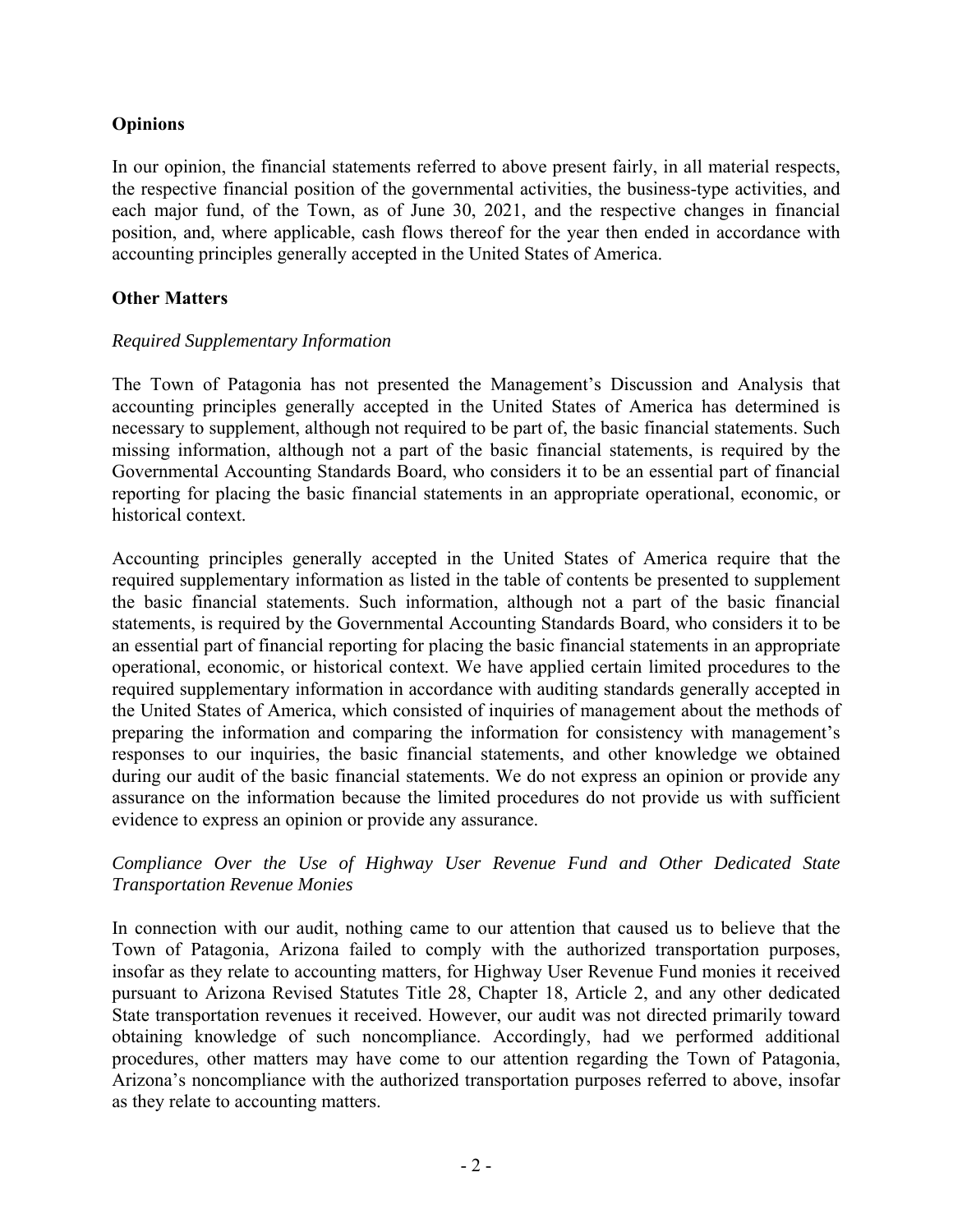### **Opinions**

In our opinion, the financial statements referred to above present fairly, in all material respects, the respective financial position of the governmental activities, the business-type activities, and each major fund, of the Town, as of June 30, 2021, and the respective changes in financial position, and, where applicable, cash flows thereof for the year then ended in accordance with accounting principles generally accepted in the United States of America.

### **Other Matters**

### *Required Supplementary Information*

The Town of Patagonia has not presented the Management's Discussion and Analysis that accounting principles generally accepted in the United States of America has determined is necessary to supplement, although not required to be part of, the basic financial statements. Such missing information, although not a part of the basic financial statements, is required by the Governmental Accounting Standards Board, who considers it to be an essential part of financial reporting for placing the basic financial statements in an appropriate operational, economic, or historical context.

Accounting principles generally accepted in the United States of America require that the required supplementary information as listed in the table of contents be presented to supplement the basic financial statements. Such information, although not a part of the basic financial statements, is required by the Governmental Accounting Standards Board, who considers it to be an essential part of financial reporting for placing the basic financial statements in an appropriate operational, economic, or historical context. We have applied certain limited procedures to the required supplementary information in accordance with auditing standards generally accepted in the United States of America, which consisted of inquiries of management about the methods of preparing the information and comparing the information for consistency with management's responses to our inquiries, the basic financial statements, and other knowledge we obtained during our audit of the basic financial statements. We do not express an opinion or provide any assurance on the information because the limited procedures do not provide us with sufficient evidence to express an opinion or provide any assurance.

### *Compliance Over the Use of Highway User Revenue Fund and Other Dedicated State Transportation Revenue Monies*

In connection with our audit, nothing came to our attention that caused us to believe that the Town of Patagonia, Arizona failed to comply with the authorized transportation purposes, insofar as they relate to accounting matters, for Highway User Revenue Fund monies it received pursuant to Arizona Revised Statutes Title 28, Chapter 18, Article 2, and any other dedicated State transportation revenues it received. However, our audit was not directed primarily toward obtaining knowledge of such noncompliance. Accordingly, had we performed additional procedures, other matters may have come to our attention regarding the Town of Patagonia, Arizona's noncompliance with the authorized transportation purposes referred to above, insofar as they relate to accounting matters.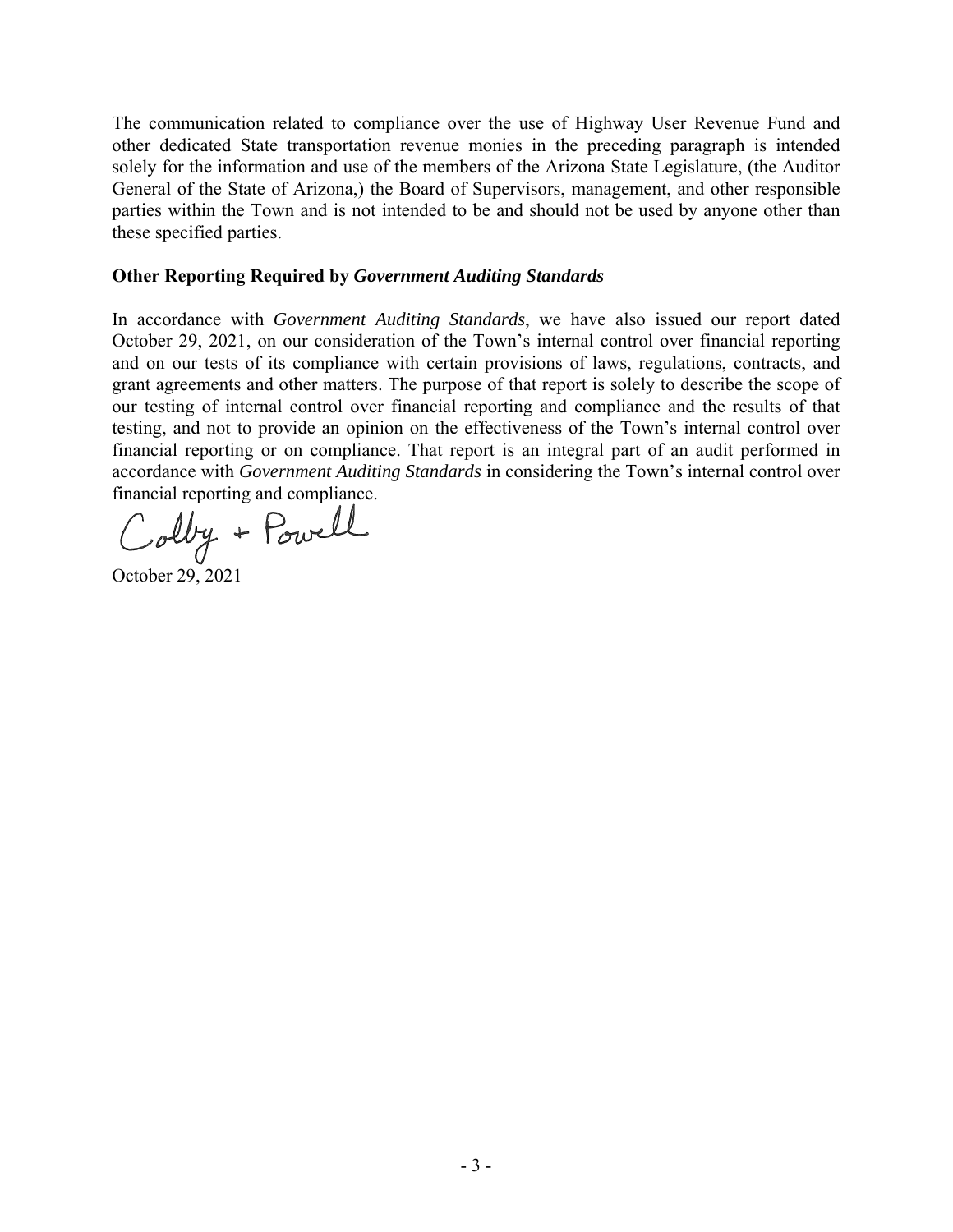The communication related to compliance over the use of Highway User Revenue Fund and other dedicated State transportation revenue monies in the preceding paragraph is intended solely for the information and use of the members of the Arizona State Legislature, (the Auditor General of the State of Arizona,) the Board of Supervisors, management, and other responsible parties within the Town and is not intended to be and should not be used by anyone other than these specified parties.

### **Other Reporting Required by** *Government Auditing Standards*

In accordance with *Government Auditing Standards*, we have also issued our report dated October 29, 2021, on our consideration of the Town's internal control over financial reporting and on our tests of its compliance with certain provisions of laws, regulations, contracts, and grant agreements and other matters. The purpose of that report is solely to describe the scope of our testing of internal control over financial reporting and compliance and the results of that testing, and not to provide an opinion on the effectiveness of the Town's internal control over financial reporting or on compliance. That report is an integral part of an audit performed in accordance with *Government Auditing Standards* in considering the Town's internal control over financial reporting and compliance.

Colby + Powell

October 29, 2021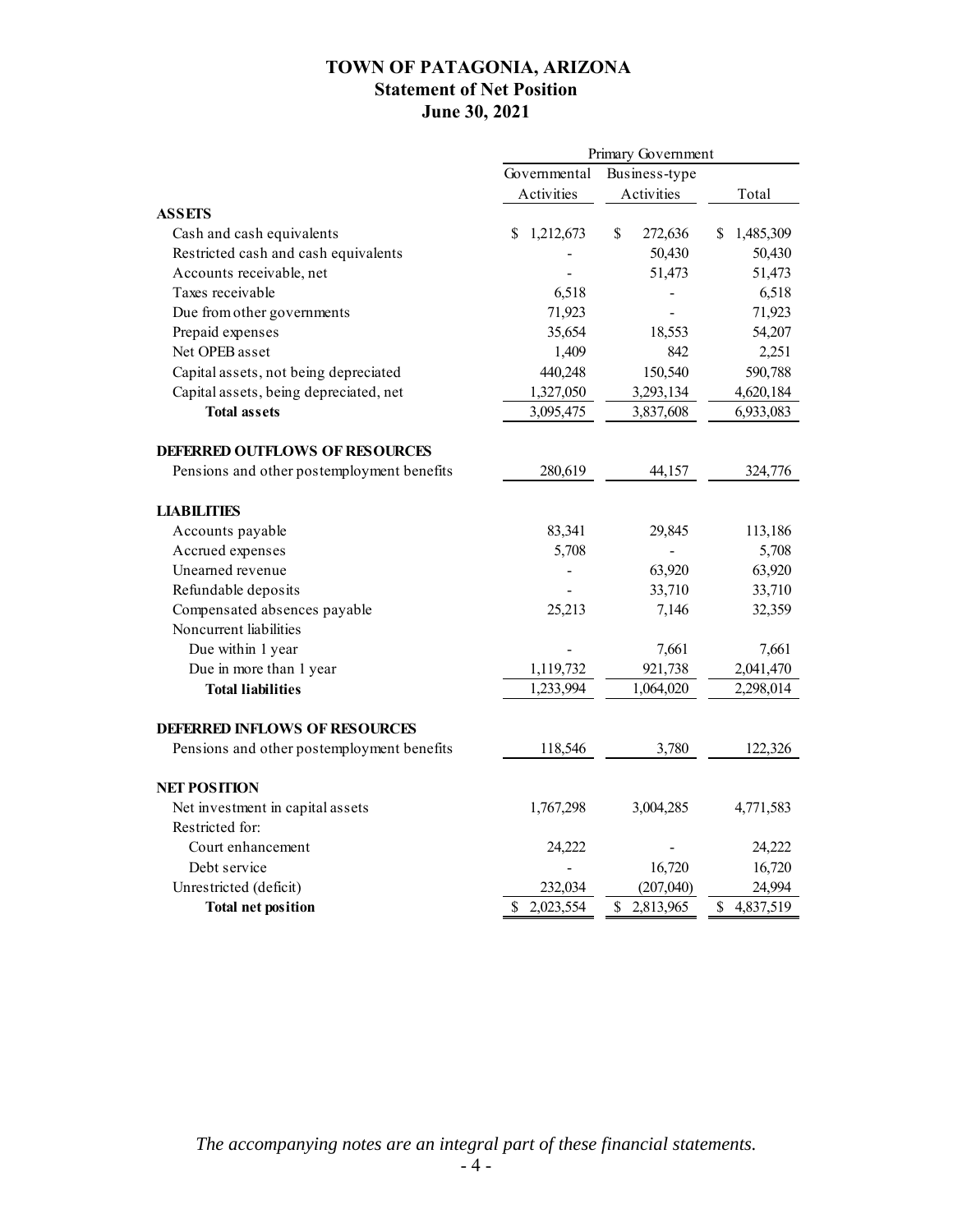### **TOWN OF PATAGONIA, ARIZONA Statement of Net Position June 30, 2021**

|                                            | Primary Government |                 |                 |  |  |
|--------------------------------------------|--------------------|-----------------|-----------------|--|--|
|                                            | Governmental       | Business-type   |                 |  |  |
|                                            | Activities         | Activities      | Total           |  |  |
| <b>ASSETS</b>                              |                    |                 |                 |  |  |
| Cash and cash equivalents                  | \$<br>1,212,673    | \$<br>272,636   | 1,485,309<br>\$ |  |  |
| Restricted cash and cash equivalents       |                    | 50,430          | 50,430          |  |  |
| Accounts receivable, net                   |                    | 51,473          | 51,473          |  |  |
| Taxes receivable                           | 6,518              |                 | 6,518           |  |  |
| Due from other governments                 | 71,923             |                 | 71,923          |  |  |
| Prepaid expenses                           | 35,654             | 18,553          | 54,207          |  |  |
| Net OPEB asset                             | 1,409              | 842             | 2,251           |  |  |
| Capital assets, not being depreciated      | 440,248            | 150,540         | 590,788         |  |  |
| Capital assets, being depreciated, net     | 1,327,050          | 3,293,134       | 4,620,184       |  |  |
| <b>Total assets</b>                        | 3,095,475          | 3,837,608       | 6,933,083       |  |  |
| <b>DEFERRED OUTFLOWS OF RESOURCES</b>      |                    |                 |                 |  |  |
| Pensions and other postemployment benefits | 280,619            | 44,157          | 324,776         |  |  |
| <b>LIABILITIES</b>                         |                    |                 |                 |  |  |
| Accounts payable                           | 83,341             | 29,845          | 113,186         |  |  |
| Accrued expenses                           | 5,708              |                 | 5,708           |  |  |
| Unearned revenue                           |                    | 63,920          | 63,920          |  |  |
| Refundable deposits                        |                    | 33,710          | 33,710          |  |  |
| Compensated absences payable               | 25,213             | 7,146           | 32,359          |  |  |
| Noncurrent liabilities                     |                    |                 |                 |  |  |
| Due within 1 year                          |                    | 7,661           | 7,661           |  |  |
| Due in more than 1 year                    | 1,119,732          | 921,738         | 2,041,470       |  |  |
| <b>Total liabilities</b>                   | 1,233,994          | 1,064,020       | 2,298,014       |  |  |
| <b>DEFERRED INFLOWS OF RESOURCES</b>       |                    |                 |                 |  |  |
| Pensions and other postemployment benefits | 118,546            | 3,780           | 122,326         |  |  |
| <b>NET POSITION</b>                        |                    |                 |                 |  |  |
| Net investment in capital assets           | 1,767,298          | 3,004,285       | 4,771,583       |  |  |
| Restricted for:                            |                    |                 |                 |  |  |
| Court enhancement                          | 24,222             |                 | 24,222          |  |  |
| Debt service                               |                    | 16,720          | 16,720          |  |  |
| Unrestricted (deficit)                     | 232,034            | (207, 040)      | 24,994          |  |  |
| <b>Total net position</b>                  | 2,023,554<br>\$    | \$<br>2,813,965 | 4,837,519<br>\$ |  |  |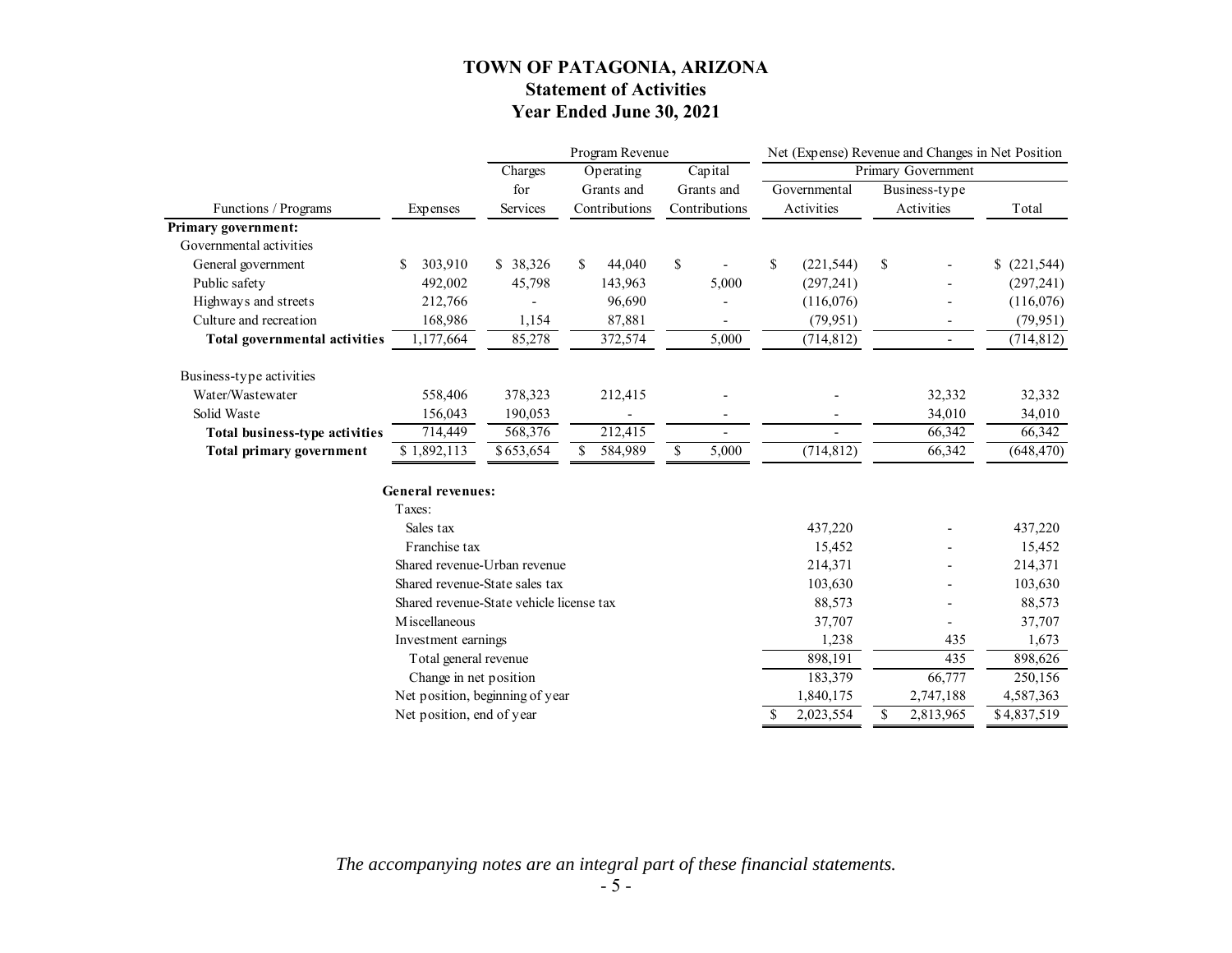### **TOWN OF PATAGONIA, ARIZONA Statement of Activities Year Ended June 30, 2021**

|                                      |                                          | Program Revenue |    |               | Net (Expense) Revenue and Changes in Net Position |                  |                          |             |
|--------------------------------------|------------------------------------------|-----------------|----|---------------|---------------------------------------------------|------------------|--------------------------|-------------|
|                                      |                                          | Charges         |    | Operating     | Capital                                           |                  | Primary Government       |             |
|                                      |                                          | for             |    | Grants and    | Grants and                                        | Governmental     | Business-type            |             |
| Functions / Programs                 | Expenses                                 | Services        |    | Contributions | Contributions                                     | Activities       | Activities               | Total       |
| Primary government:                  |                                          |                 |    |               |                                                   |                  |                          |             |
| Governmental activities              |                                          |                 |    |               |                                                   |                  |                          |             |
| General government                   | 303,910<br>S.                            | \$ 38,326       | S. | 44,040        | \$                                                | \$<br>(221, 544) | \$                       | (221, 544)  |
| Public safety                        | 492,002                                  | 45,798          |    | 143,963       | 5,000                                             | (297, 241)       |                          | (297, 241)  |
| Highways and streets                 | 212,766                                  |                 |    | 96,690        |                                                   | (116,076)        |                          | (116,076)   |
| Culture and recreation               | 168,986                                  | 1,154           |    | 87,881        |                                                   | (79, 951)        | $\overline{\phantom{0}}$ | (79, 951)   |
| <b>Total governmental activities</b> | 1,177,664                                | 85,278          |    | 372,574       | 5,000                                             | (714, 812)       | $\overline{\phantom{0}}$ | (714, 812)  |
| Business-type activities             |                                          |                 |    |               |                                                   |                  |                          |             |
| Water/Wastewater                     | 558,406                                  | 378,323         |    | 212,415       |                                                   |                  | 32,332                   | 32,332      |
| Solid Waste                          | 156,043                                  | 190,053         |    |               |                                                   |                  | 34,010                   | 34,010      |
| Total business-type activities       | 714,449                                  | 568,376         |    | 212,415       |                                                   |                  | 66,342                   | 66,342      |
| Total primary government             | \$1,892,113                              | \$653,654       | \$ | 584,989       | \$<br>5,000                                       | (714, 812)       | 66,342                   | (648, 470)  |
|                                      | <b>General revenues:</b>                 |                 |    |               |                                                   |                  |                          |             |
|                                      | Taxes:                                   |                 |    |               |                                                   |                  |                          |             |
|                                      | Sales tax                                |                 |    |               |                                                   | 437,220          |                          | 437,220     |
|                                      | Franchise tax                            |                 |    |               |                                                   | 15,452           |                          | 15,452      |
|                                      | Shared revenue-Urban revenue             |                 |    |               |                                                   | 214,371          |                          | 214,371     |
|                                      | Shared revenue-State sales tax           |                 |    |               |                                                   | 103,630          |                          | 103,630     |
|                                      | Shared revenue-State vehicle license tax |                 |    |               |                                                   | 88,573           |                          | 88,573      |
|                                      | M iscellaneous                           |                 |    |               |                                                   | 37,707           |                          | 37,707      |
| Investment earnings                  |                                          |                 |    | 1,238         | 435                                               | 1,673            |                          |             |
|                                      | Total general revenue                    |                 |    |               |                                                   | 898,191          | 435                      | 898,626     |
|                                      | Change in net position                   |                 |    |               |                                                   | 183,379          | 66,777                   | 250,156     |
|                                      | Net position, beginning of year          |                 |    |               |                                                   | 1,840,175        | 2,747,188                | 4,587,363   |
|                                      | Net position, end of year                |                 |    |               |                                                   | \$<br>2,023,554  | \$<br>2,813,965          | \$4,837,519 |

*The accompanying notes are an integral part of these financial statements.*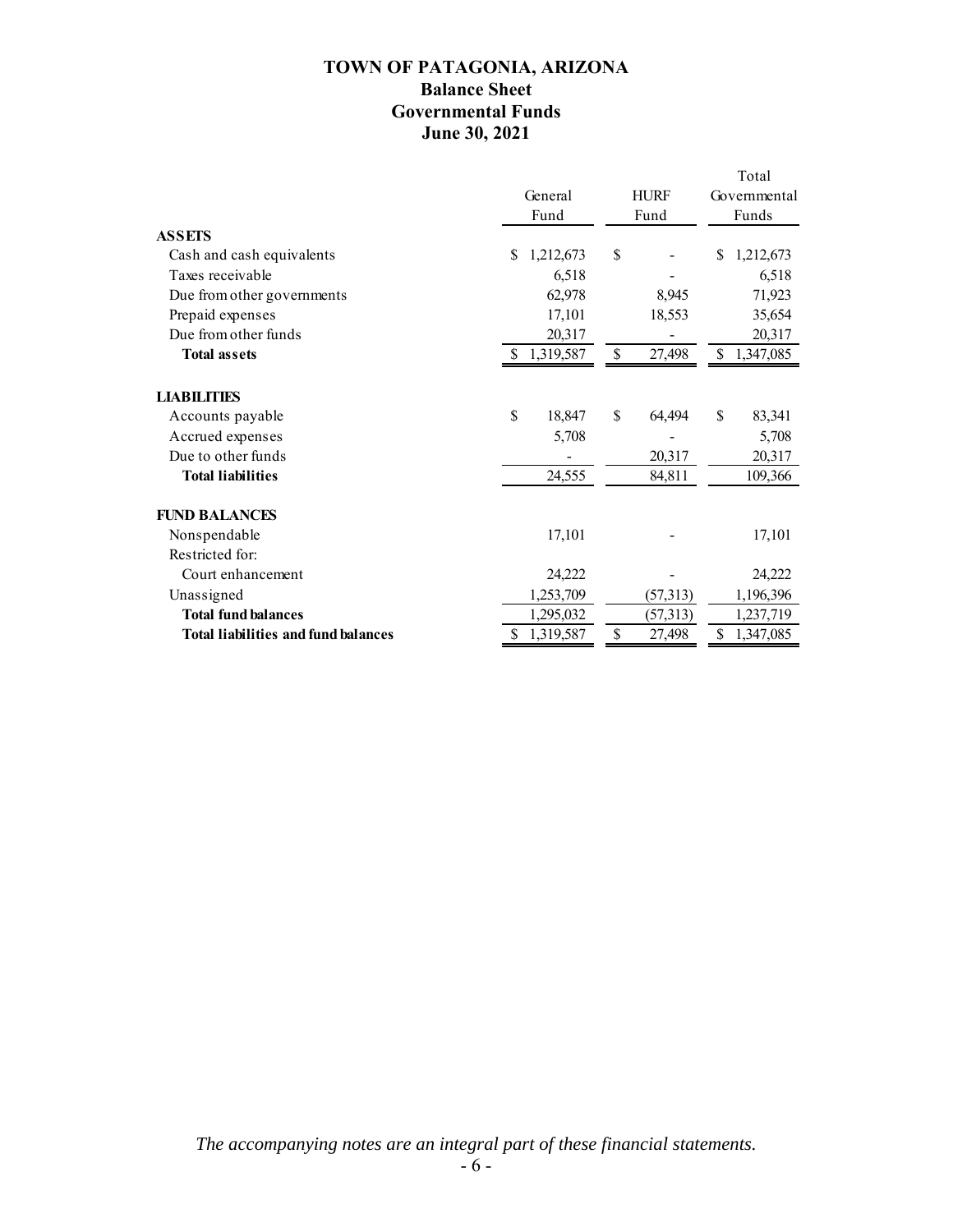### **TOWN OF PATAGONIA, ARIZONA Balance Sheet Governmental Funds June 30, 2021**

|                                            |                 |              |             |    | Total        |
|--------------------------------------------|-----------------|--------------|-------------|----|--------------|
|                                            | General         |              | <b>HURF</b> |    | Governmental |
|                                            | Fund            |              | Fund        |    | Funds        |
| <b>ASSETS</b>                              |                 |              |             |    |              |
| Cash and cash equivalents                  | 1,212,673<br>S  | \$           |             | \$ | 1,212,673    |
| Taxes receivable                           |                 | 6,518        |             |    | 6,518        |
| Due from other governments                 |                 | 62,978       | 8,945       |    | 71,923       |
| Prepaid expenses                           |                 | 17,101       | 18,553      |    | 35,654       |
| Due from other funds                       |                 | 20,317       |             |    | 20,317       |
| <b>Total assets</b>                        | 1,319,587       | \$           | 27,498      | \$ | 1,347,085    |
| <b>LIABILITIES</b>                         |                 |              |             |    |              |
| Accounts payable                           | \$              | \$<br>18,847 | 64,494      | \$ | 83,341       |
| Accrued expenses                           |                 | 5,708        |             |    | 5,708        |
| Due to other funds                         |                 |              | 20,317      |    | 20,317       |
| <b>Total liabilities</b>                   |                 | 24,555       | 84,811      |    | 109,366      |
| <b>FUND BALANCES</b>                       |                 |              |             |    |              |
| Nonspendable                               |                 | 17,101       |             |    | 17,101       |
| Restricted for:                            |                 |              |             |    |              |
| Court enhancement                          |                 | 24,222       |             |    | 24,222       |
| Unassigned                                 |                 | 1,253,709    | (57,313)    |    | 1,196,396    |
| <b>Total fund balances</b>                 |                 | 1,295,032    | (57,313)    |    | 1,237,719    |
| <b>Total liabilities and fund balances</b> | \$<br>1,319,587 | \$           | 27,498      | \$ | 1,347,085    |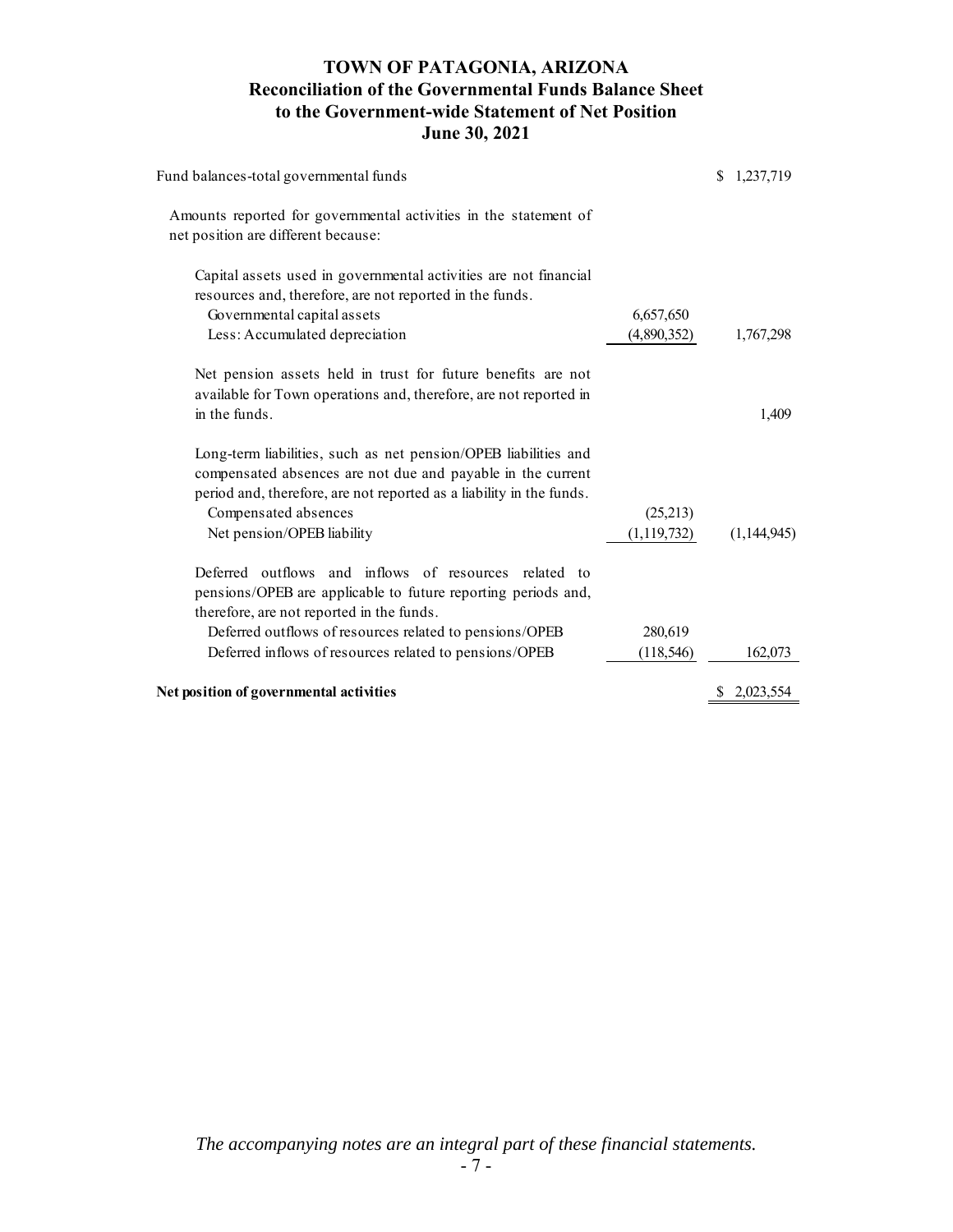### **TOWN OF PATAGONIA, ARIZONA Reconciliation of the Governmental Funds Balance Sheet to the Government-wide Statement of Net Position June 30, 2021**

| Fund balances-total governmental funds                                                                                                                                                                                                                       |                           | \$<br>1,237,719 |
|--------------------------------------------------------------------------------------------------------------------------------------------------------------------------------------------------------------------------------------------------------------|---------------------------|-----------------|
| Amounts reported for governmental activities in the statement of<br>net position are different because:                                                                                                                                                      |                           |                 |
| Capital assets used in governmental activities are not financial<br>resources and, therefore, are not reported in the funds.<br>Governmental capital assets<br>Less: Accumulated depreciation                                                                | 6,657,650<br>(4,890,352)  | 1,767,298       |
| Net pension assets held in trust for future benefits are not<br>available for Town operations and, therefore, are not reported in<br>in the funds.                                                                                                           |                           | 1,409           |
| Long-term liabilities, such as net pension/OPEB liabilities and<br>compensated absences are not due and payable in the current<br>period and, therefore, are not reported as a liability in the funds.<br>Compensated absences<br>Net pension/OPEB liability | (25,213)<br>(1, 119, 732) | (1,144,945)     |
| Deferred outflows and inflows of resources related to<br>pensions/OPEB are applicable to future reporting periods and,<br>therefore, are not reported in the funds.                                                                                          |                           |                 |
| Deferred outflows of resources related to pensions/OPEB<br>Deferred inflows of resources related to pensions/OPEB                                                                                                                                            | 280,619<br>(118, 546)     | 162,073         |
| Net position of governmental activities                                                                                                                                                                                                                      |                           | \$2,023,554     |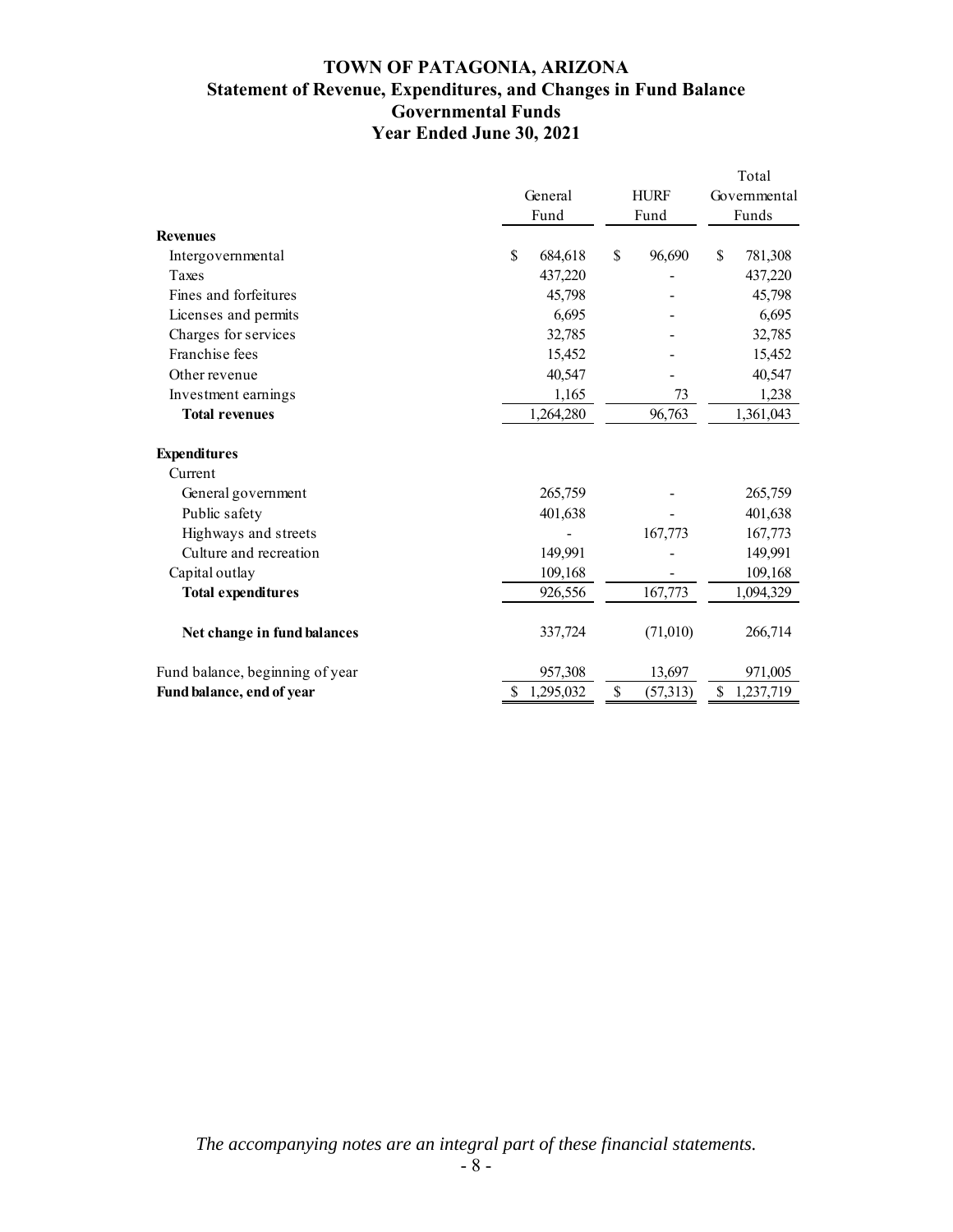### **TOWN OF PATAGONIA, ARIZONA Statement of Revenue, Expenditures, and Changes in Fund Balance Governmental Funds Year Ended June 30, 2021**

|                                 | General<br>Fund | <b>HURF</b><br>Fund      | Total<br>Governmental<br>Funds |
|---------------------------------|-----------------|--------------------------|--------------------------------|
| <b>Revenues</b>                 |                 |                          |                                |
| Intergovernmental<br>Taxes      | \$<br>684,618   | \$<br>96,690             | \$<br>781,308                  |
|                                 | 437,220         |                          | 437,220                        |
| Fines and forfeitures           | 45,798          |                          | 45,798                         |
| Licenses and permits            | 6,695           |                          | 6,695                          |
| Charges for services            | 32,785          |                          | 32,785                         |
| Franchise fees                  | 15,452          |                          | 15,452                         |
| Other revenue                   | 40,547          |                          | 40,547                         |
| Investment earnings             | 1,165           | 73                       | 1,238                          |
| <b>Total revenues</b>           | 1,264,280       | 96,763                   | 1,361,043                      |
| <b>Expenditures</b>             |                 |                          |                                |
| Current                         |                 |                          |                                |
| General government              | 265,759         |                          | 265,759                        |
| Public safety                   | 401,638         |                          | 401,638                        |
| Highways and streets            |                 | 167,773                  | 167,773                        |
| Culture and recreation          | 149,991         |                          | 149,991                        |
| Capital outlay                  | 109,168         |                          | 109,168                        |
| <b>Total expenditures</b>       | 926,556         | 167,773                  | 1,094,329                      |
| Net change in fund balances     | 337,724         | (71,010)                 | 266,714                        |
| Fund balance, beginning of year | 957,308         | 13,697                   | 971,005                        |
| Fund balance, end of year       | 1,295,032<br>\$ | $\mathbb{S}$<br>(57,313) | \$<br>1,237,719                |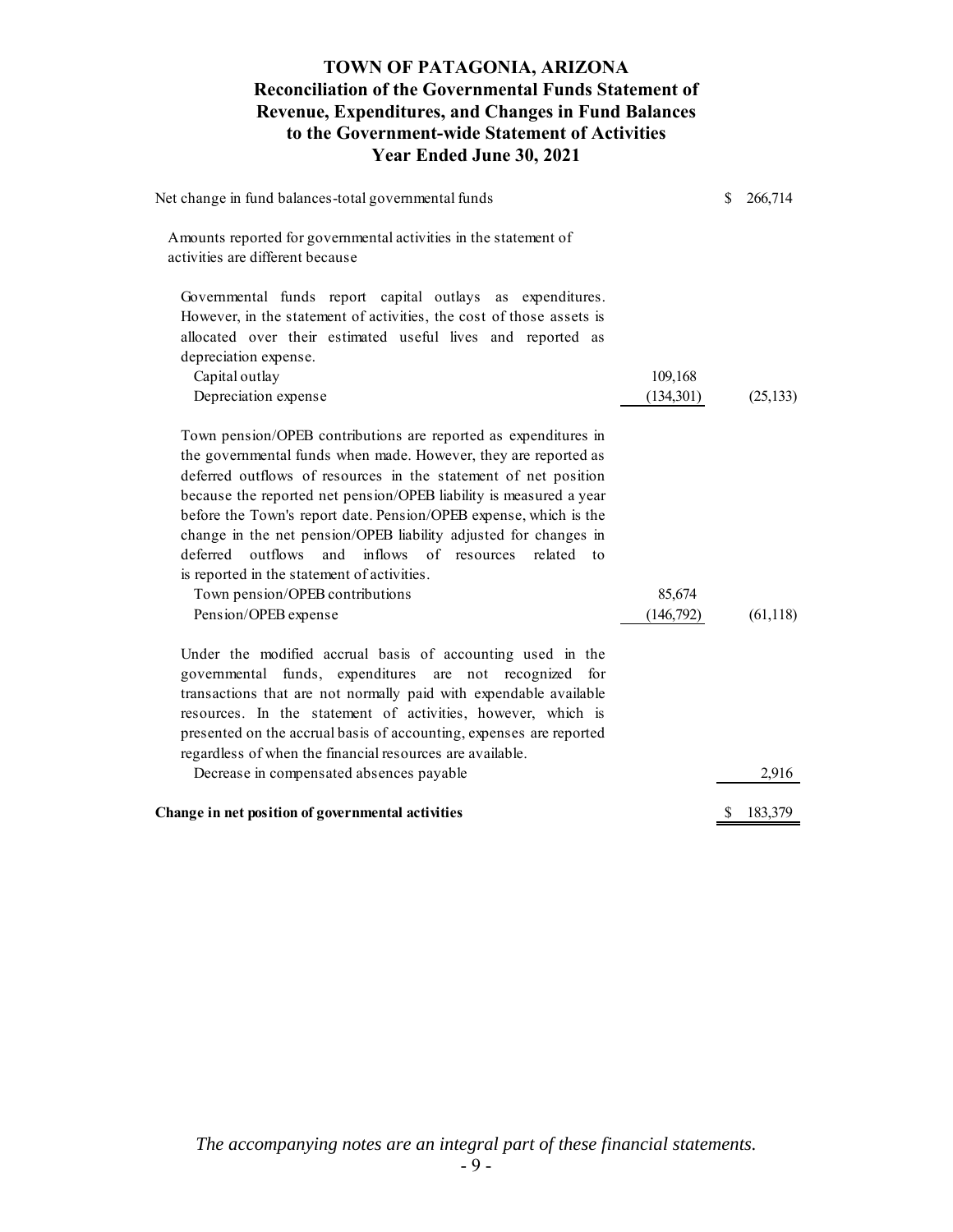### **TOWN OF PATAGONIA, ARIZONA Reconciliation of the Governmental Funds Statement of Revenue, Expenditures, and Changes in Fund Balances to the Government-wide Statement of Activities Year Ended June 30, 2021**

| Net change in fund balances-total governmental funds                                                                                                                                                                                                                                                                                                                                                                                                                                                                                                                                                                          | S  | 266,714   |
|-------------------------------------------------------------------------------------------------------------------------------------------------------------------------------------------------------------------------------------------------------------------------------------------------------------------------------------------------------------------------------------------------------------------------------------------------------------------------------------------------------------------------------------------------------------------------------------------------------------------------------|----|-----------|
| Amounts reported for governmental activities in the statement of<br>activities are different because                                                                                                                                                                                                                                                                                                                                                                                                                                                                                                                          |    |           |
| Governmental funds report capital outlays as expenditures.<br>However, in the statement of activities, the cost of those assets is<br>allocated over their estimated useful lives and reported as<br>depreciation expense.                                                                                                                                                                                                                                                                                                                                                                                                    |    |           |
| Capital outlay<br>109,168<br>Depreciation expense<br>(134, 301)                                                                                                                                                                                                                                                                                                                                                                                                                                                                                                                                                               |    | (25, 133) |
| Town pension/OPEB contributions are reported as expenditures in<br>the governmental funds when made. However, they are reported as<br>deferred outflows of resources in the statement of net position<br>because the reported net pension/OPEB liability is measured a year<br>before the Town's report date. Pension/OPEB expense, which is the<br>change in the net pension/OPEB liability adjusted for changes in<br>outflows<br>inflows<br>of resources<br>deferred<br>and<br>related to<br>is reported in the statement of activities.<br>Town pension/OPEB contributions<br>85,674<br>Pension/OPEB expense<br>(146,792) |    | (61,118)  |
| Under the modified accrual basis of accounting used in the<br>governmental funds, expenditures are not recognized<br>for<br>transactions that are not normally paid with expendable available<br>resources. In the statement of activities, however, which is<br>presented on the accrual basis of accounting, expenses are reported<br>regardless of when the financial resources are available.                                                                                                                                                                                                                             |    |           |
| Decrease in compensated absences payable                                                                                                                                                                                                                                                                                                                                                                                                                                                                                                                                                                                      |    | 2,916     |
| Change in net position of governmental activities                                                                                                                                                                                                                                                                                                                                                                                                                                                                                                                                                                             | S. | 183,379   |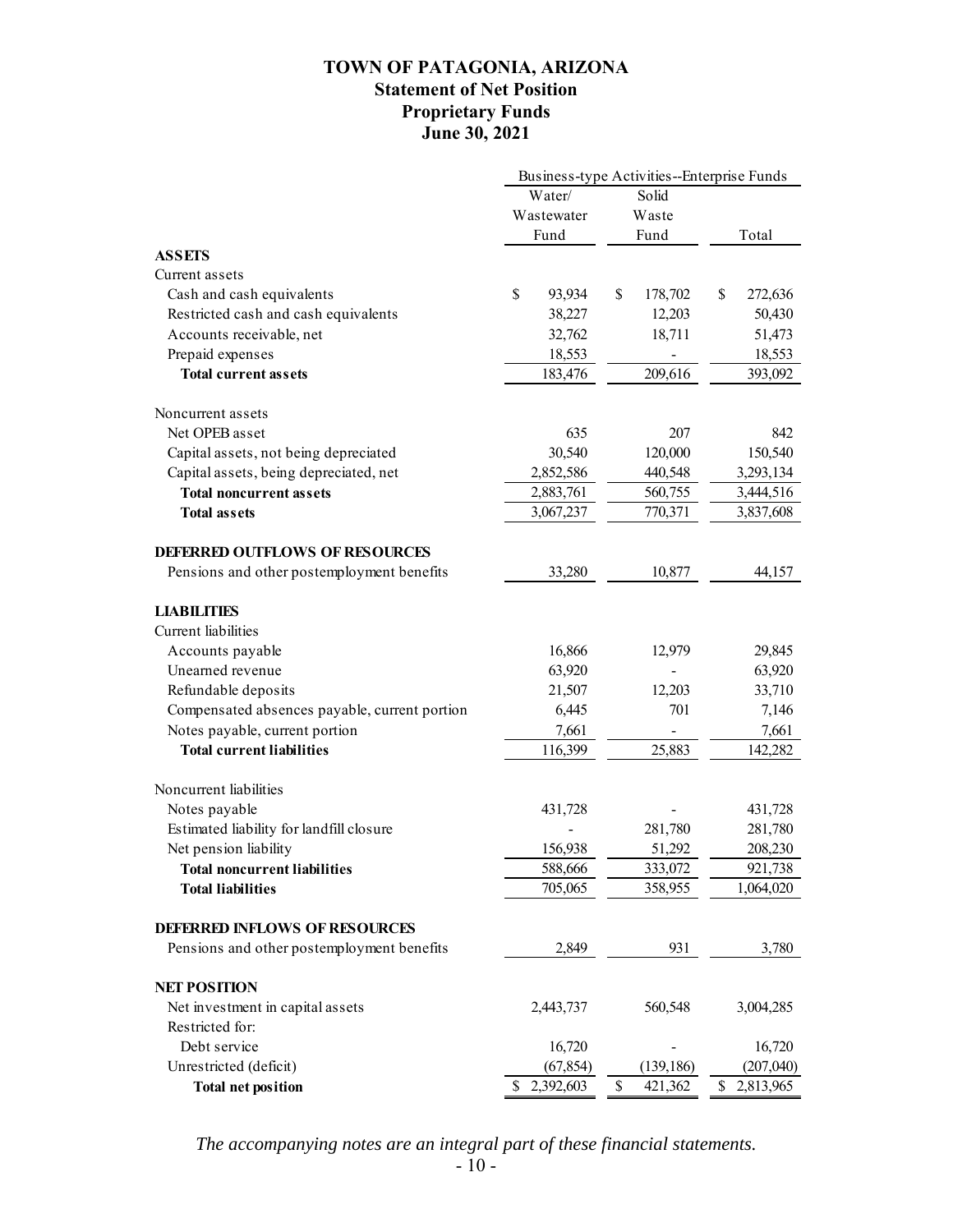### **TOWN OF PATAGONIA, ARIZONA Statement of Net Position Proprietary Funds June 30, 2021**

|                                               | Business-type Activities--Enterprise Funds |               |                 |  |
|-----------------------------------------------|--------------------------------------------|---------------|-----------------|--|
|                                               | Water/                                     | Solid         |                 |  |
|                                               | Wastewater                                 | Waste         |                 |  |
|                                               | Fund                                       | Fund          | Total           |  |
| <b>ASSETS</b>                                 |                                            |               |                 |  |
| Current assets                                |                                            |               |                 |  |
| Cash and cash equivalents                     | \$<br>93,934                               | \$<br>178,702 | \$<br>272,636   |  |
| Restricted cash and cash equivalents          | 38,227                                     | 12,203        | 50,430          |  |
| Accounts receivable, net                      | 32,762                                     | 18,711        | 51,473          |  |
| Prepaid expenses                              | 18,553                                     |               | 18,553          |  |
| <b>Total current assets</b>                   | 183,476                                    | 209,616       | 393,092         |  |
| Noncurrent assets                             |                                            |               |                 |  |
| Net OPEB asset                                | 635                                        | 207           | 842             |  |
| Capital assets, not being depreciated         | 30,540                                     | 120,000       | 150,540         |  |
| Capital assets, being depreciated, net        | 2,852,586                                  | 440,548       | 3,293,134       |  |
| <b>Total noncurrent assets</b>                | 2,883,761                                  | 560,755       | 3,444,516       |  |
| <b>Total assets</b>                           | 3,067,237                                  | 770,371       | 3,837,608       |  |
|                                               |                                            |               |                 |  |
| <b>DEFERRED OUTFLOWS OF RESOURCES</b>         |                                            |               |                 |  |
| Pensions and other postemployment benefits    | 33,280                                     | 10,877        | 44,157          |  |
| <b>LIABILITIES</b>                            |                                            |               |                 |  |
| Current liabilities                           |                                            |               |                 |  |
| Accounts payable                              | 16,866                                     | 12,979        | 29,845          |  |
| Unearned revenue                              | 63,920                                     |               | 63,920          |  |
| Refundable deposits                           | 21,507                                     | 12,203        | 33,710          |  |
| Compensated absences payable, current portion | 6,445                                      | 701           | 7,146           |  |
| Notes payable, current portion                | 7,661                                      |               | 7,661           |  |
| <b>Total current liabilities</b>              | 116,399                                    | 25,883        | 142,282         |  |
| Noncurrent liabilities                        |                                            |               |                 |  |
| Notes payable                                 | 431,728                                    |               | 431,728         |  |
| Estimated liability for landfill closure      |                                            | 281,780       | 281,780         |  |
| Net pension liability                         | 156,938                                    | 51,292        | 208,230         |  |
| <b>Total noncurrent liabilities</b>           | 588,666                                    | 333,072       | 921,738         |  |
| <b>Total liabilities</b>                      | 705,065                                    | 358,955       | 1,064,020       |  |
| <b>DEFERRED INFLOWS OF RESOURCES</b>          |                                            |               |                 |  |
| Pensions and other postemployment benefits    | 2,849                                      | 931           | 3,780           |  |
|                                               |                                            |               |                 |  |
| <b>NET POSITION</b>                           |                                            |               |                 |  |
| Net investment in capital assets              | 2,443,737                                  | 560,548       | 3,004,285       |  |
| Restricted for:                               |                                            |               |                 |  |
| Debt service                                  | 16,720                                     |               | 16,720          |  |
| Unrestricted (deficit)                        | (67, 854)                                  | (139, 186)    | (207, 040)      |  |
| <b>Total net position</b>                     | \$<br>2,392,603                            | \$<br>421,362 | \$<br>2,813,965 |  |

*The accompanying notes are an integral part of these financial statements.*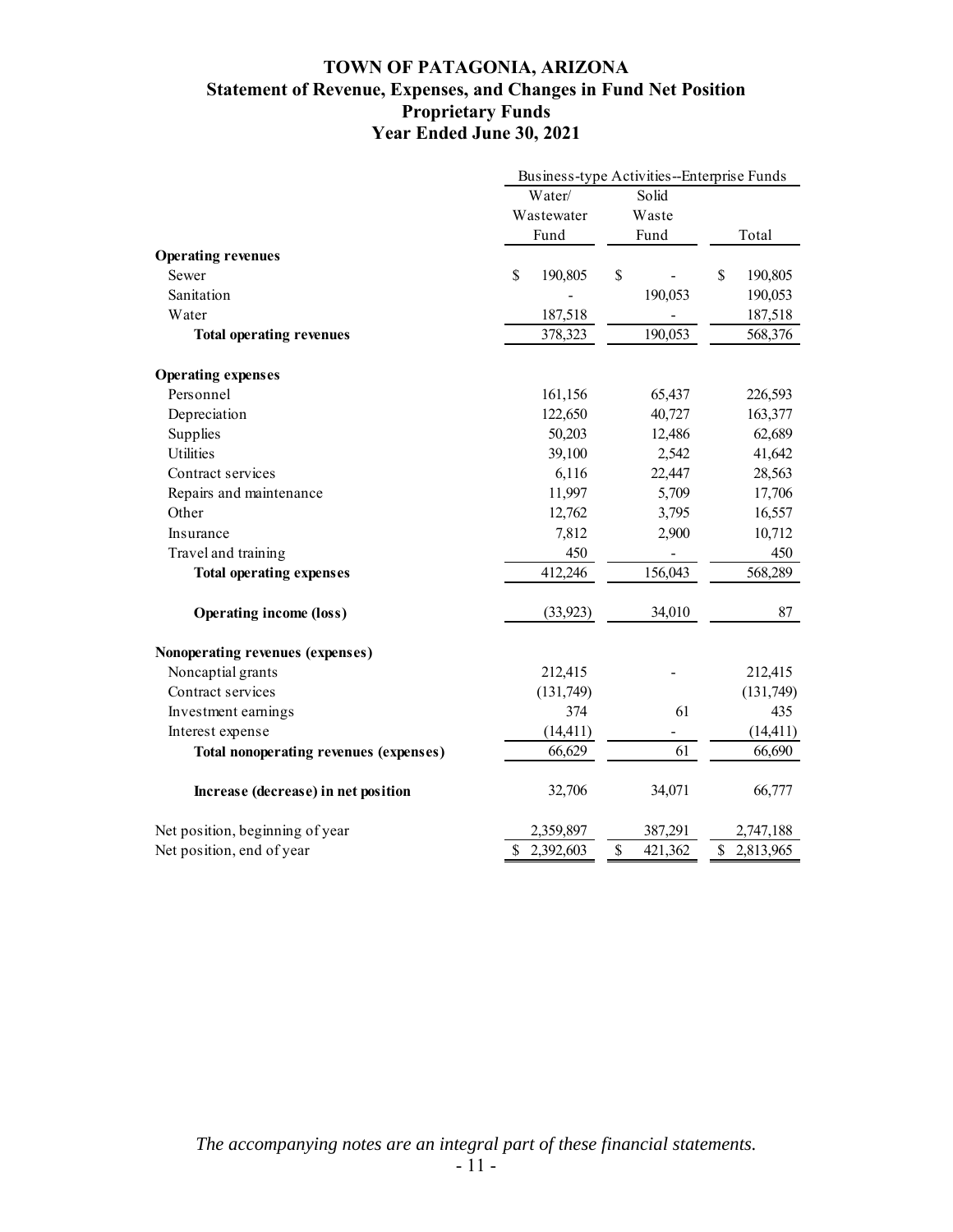### **TOWN OF PATAGONIA, ARIZONA Statement of Revenue, Expenses, and Changes in Fund Net Position Proprietary Funds Year Ended June 30, 2021**

|                                               |                 | Business-type Activities--Enterprise Funds |                 |
|-----------------------------------------------|-----------------|--------------------------------------------|-----------------|
|                                               | Water/          | Solid                                      |                 |
|                                               | Wastewater      | Waste                                      |                 |
|                                               | Fund            | Fund                                       | Total           |
| <b>Operating revenues</b>                     |                 |                                            |                 |
| Sewer                                         | \$<br>190,805   | \$                                         | \$<br>190,805   |
| Sanitation                                    |                 | 190,053                                    | 190,053         |
| Water                                         | 187,518         |                                            | 187,518         |
| <b>Total operating revenues</b>               | 378,323         | 190,053                                    | 568,376         |
| <b>Operating expenses</b>                     |                 |                                            |                 |
| Personnel                                     | 161,156         | 65,437                                     | 226,593         |
| Depreciation                                  | 122,650         | 40,727                                     | 163,377         |
| Supplies                                      | 50,203          | 12,486                                     | 62,689          |
| Utilities                                     | 39,100          | 2,542                                      | 41,642          |
| Contract services                             | 6,116           | 22,447                                     | 28,563          |
| Repairs and maintenance                       | 11,997          | 5,709                                      | 17,706          |
| Other                                         | 12,762          | 3,795                                      | 16,557          |
| Insurance                                     | 7,812           | 2,900                                      | 10,712          |
| Travel and training                           | 450             |                                            | 450             |
| <b>Total operating expenses</b>               | 412,246         | 156,043                                    | 568,289         |
| <b>Operating income (loss)</b>                | (33, 923)       | 34,010                                     | 87              |
| Nonoperating revenues (expenses)              |                 |                                            |                 |
| Noncaptial grants                             | 212,415         |                                            | 212,415         |
| Contract services                             | (131,749)       |                                            | (131,749)       |
| Investment earnings                           | 374             | 61                                         | 435             |
| Interest expense                              | (14, 411)       |                                            | (14, 411)       |
| <b>Total nonoperating revenues (expenses)</b> | 66,629          | 61                                         | 66,690          |
| Increase (decrease) in net position           | 32,706          | 34,071                                     | 66,777          |
| Net position, beginning of year               | 2,359,897       | 387,291                                    | 2,747,188       |
| Net position, end of year                     | 2,392,603<br>\$ | \$<br>421,362                              | \$<br>2,813,965 |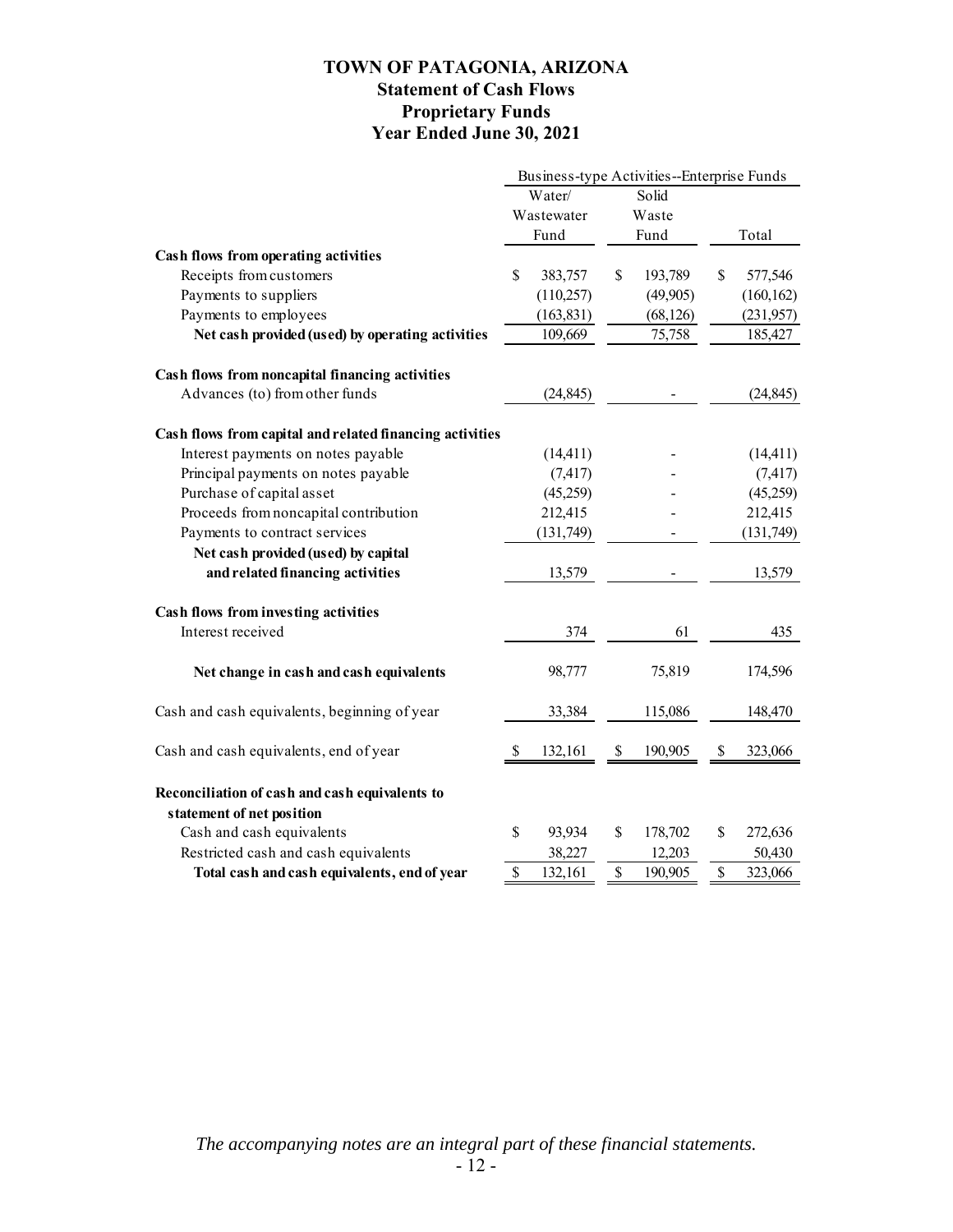### **TOWN OF PATAGONIA, ARIZONA Statement of Cash Flows Proprietary Funds Year Ended June 30, 2021**

|                                                                             | Business-type Activities--Enterprise Funds |            |       |           |    |            |
|-----------------------------------------------------------------------------|--------------------------------------------|------------|-------|-----------|----|------------|
|                                                                             | Water/<br>Solid                            |            |       |           |    |            |
|                                                                             | Wastewater<br>Fund                         |            | Waste |           |    |            |
|                                                                             |                                            |            |       | Fund      |    | Total      |
| Cash flows from operating activities                                        |                                            |            |       |           |    |            |
| Receipts from customers                                                     | \$                                         | 383,757    | \$    | 193,789   | \$ | 577,546    |
| Payments to suppliers                                                       |                                            | (110, 257) |       | (49,905)  |    | (160, 162) |
| Payments to employees                                                       |                                            | (163, 831) |       | (68, 126) |    | (231, 957) |
| Net cash provided (used) by operating activities                            |                                            | 109,669    |       | 75,758    |    | 185,427    |
| Cash flows from noncapital financing activities                             |                                            |            |       |           |    |            |
| Advances (to) from other funds                                              |                                            | (24, 845)  |       |           |    | (24, 845)  |
| Cash flows from capital and related financing activities                    |                                            |            |       |           |    |            |
| Interest payments on notes payable                                          |                                            | (14, 411)  |       |           |    | (14, 411)  |
| Principal payments on notes payable                                         |                                            | (7, 417)   |       |           |    | (7, 417)   |
| Purchase of capital asset                                                   |                                            | (45,259)   |       |           |    | (45,259)   |
| Proceeds from noncapital contribution                                       |                                            | 212,415    |       |           |    | 212,415    |
| Payments to contract services                                               |                                            | (131, 749) |       |           |    | (131, 749) |
| Net cash provided (used) by capital                                         |                                            |            |       |           |    |            |
| and related financing activities                                            |                                            | 13,579     |       |           |    | 13,579     |
| Cash flows from investing activities                                        |                                            |            |       |           |    |            |
| Interest received                                                           |                                            | 374        |       | 61        |    | 435        |
| Net change in cash and cash equivalents                                     |                                            | 98,777     |       | 75,819    |    | 174,596    |
| Cash and cash equivalents, beginning of year                                |                                            | 33,384     |       | 115,086   |    | 148,470    |
| Cash and cash equivalents, end of year                                      | \$                                         | 132,161    | \$    | 190,905   | S  | 323,066    |
| Reconciliation of cash and cash equivalents to<br>statement of net position |                                            |            |       |           |    |            |
| Cash and cash equivalents                                                   | \$                                         | 93,934     | \$    | 178,702   | \$ | 272,636    |
| Restricted cash and cash equivalents                                        |                                            | 38,227     |       | 12,203    |    | 50,430     |
| Total cash and cash equivalents, end of year                                | \$                                         | 132,161    | \$    | 190,905   | \$ | 323,066    |

*The accompanying notes are an integral part of these financial statements.*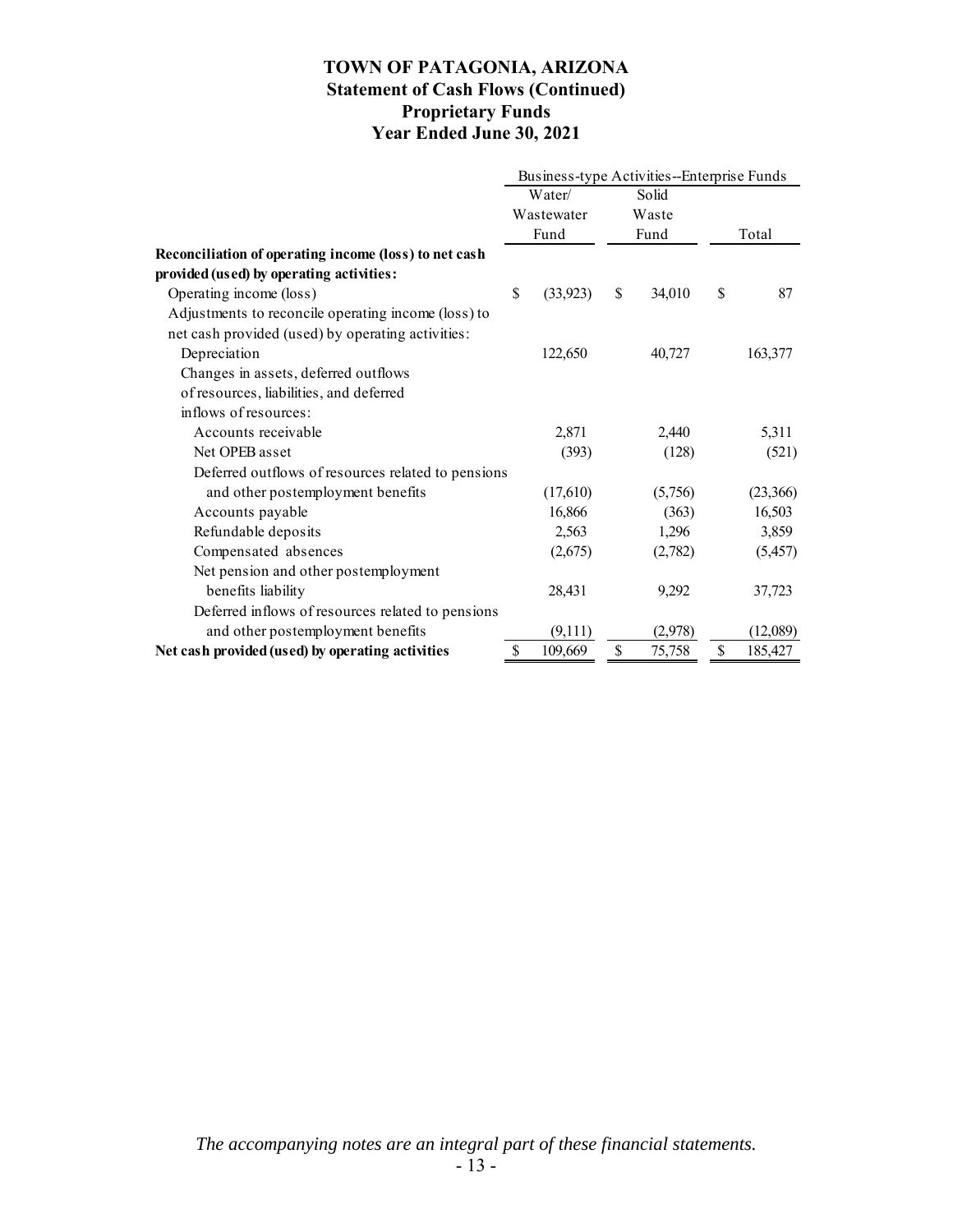### **TOWN OF PATAGONIA, ARIZONA Statement of Cash Flows (Continued) Proprietary Funds Year Ended June 30, 2021**

|                                                       | Business-type Activities--Enterprise Funds |           |                        |         |    |          |  |
|-------------------------------------------------------|--------------------------------------------|-----------|------------------------|---------|----|----------|--|
|                                                       | Water/<br>Wastewater<br>Fund               |           | Solid<br>Waste<br>Fund |         |    |          |  |
|                                                       |                                            |           |                        |         |    |          |  |
|                                                       |                                            |           |                        |         |    | Total    |  |
| Reconciliation of operating income (loss) to net cash |                                            |           |                        |         |    |          |  |
| provided (used) by operating activities:              |                                            |           |                        |         |    |          |  |
| Operating income (loss)                               | \$                                         | (33, 923) | \$                     | 34,010  | \$ | 87       |  |
| Adjustments to reconcile operating income (loss) to   |                                            |           |                        |         |    |          |  |
| net cash provided (used) by operating activities:     |                                            |           |                        |         |    |          |  |
| Depreciation                                          |                                            | 122,650   |                        | 40,727  |    | 163,377  |  |
| Changes in assets, deferred outflows                  |                                            |           |                        |         |    |          |  |
| of resources, liabilities, and deferred               |                                            |           |                        |         |    |          |  |
| inflows of resources:                                 |                                            |           |                        |         |    |          |  |
| Accounts receivable                                   |                                            | 2,871     |                        | 2,440   |    | 5,311    |  |
| Net OPEB asset                                        |                                            | (393)     |                        | (128)   |    | (521)    |  |
| Deferred outflows of resources related to pensions    |                                            |           |                        |         |    |          |  |
| and other postemployment benefits                     |                                            | (17,610)  |                        | (5,756) |    | (23,366) |  |
| Accounts payable                                      |                                            | 16,866    |                        | (363)   |    | 16,503   |  |
| Refundable deposits                                   |                                            | 2,563     |                        | 1,296   |    | 3,859    |  |
| Compensated absences                                  |                                            | (2,675)   |                        | (2,782) |    | (5,457)  |  |
| Net pension and other postemployment                  |                                            |           |                        |         |    |          |  |
| benefits liability                                    |                                            | 28,431    |                        | 9,292   |    | 37,723   |  |
| Deferred inflows of resources related to pensions     |                                            |           |                        |         |    |          |  |
| and other postemployment benefits                     |                                            | (9,111)   |                        | (2,978) |    | (12,089) |  |
| Net cash provided (used) by operating activities      | \$                                         | 109,669   | \$                     | 75,758  | \$ | 185,427  |  |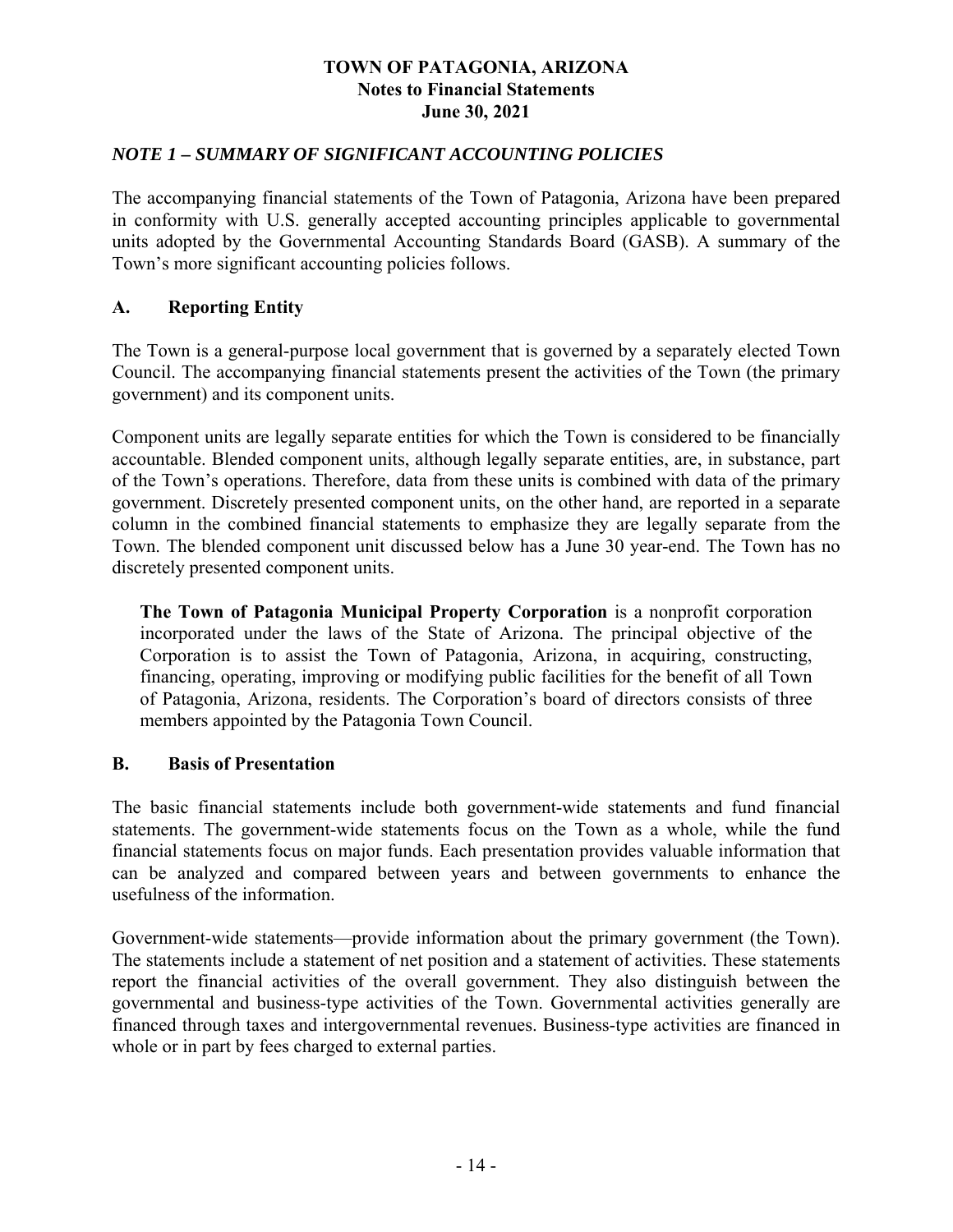### *NOTE 1 – SUMMARY OF SIGNIFICANT ACCOUNTING POLICIES*

The accompanying financial statements of the Town of Patagonia, Arizona have been prepared in conformity with U.S. generally accepted accounting principles applicable to governmental units adopted by the Governmental Accounting Standards Board (GASB). A summary of the Town's more significant accounting policies follows.

### **A. Reporting Entity**

The Town is a general-purpose local government that is governed by a separately elected Town Council. The accompanying financial statements present the activities of the Town (the primary government) and its component units.

Component units are legally separate entities for which the Town is considered to be financially accountable. Blended component units, although legally separate entities, are, in substance, part of the Town's operations. Therefore, data from these units is combined with data of the primary government. Discretely presented component units, on the other hand, are reported in a separate column in the combined financial statements to emphasize they are legally separate from the Town. The blended component unit discussed below has a June 30 year-end. The Town has no discretely presented component units.

**The Town of Patagonia Municipal Property Corporation** is a nonprofit corporation incorporated under the laws of the State of Arizona. The principal objective of the Corporation is to assist the Town of Patagonia, Arizona, in acquiring, constructing, financing, operating, improving or modifying public facilities for the benefit of all Town of Patagonia, Arizona, residents. The Corporation's board of directors consists of three members appointed by the Patagonia Town Council.

#### **B. Basis of Presentation**

The basic financial statements include both government-wide statements and fund financial statements. The government-wide statements focus on the Town as a whole, while the fund financial statements focus on major funds. Each presentation provides valuable information that can be analyzed and compared between years and between governments to enhance the usefulness of the information.

Government-wide statements—provide information about the primary government (the Town). The statements include a statement of net position and a statement of activities. These statements report the financial activities of the overall government. They also distinguish between the governmental and business-type activities of the Town. Governmental activities generally are financed through taxes and intergovernmental revenues. Business-type activities are financed in whole or in part by fees charged to external parties.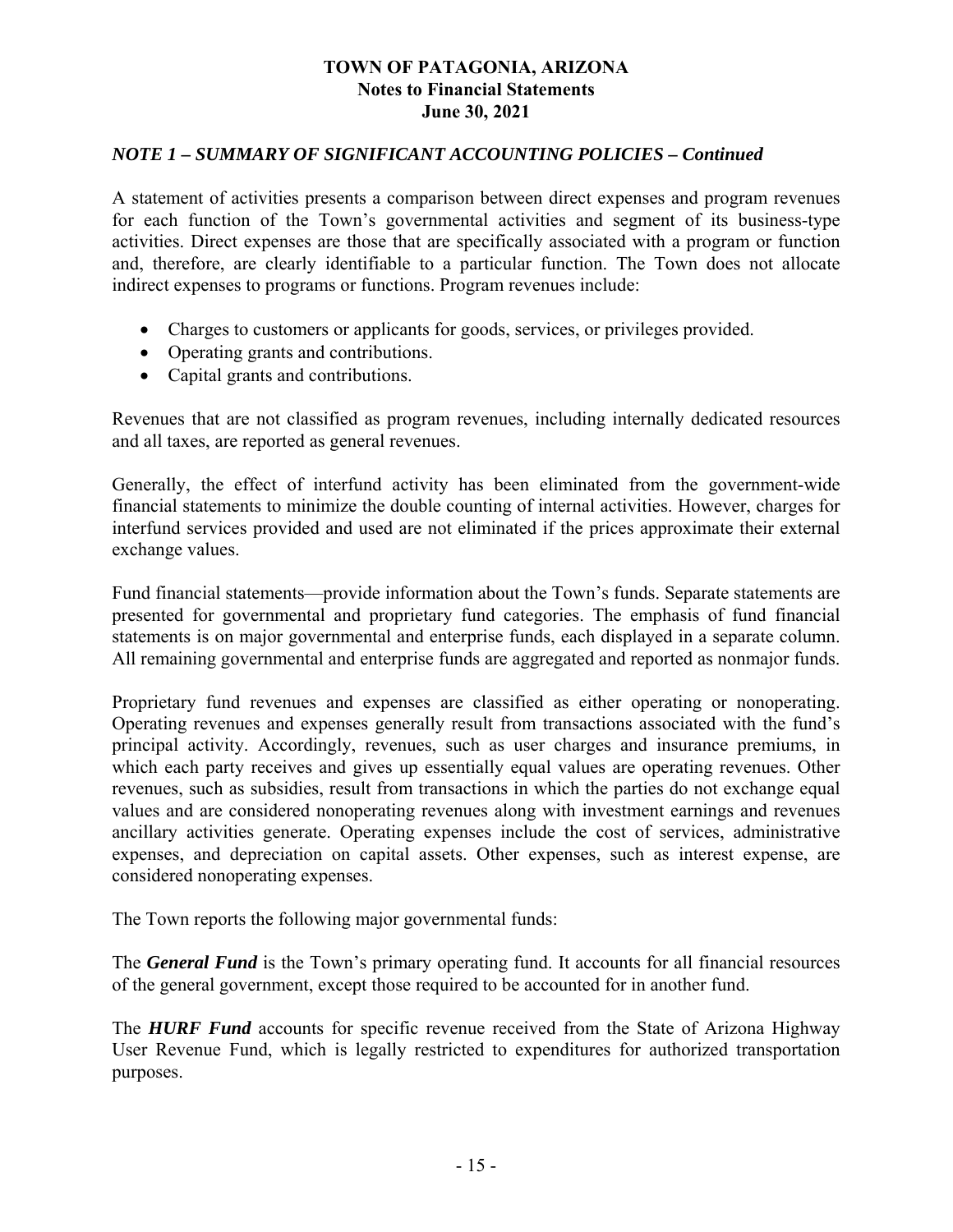### *NOTE 1 – SUMMARY OF SIGNIFICANT ACCOUNTING POLICIES – Continued*

A statement of activities presents a comparison between direct expenses and program revenues for each function of the Town's governmental activities and segment of its business-type activities. Direct expenses are those that are specifically associated with a program or function and, therefore, are clearly identifiable to a particular function. The Town does not allocate indirect expenses to programs or functions. Program revenues include:

- Charges to customers or applicants for goods, services, or privileges provided.
- Operating grants and contributions.
- Capital grants and contributions.

Revenues that are not classified as program revenues, including internally dedicated resources and all taxes, are reported as general revenues.

Generally, the effect of interfund activity has been eliminated from the government-wide financial statements to minimize the double counting of internal activities. However, charges for interfund services provided and used are not eliminated if the prices approximate their external exchange values.

Fund financial statements—provide information about the Town's funds. Separate statements are presented for governmental and proprietary fund categories. The emphasis of fund financial statements is on major governmental and enterprise funds, each displayed in a separate column. All remaining governmental and enterprise funds are aggregated and reported as nonmajor funds.

Proprietary fund revenues and expenses are classified as either operating or nonoperating. Operating revenues and expenses generally result from transactions associated with the fund's principal activity. Accordingly, revenues, such as user charges and insurance premiums, in which each party receives and gives up essentially equal values are operating revenues. Other revenues, such as subsidies, result from transactions in which the parties do not exchange equal values and are considered nonoperating revenues along with investment earnings and revenues ancillary activities generate. Operating expenses include the cost of services, administrative expenses, and depreciation on capital assets. Other expenses, such as interest expense, are considered nonoperating expenses.

The Town reports the following major governmental funds:

The *General Fund* is the Town's primary operating fund. It accounts for all financial resources of the general government, except those required to be accounted for in another fund.

The *HURF Fund* accounts for specific revenue received from the State of Arizona Highway User Revenue Fund, which is legally restricted to expenditures for authorized transportation purposes.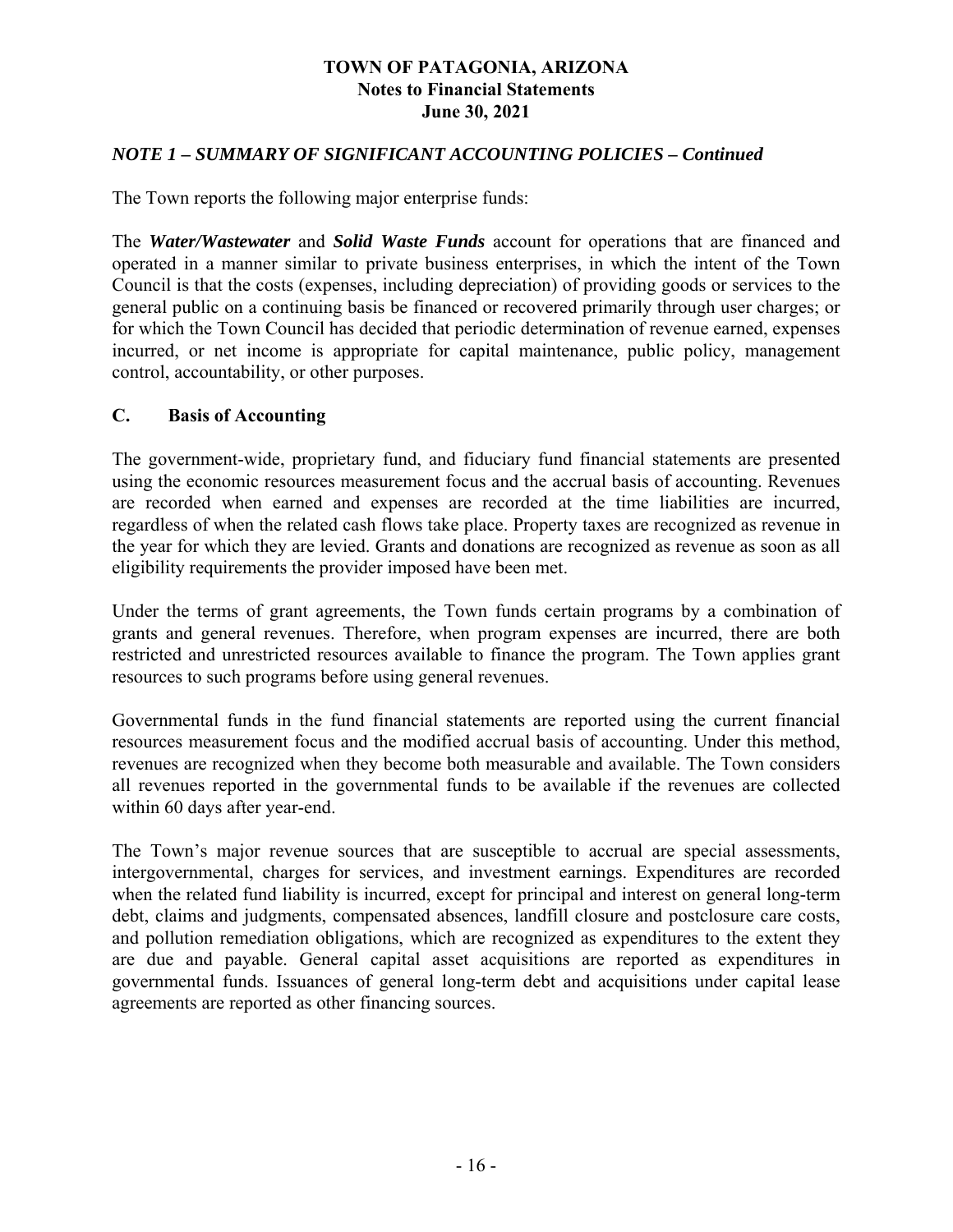### *NOTE 1 – SUMMARY OF SIGNIFICANT ACCOUNTING POLICIES – Continued*

The Town reports the following major enterprise funds:

The *Water/Wastewater* and *Solid Waste Funds* account for operations that are financed and operated in a manner similar to private business enterprises, in which the intent of the Town Council is that the costs (expenses, including depreciation) of providing goods or services to the general public on a continuing basis be financed or recovered primarily through user charges; or for which the Town Council has decided that periodic determination of revenue earned, expenses incurred, or net income is appropriate for capital maintenance, public policy, management control, accountability, or other purposes.

### **C. Basis of Accounting**

The government-wide, proprietary fund, and fiduciary fund financial statements are presented using the economic resources measurement focus and the accrual basis of accounting. Revenues are recorded when earned and expenses are recorded at the time liabilities are incurred, regardless of when the related cash flows take place. Property taxes are recognized as revenue in the year for which they are levied. Grants and donations are recognized as revenue as soon as all eligibility requirements the provider imposed have been met.

Under the terms of grant agreements, the Town funds certain programs by a combination of grants and general revenues. Therefore, when program expenses are incurred, there are both restricted and unrestricted resources available to finance the program. The Town applies grant resources to such programs before using general revenues.

Governmental funds in the fund financial statements are reported using the current financial resources measurement focus and the modified accrual basis of accounting. Under this method, revenues are recognized when they become both measurable and available. The Town considers all revenues reported in the governmental funds to be available if the revenues are collected within 60 days after year-end.

The Town's major revenue sources that are susceptible to accrual are special assessments, intergovernmental, charges for services, and investment earnings. Expenditures are recorded when the related fund liability is incurred, except for principal and interest on general long-term debt, claims and judgments, compensated absences, landfill closure and postclosure care costs, and pollution remediation obligations, which are recognized as expenditures to the extent they are due and payable. General capital asset acquisitions are reported as expenditures in governmental funds. Issuances of general long-term debt and acquisitions under capital lease agreements are reported as other financing sources.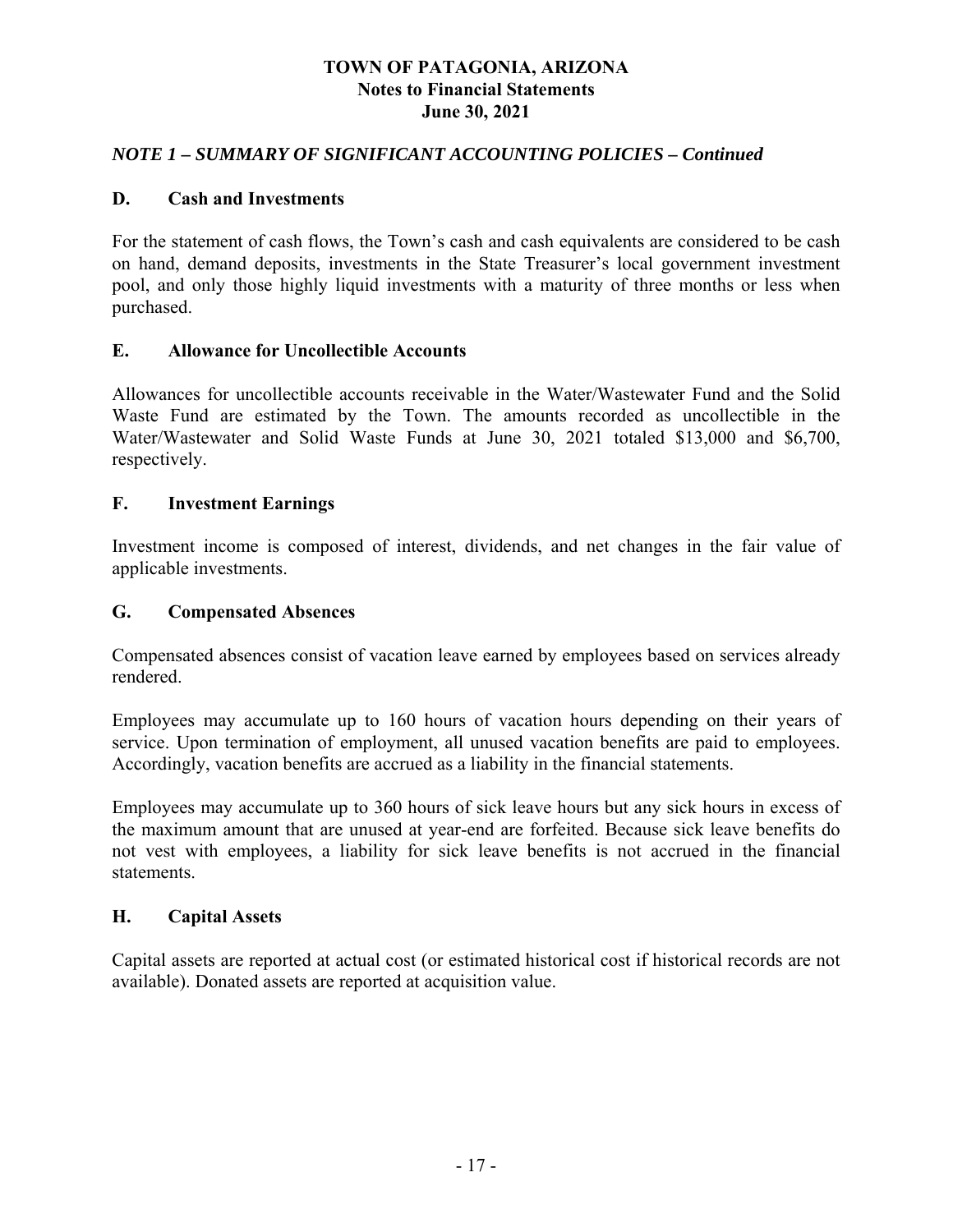### *NOTE 1 – SUMMARY OF SIGNIFICANT ACCOUNTING POLICIES – Continued*

#### **D. Cash and Investments**

For the statement of cash flows, the Town's cash and cash equivalents are considered to be cash on hand, demand deposits, investments in the State Treasurer's local government investment pool, and only those highly liquid investments with a maturity of three months or less when purchased.

#### **E. Allowance for Uncollectible Accounts**

Allowances for uncollectible accounts receivable in the Water/Wastewater Fund and the Solid Waste Fund are estimated by the Town. The amounts recorded as uncollectible in the Water/Wastewater and Solid Waste Funds at June 30, 2021 totaled \$13,000 and \$6,700, respectively.

#### **F. Investment Earnings**

Investment income is composed of interest, dividends, and net changes in the fair value of applicable investments.

#### **G. Compensated Absences**

Compensated absences consist of vacation leave earned by employees based on services already rendered.

Employees may accumulate up to 160 hours of vacation hours depending on their years of service. Upon termination of employment, all unused vacation benefits are paid to employees. Accordingly, vacation benefits are accrued as a liability in the financial statements.

Employees may accumulate up to 360 hours of sick leave hours but any sick hours in excess of the maximum amount that are unused at year-end are forfeited. Because sick leave benefits do not vest with employees, a liability for sick leave benefits is not accrued in the financial statements.

### **H. Capital Assets**

Capital assets are reported at actual cost (or estimated historical cost if historical records are not available). Donated assets are reported at acquisition value.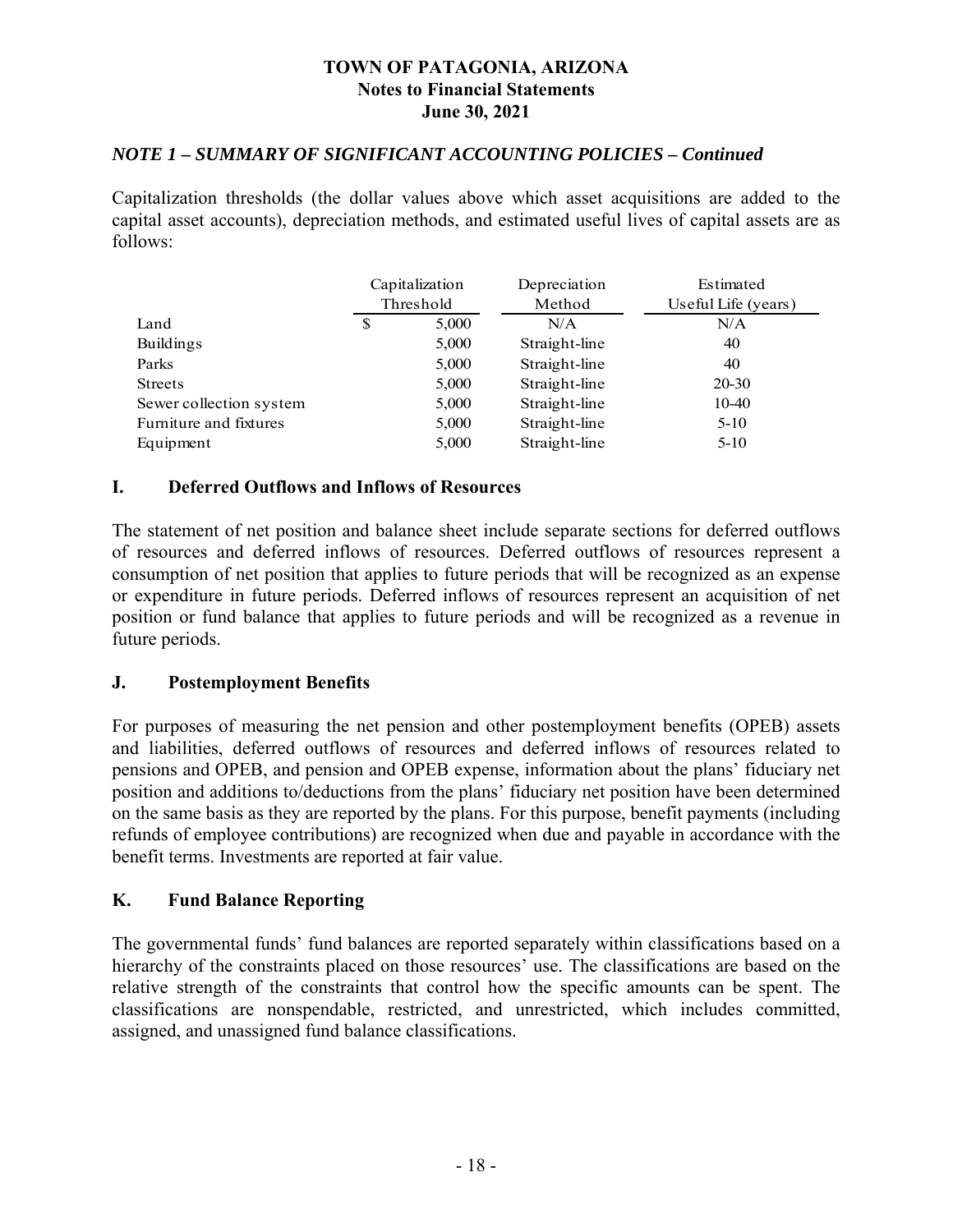#### *NOTE 1 – SUMMARY OF SIGNIFICANT ACCOUNTING POLICIES – Continued*

Capitalization thresholds (the dollar values above which asset acquisitions are added to the capital asset accounts), depreciation methods, and estimated useful lives of capital assets are as follows:

|                         |   | Capitalization | Depreciation  | Estimated           |
|-------------------------|---|----------------|---------------|---------------------|
|                         |   | Threshold      | Method        | Useful Life (years) |
| Land                    | S | 5,000          | N/A           | N/A                 |
| <b>Buildings</b>        |   | 5,000          | Straight-line | 40                  |
| Parks                   |   | 5,000          | Straight-line | 40                  |
| <b>Streets</b>          |   | 5,000          | Straight-line | 20-30               |
| Sewer collection system |   | 5,000          | Straight-line | $10-40$             |
| Furniture and fixtures  |   | 5,000          | Straight-line | $5 - 10$            |
| Equipment               |   | 5,000          | Straight-line | $5 - 10$            |

#### **I. Deferred Outflows and Inflows of Resources**

The statement of net position and balance sheet include separate sections for deferred outflows of resources and deferred inflows of resources. Deferred outflows of resources represent a consumption of net position that applies to future periods that will be recognized as an expense or expenditure in future periods. Deferred inflows of resources represent an acquisition of net position or fund balance that applies to future periods and will be recognized as a revenue in future periods.

#### **J. Postemployment Benefits**

For purposes of measuring the net pension and other postemployment benefits (OPEB) assets and liabilities, deferred outflows of resources and deferred inflows of resources related to pensions and OPEB, and pension and OPEB expense, information about the plans' fiduciary net position and additions to/deductions from the plans' fiduciary net position have been determined on the same basis as they are reported by the plans. For this purpose, benefit payments (including refunds of employee contributions) are recognized when due and payable in accordance with the benefit terms. Investments are reported at fair value.

#### **K. Fund Balance Reporting**

The governmental funds' fund balances are reported separately within classifications based on a hierarchy of the constraints placed on those resources' use. The classifications are based on the relative strength of the constraints that control how the specific amounts can be spent. The classifications are nonspendable, restricted, and unrestricted, which includes committed, assigned, and unassigned fund balance classifications.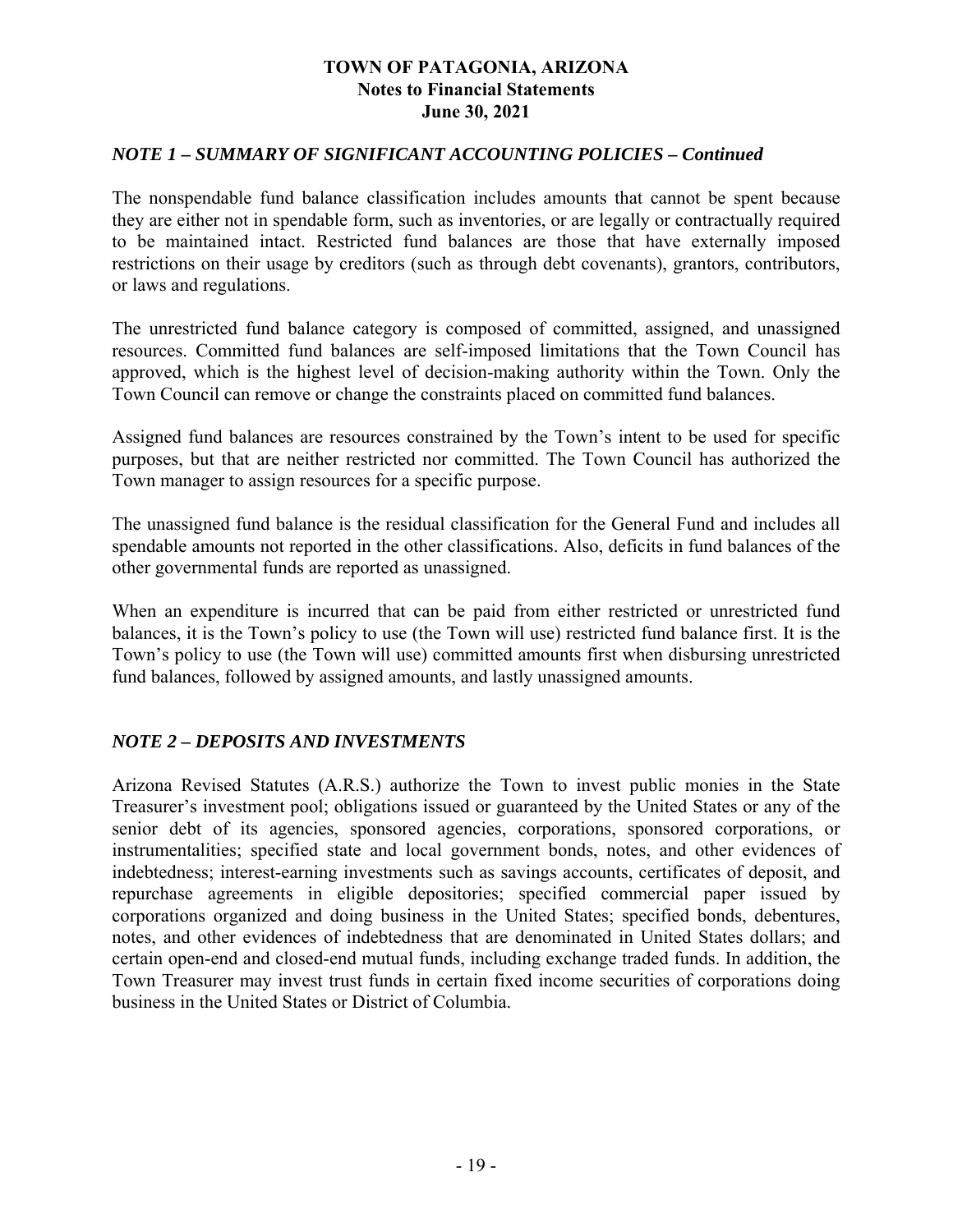### *NOTE 1 – SUMMARY OF SIGNIFICANT ACCOUNTING POLICIES – Continued*

The nonspendable fund balance classification includes amounts that cannot be spent because they are either not in spendable form, such as inventories, or are legally or contractually required to be maintained intact. Restricted fund balances are those that have externally imposed restrictions on their usage by creditors (such as through debt covenants), grantors, contributors, or laws and regulations.

The unrestricted fund balance category is composed of committed, assigned, and unassigned resources. Committed fund balances are self-imposed limitations that the Town Council has approved, which is the highest level of decision-making authority within the Town. Only the Town Council can remove or change the constraints placed on committed fund balances.

Assigned fund balances are resources constrained by the Town's intent to be used for specific purposes, but that are neither restricted nor committed. The Town Council has authorized the Town manager to assign resources for a specific purpose.

The unassigned fund balance is the residual classification for the General Fund and includes all spendable amounts not reported in the other classifications. Also, deficits in fund balances of the other governmental funds are reported as unassigned.

When an expenditure is incurred that can be paid from either restricted or unrestricted fund balances, it is the Town's policy to use (the Town will use) restricted fund balance first. It is the Town's policy to use (the Town will use) committed amounts first when disbursing unrestricted fund balances, followed by assigned amounts, and lastly unassigned amounts.

### *NOTE 2 – DEPOSITS AND INVESTMENTS*

Arizona Revised Statutes (A.R.S.) authorize the Town to invest public monies in the State Treasurer's investment pool; obligations issued or guaranteed by the United States or any of the senior debt of its agencies, sponsored agencies, corporations, sponsored corporations, or instrumentalities; specified state and local government bonds, notes, and other evidences of indebtedness; interest-earning investments such as savings accounts, certificates of deposit, and repurchase agreements in eligible depositories; specified commercial paper issued by corporations organized and doing business in the United States; specified bonds, debentures, notes, and other evidences of indebtedness that are denominated in United States dollars; and certain open-end and closed-end mutual funds, including exchange traded funds. In addition, the Town Treasurer may invest trust funds in certain fixed income securities of corporations doing business in the United States or District of Columbia.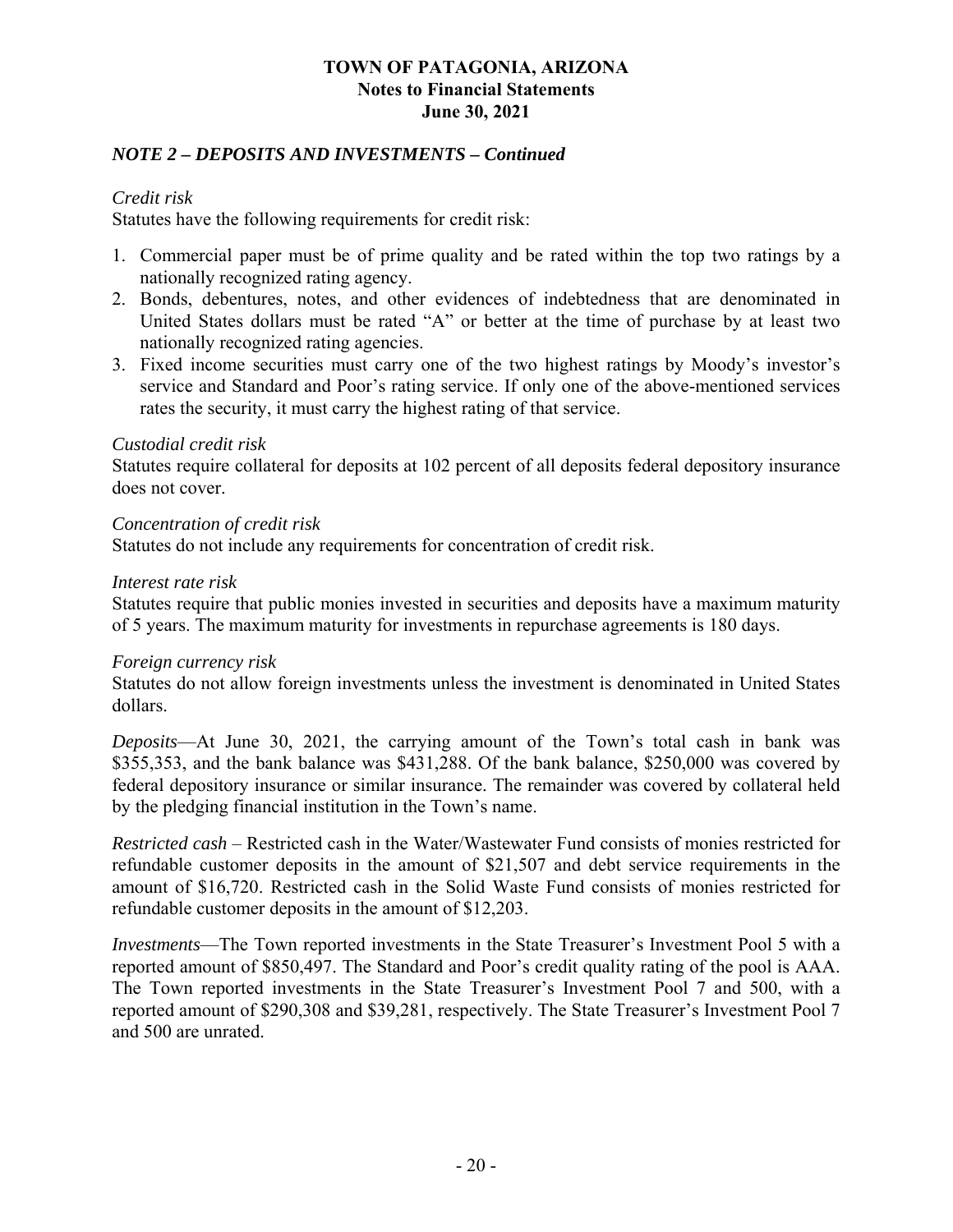### *NOTE 2 – DEPOSITS AND INVESTMENTS – Continued*

### *Credit risk*

Statutes have the following requirements for credit risk:

- 1. Commercial paper must be of prime quality and be rated within the top two ratings by a nationally recognized rating agency.
- 2. Bonds, debentures, notes, and other evidences of indebtedness that are denominated in United States dollars must be rated "A" or better at the time of purchase by at least two nationally recognized rating agencies.
- 3. Fixed income securities must carry one of the two highest ratings by Moody's investor's service and Standard and Poor's rating service. If only one of the above-mentioned services rates the security, it must carry the highest rating of that service.

#### *Custodial credit risk*

Statutes require collateral for deposits at 102 percent of all deposits federal depository insurance does not cover.

#### *Concentration of credit risk*

Statutes do not include any requirements for concentration of credit risk.

#### *Interest rate risk*

Statutes require that public monies invested in securities and deposits have a maximum maturity of 5 years. The maximum maturity for investments in repurchase agreements is 180 days.

#### *Foreign currency risk*

Statutes do not allow foreign investments unless the investment is denominated in United States dollars.

*Deposits*—At June 30, 2021, the carrying amount of the Town's total cash in bank was \$355,353, and the bank balance was \$431,288. Of the bank balance, \$250,000 was covered by federal depository insurance or similar insurance. The remainder was covered by collateral held by the pledging financial institution in the Town's name.

*Restricted cash* – Restricted cash in the Water/Wastewater Fund consists of monies restricted for refundable customer deposits in the amount of \$21,507 and debt service requirements in the amount of \$16,720. Restricted cash in the Solid Waste Fund consists of monies restricted for refundable customer deposits in the amount of \$12,203.

*Investments*—The Town reported investments in the State Treasurer's Investment Pool 5 with a reported amount of \$850,497. The Standard and Poor's credit quality rating of the pool is AAA. The Town reported investments in the State Treasurer's Investment Pool 7 and 500, with a reported amount of \$290,308 and \$39,281, respectively. The State Treasurer's Investment Pool 7 and 500 are unrated.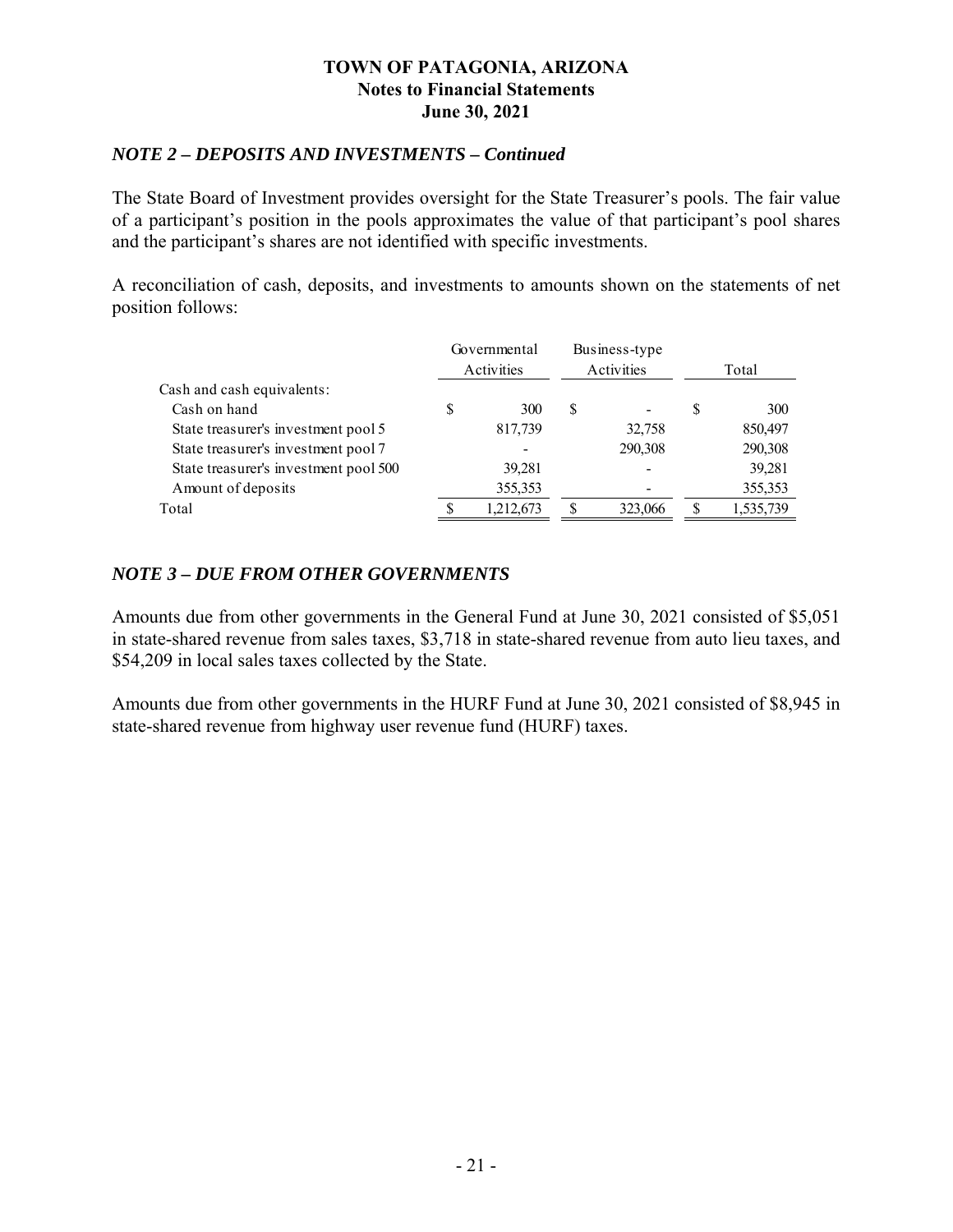#### *NOTE 2 – DEPOSITS AND INVESTMENTS – Continued*

The State Board of Investment provides oversight for the State Treasurer's pools. The fair value of a participant's position in the pools approximates the value of that participant's pool shares and the participant's shares are not identified with specific investments.

A reconciliation of cash, deposits, and investments to amounts shown on the statements of net position follows:

|                                       |   | Governmental<br>Activities |    | Business-type<br>Activities |     | Total     |
|---------------------------------------|---|----------------------------|----|-----------------------------|-----|-----------|
| Cash and cash equivalents:            |   |                            |    |                             |     |           |
| Cash on hand                          | S | 300                        | \$ |                             | \$. | 300       |
| State treasurer's investment pool 5   |   | 817,739                    |    | 32,758                      |     | 850,497   |
| State treasurer's investment pool 7   |   |                            |    | 290,308                     |     | 290,308   |
| State treasurer's investment pool 500 |   | 39,281                     |    |                             |     | 39,281    |
| Amount of deposits                    |   | 355,353                    |    |                             |     | 355,353   |
| Total                                 |   | 1,212,673                  | S  | 323,066                     |     | 1,535,739 |

### *NOTE 3 – DUE FROM OTHER GOVERNMENTS*

Amounts due from other governments in the General Fund at June 30, 2021 consisted of \$5,051 in state-shared revenue from sales taxes, \$3,718 in state-shared revenue from auto lieu taxes, and \$54,209 in local sales taxes collected by the State.

Amounts due from other governments in the HURF Fund at June 30, 2021 consisted of \$8,945 in state-shared revenue from highway user revenue fund (HURF) taxes.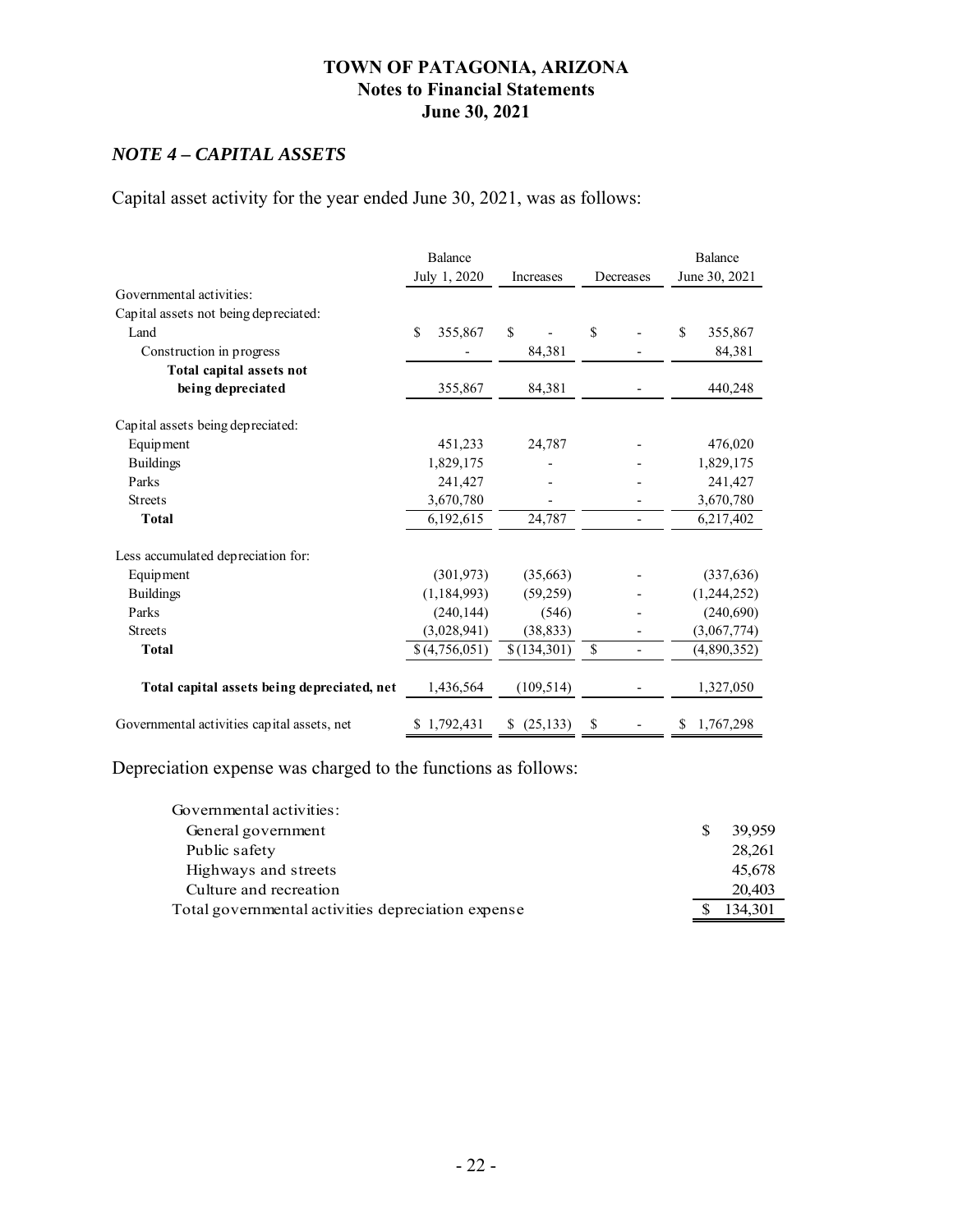### *NOTE 4 – CAPITAL ASSETS*

Capital asset activity for the year ended June 30, 2021, was as follows:

|                                             | <b>Balance</b><br>July 1, 2020 | Increases       | Decreases                      | Balance<br>June 30, 2021 |
|---------------------------------------------|--------------------------------|-----------------|--------------------------------|--------------------------|
| Governmental activities:                    |                                |                 |                                |                          |
| Capital assets not being depreciated:       |                                |                 |                                |                          |
| Land                                        | $\mathbf{\hat{S}}$<br>355,867  | $\mathbf S$     | \$                             | \$<br>355,867            |
| Construction in progress                    |                                | 84,381          |                                | 84,381                   |
| Total capital assets not                    |                                |                 |                                |                          |
| being depreciated                           | 355,867                        | 84,381          |                                | 440,248                  |
| Capital assets being depreciated:           |                                |                 |                                |                          |
| Equipment                                   | 451,233                        | 24,787          |                                | 476,020                  |
| <b>Buildings</b>                            | 1,829,175                      |                 |                                | 1,829,175                |
| Parks                                       | 241,427                        |                 |                                | 241,427                  |
| <b>Streets</b>                              | 3,670,780                      |                 |                                | 3,670,780                |
| <b>Total</b>                                | 6,192,615                      | 24,787          |                                | 6,217,402                |
| Less accumulated depreciation for:          |                                |                 |                                |                          |
| Equipment                                   | (301, 973)                     | (35,663)        |                                | (337, 636)               |
| <b>Buildings</b>                            | (1, 184, 993)                  | (59,259)        |                                | (1,244,252)              |
| Parks                                       | (240, 144)                     | (546)           |                                | (240,690)                |
| <b>Streets</b>                              | (3,028,941)                    | (38, 833)       |                                | (3,067,774)              |
| <b>Total</b>                                | \$(4,756,051)                  | \$(134,301)     | \$<br>$\overline{\phantom{a}}$ | (4,890,352)              |
| Total capital assets being depreciated, net | 1,436,564                      | (109, 514)      |                                | 1,327,050                |
| Governmental activities capital assets, net | \$1,792,431                    | (25, 133)<br>S. | S                              | 1,767,298<br>S           |

Depreciation expense was charged to the functions as follows:

| Governmental activities:                           |         |
|----------------------------------------------------|---------|
| General government                                 | 39,959  |
| Public safety                                      | 28.261  |
| Highways and streets                               | 45,678  |
| Culture and recreation                             | 20,403  |
| Total governmental activities depreciation expense | 134,301 |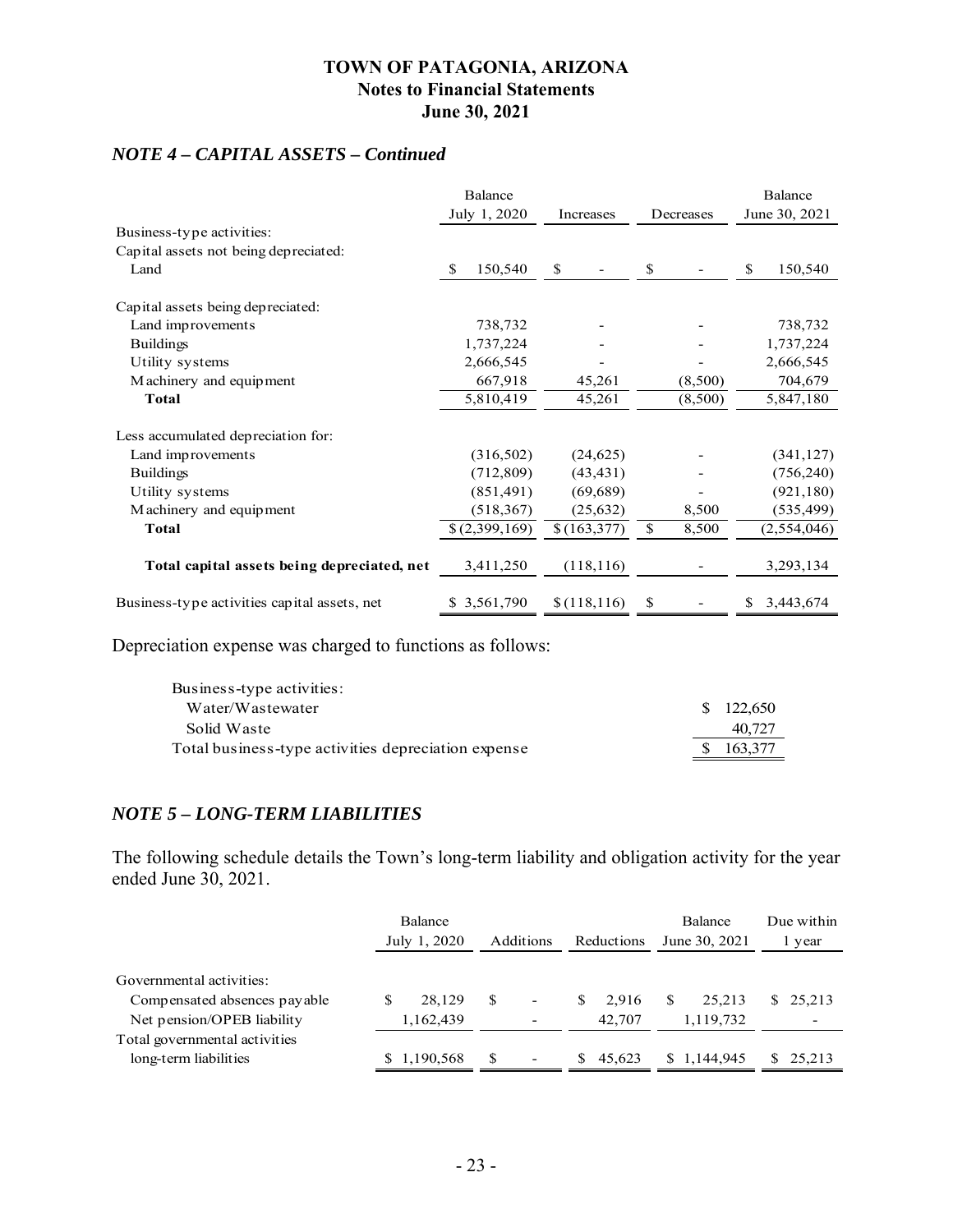### *NOTE 4 – CAPITAL ASSETS – Continued*

|                                              | <b>Balance</b> |              |             |    | Balance       |
|----------------------------------------------|----------------|--------------|-------------|----|---------------|
|                                              | July 1, 2020   | Increases    | Decreases   |    | June 30, 2021 |
| Business-type activities:                    |                |              |             |    |               |
| Capital assets not being depreciated:        |                |              |             |    |               |
| Land                                         | \$<br>150,540  | \$           | \$          | \$ | 150,540       |
| Capital assets being depreciated:            |                |              |             |    |               |
| Land improvements                            | 738,732        |              |             |    | 738,732       |
| <b>Buildings</b>                             | 1,737,224      |              |             |    | 1,737,224     |
| Utility systems                              | 2,666,545      |              |             |    | 2,666,545     |
| Machinery and equipment                      | 667,918        | 45,261       | (8,500)     |    | 704,679       |
| <b>Total</b>                                 | 5,810,419      | 45,261       | (8,500)     |    | 5,847,180     |
| Less accumulated depreciation for:           |                |              |             |    |               |
| Land improvements                            | (316,502)      | (24, 625)    |             |    | (341, 127)    |
| <b>Buildings</b>                             | (712,809)      | (43, 431)    |             |    | (756, 240)    |
| Utility systems                              | (851, 491)     | (69, 689)    |             |    | (921, 180)    |
| Machinery and equipment                      | (518, 367)     | (25, 632)    | 8,500       |    | (535,499)     |
| Total                                        | \$(2,399,169)  | \$(163, 377) | \$<br>8,500 |    | (2,554,046)   |
| Total capital assets being depreciated, net  | 3,411,250      | (118, 116)   |             |    | 3,293,134     |
| Business-type activities capital assets, net | \$ 3,561,790   | \$(118, 116) | \$          | S  | 3,443,674     |

Depreciation expense was charged to functions as follows:

| Business-type activities:                           |           |
|-----------------------------------------------------|-----------|
| Water/Wastewater                                    | \$122,650 |
| Solid Waste                                         | 40.727    |
| Total business-type activities depreciation expense | \$163,377 |

### *NOTE 5 – LONG-TERM LIABILITIES*

The following schedule details the Town's long-term liability and obligation activity for the year ended June 30, 2021.

|                               | Balance<br>July 1, 2020 | Additions                          | Reductions  | <b>Balance</b><br>June 30, 2021 | Due within<br>l year |
|-------------------------------|-------------------------|------------------------------------|-------------|---------------------------------|----------------------|
| Governmental activities:      |                         |                                    |             |                                 |                      |
| Compensated absences payable  | 28,129                  | -S                                 | 2.916<br>S. | 25.213                          | \$25,213             |
| Net pension/OPEB liability    | 1,162,439               |                                    | 42,707      | 1,119,732                       |                      |
| Total governmental activities |                         |                                    |             |                                 |                      |
| long-term liabilities         | \$1,190,568             | -S<br>$\qquad \qquad \blacksquare$ | 45.623      | \$1,144,945                     | \$25,213             |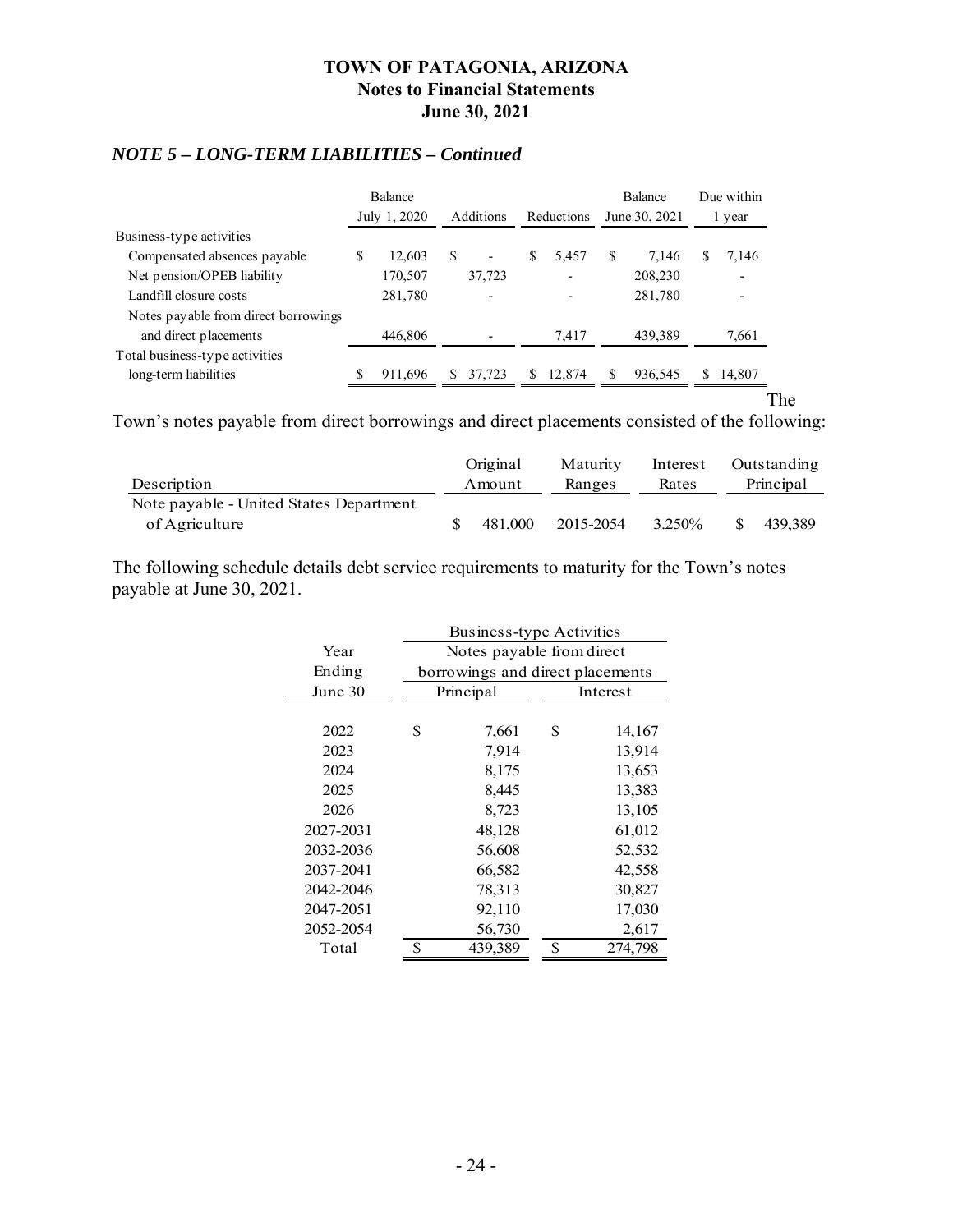### *NOTE 5 – LONG-TERM LIABILITIES – Continued*

|                                      |   | <b>Balance</b> |     |           |    |            |    | <b>Balance</b> |   | Due within               |      |
|--------------------------------------|---|----------------|-----|-----------|----|------------|----|----------------|---|--------------------------|------|
|                                      |   | July 1, 2020   |     | Additions |    | Reductions |    | June 30, 2021  |   | l year                   |      |
| Business-type activities             |   |                |     |           |    |            |    |                |   |                          |      |
| Compensated absences payable         | S | 12.603         | \$. | ۰         | S  | 5,457      | S  | 7.146          | S | 7,146                    |      |
| Net pension/OPEB liability           |   | 170,507        |     | 37,723    |    |            |    | 208,230        |   | $\overline{\phantom{0}}$ |      |
| Landfill closure costs               |   | 281,780        |     |           |    |            |    | 281,780        |   | $\overline{\phantom{0}}$ |      |
| Notes payable from direct borrowings |   |                |     |           |    |            |    |                |   |                          |      |
| and direct placements                |   | 446,806        |     |           |    | 7,417      |    | 439,389        |   | 7,661                    |      |
| Total business-type activities       |   |                |     |           |    |            |    |                |   |                          |      |
| long-term liabilities                |   | 911,696        |     | 37,723    | S. | 12,874     | \$ | 936,545        | S | 14,807                   |      |
|                                      |   |                |     |           |    |            |    |                |   |                          | l`he |

Town's notes payable from direct borrowings and direct placements consisted of the following:

| Description                             | Original<br>Amount | Maturity<br>Ranges | Rates |   | Interest Outstanding<br>Principal |
|-----------------------------------------|--------------------|--------------------|-------|---|-----------------------------------|
| Note payable - United States Department | 481.000            | 2015-2054 3.250%   |       | S | 439.389                           |
| of Agriculture                          |                    |                    |       |   |                                   |

The following schedule details debt service requirements to maturity for the Town's notes payable at June 30, 2021.

|           | Business-type Activities |                                  |    |          |  |  |  |  |  |
|-----------|--------------------------|----------------------------------|----|----------|--|--|--|--|--|
| Year      |                          | Notes payable from direct        |    |          |  |  |  |  |  |
| Ending    |                          | borrowings and direct placements |    |          |  |  |  |  |  |
| June 30   |                          | Principal                        |    | Interest |  |  |  |  |  |
|           |                          |                                  |    |          |  |  |  |  |  |
| 2022      | \$                       | 7,661                            | \$ | 14,167   |  |  |  |  |  |
| 2023      |                          | 7,914                            |    | 13,914   |  |  |  |  |  |
| 2024      |                          | 8,175                            |    | 13,653   |  |  |  |  |  |
| 2025      |                          | 8,445                            |    | 13,383   |  |  |  |  |  |
| 2026      |                          | 8,723                            |    | 13,105   |  |  |  |  |  |
| 2027-2031 |                          | 48,128                           |    | 61,012   |  |  |  |  |  |
| 2032-2036 |                          | 56,608                           |    | 52,532   |  |  |  |  |  |
| 2037-2041 |                          | 66,582                           |    | 42,558   |  |  |  |  |  |
| 2042-2046 |                          | 78,313                           |    | 30,827   |  |  |  |  |  |
| 2047-2051 |                          | 92,110                           |    | 17,030   |  |  |  |  |  |
| 2052-2054 |                          | 56,730                           |    | 2,617    |  |  |  |  |  |
| Total     | \$                       | 439,389                          | \$ | 274,798  |  |  |  |  |  |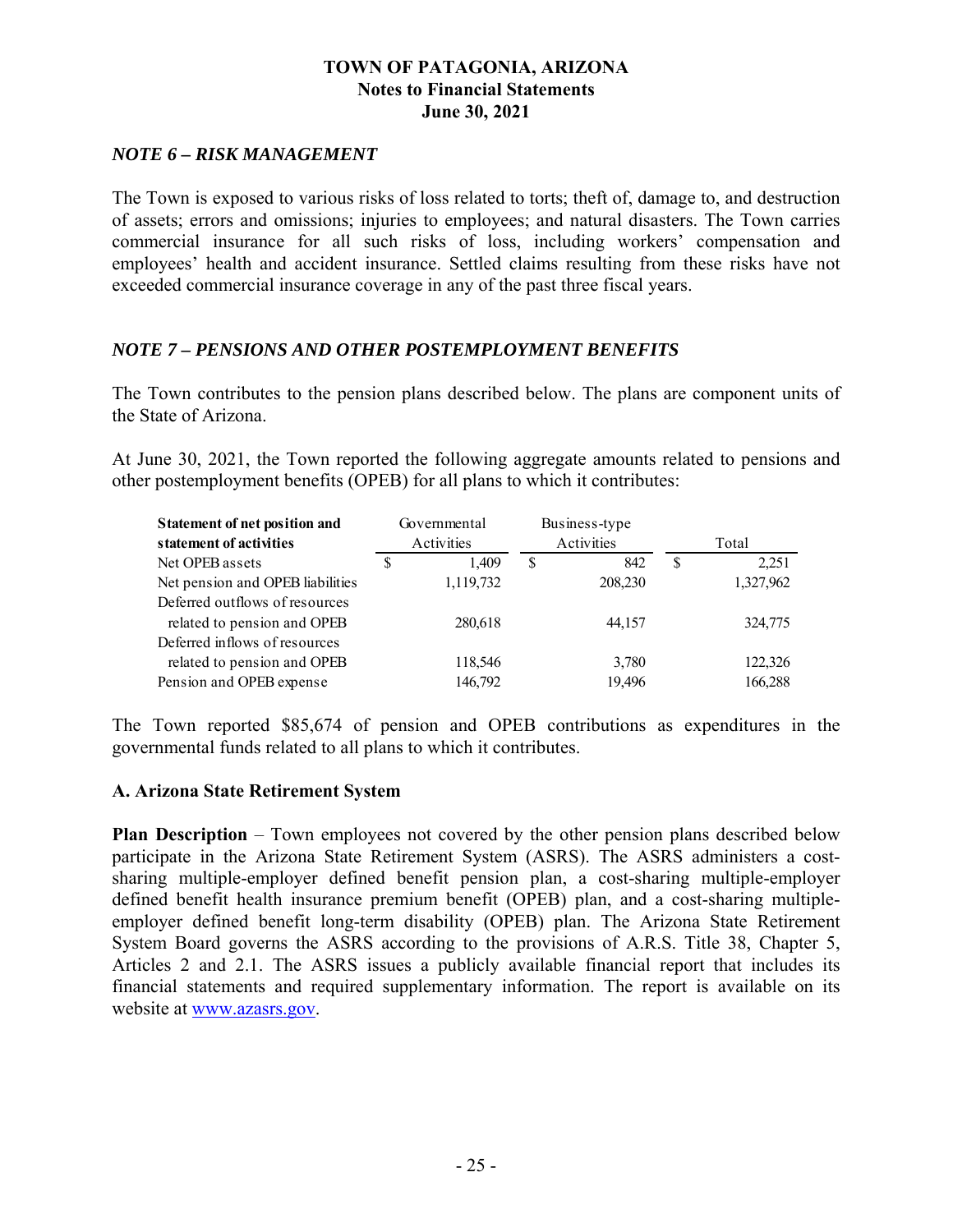### *NOTE 6 – RISK MANAGEMENT*

The Town is exposed to various risks of loss related to torts; theft of, damage to, and destruction of assets; errors and omissions; injuries to employees; and natural disasters. The Town carries commercial insurance for all such risks of loss, including workers' compensation and employees' health and accident insurance. Settled claims resulting from these risks have not exceeded commercial insurance coverage in any of the past three fiscal years.

### *NOTE 7 – PENSIONS AND OTHER POSTEMPLOYMENT BENEFITS*

The Town contributes to the pension plans described below. The plans are component units of the State of Arizona.

At June 30, 2021, the Town reported the following aggregate amounts related to pensions and other postemployment benefits (OPEB) for all plans to which it contributes:

| <b>Statement of net position and</b> |            | Governmental |            | Business-type |   |           |
|--------------------------------------|------------|--------------|------------|---------------|---|-----------|
| statement of activities              | Activities |              | Activities |               |   | Total     |
| Net OPEB assets                      | S          | 1.409        | S          | 842           | S | 2,251     |
| Net pension and OPEB liabilities     |            | 1,119,732    |            | 208,230       |   | 1,327,962 |
| Deferred outflows of resources       |            |              |            |               |   |           |
| related to pension and OPEB          |            | 280,618      |            | 44,157        |   | 324,775   |
| Deferred inflows of resources        |            |              |            |               |   |           |
| related to pension and OPEB          |            | 118,546      |            | 3,780         |   | 122,326   |
| Pension and OPEB expense             |            | 146,792      |            | 19,496        |   | 166,288   |

The Town reported \$85,674 of pension and OPEB contributions as expenditures in the governmental funds related to all plans to which it contributes.

#### **A. Arizona State Retirement System**

**Plan Description** – Town employees not covered by the other pension plans described below participate in the Arizona State Retirement System (ASRS). The ASRS administers a costsharing multiple-employer defined benefit pension plan, a cost-sharing multiple-employer defined benefit health insurance premium benefit (OPEB) plan, and a cost-sharing multipleemployer defined benefit long-term disability (OPEB) plan. The Arizona State Retirement System Board governs the ASRS according to the provisions of A.R.S. Title 38, Chapter 5, Articles 2 and 2.1. The ASRS issues a publicly available financial report that includes its financial statements and required supplementary information. The report is available on its website at www.azasrs.gov.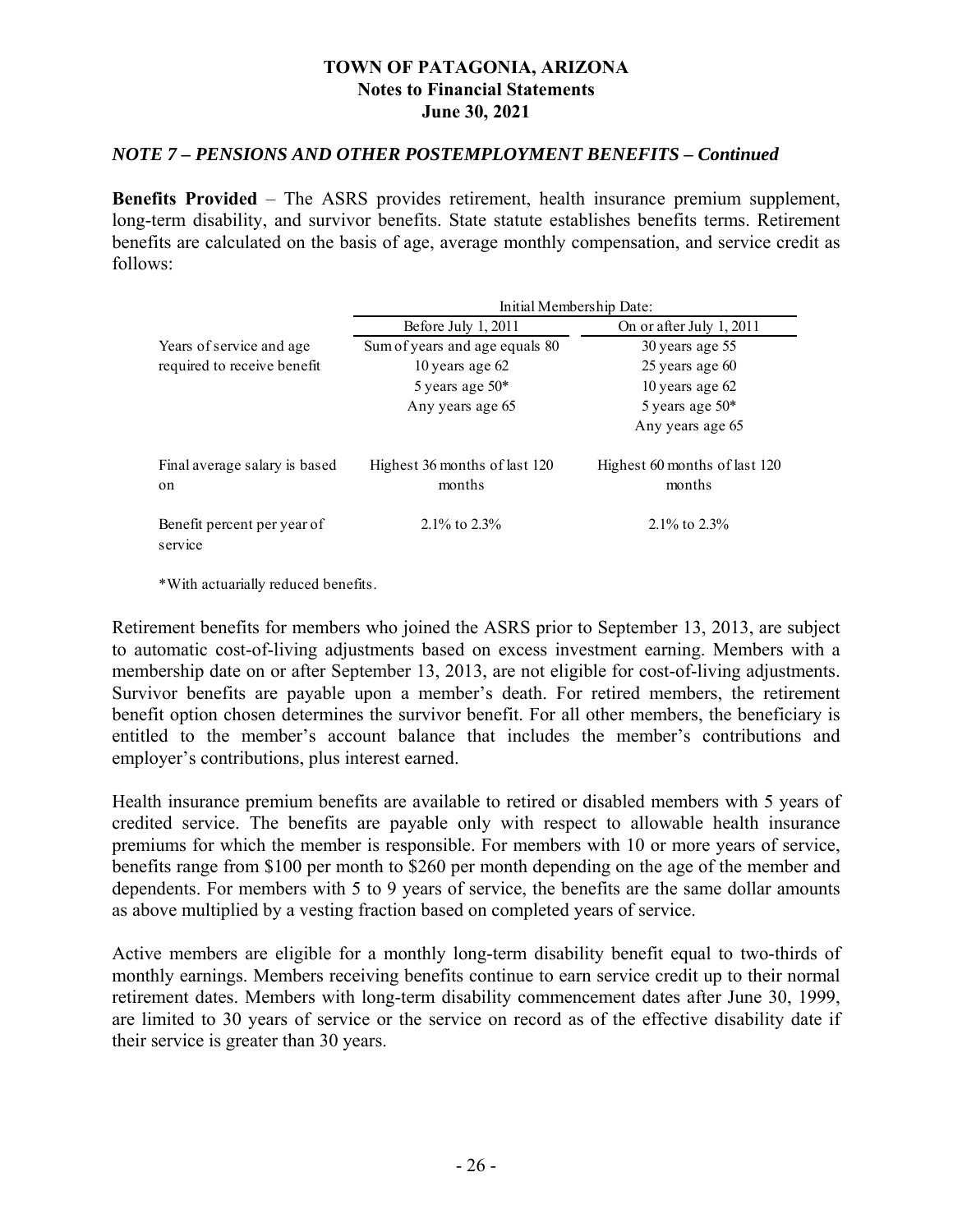#### *NOTE 7 – PENSIONS AND OTHER POSTEMPLOYMENT BENEFITS – Continued*

**Benefits Provided** – The ASRS provides retirement, health insurance premium supplement, long-term disability, and survivor benefits. State statute establishes benefits terms. Retirement benefits are calculated on the basis of age, average monthly compensation, and service credit as follows:

|                                                | Initial Membership Date:                |                                         |  |  |  |  |  |  |
|------------------------------------------------|-----------------------------------------|-----------------------------------------|--|--|--|--|--|--|
|                                                | Before July $1, 2011$                   | On or after July 1, 2011                |  |  |  |  |  |  |
| Years of service and age                       | Sum of years and age equals 80          | 30 years age 55                         |  |  |  |  |  |  |
| required to receive benefit                    | 10 years age 62                         | $25$ years age $60$                     |  |  |  |  |  |  |
|                                                | 5 years age $50*$                       | 10 years age $62$                       |  |  |  |  |  |  |
|                                                | Any years age 65                        | 5 years age $50*$                       |  |  |  |  |  |  |
|                                                |                                         | Any years age 65                        |  |  |  |  |  |  |
| Final average salary is based<br><sub>on</sub> | Highest 36 months of last 120<br>months | Highest 60 months of last 120<br>months |  |  |  |  |  |  |
| Benefit percent per year of<br>service         | 2.1\% to $2.3\%$                        | 2.1\% to $2.3\%$                        |  |  |  |  |  |  |

\*With actuarially reduced benefits.

Retirement benefits for members who joined the ASRS prior to September 13, 2013, are subject to automatic cost-of-living adjustments based on excess investment earning. Members with a membership date on or after September 13, 2013, are not eligible for cost-of-living adjustments. Survivor benefits are payable upon a member's death. For retired members, the retirement benefit option chosen determines the survivor benefit. For all other members, the beneficiary is entitled to the member's account balance that includes the member's contributions and employer's contributions, plus interest earned.

Health insurance premium benefits are available to retired or disabled members with 5 years of credited service. The benefits are payable only with respect to allowable health insurance premiums for which the member is responsible. For members with 10 or more years of service, benefits range from \$100 per month to \$260 per month depending on the age of the member and dependents. For members with 5 to 9 years of service, the benefits are the same dollar amounts as above multiplied by a vesting fraction based on completed years of service.

Active members are eligible for a monthly long-term disability benefit equal to two-thirds of monthly earnings. Members receiving benefits continue to earn service credit up to their normal retirement dates. Members with long-term disability commencement dates after June 30, 1999, are limited to 30 years of service or the service on record as of the effective disability date if their service is greater than 30 years.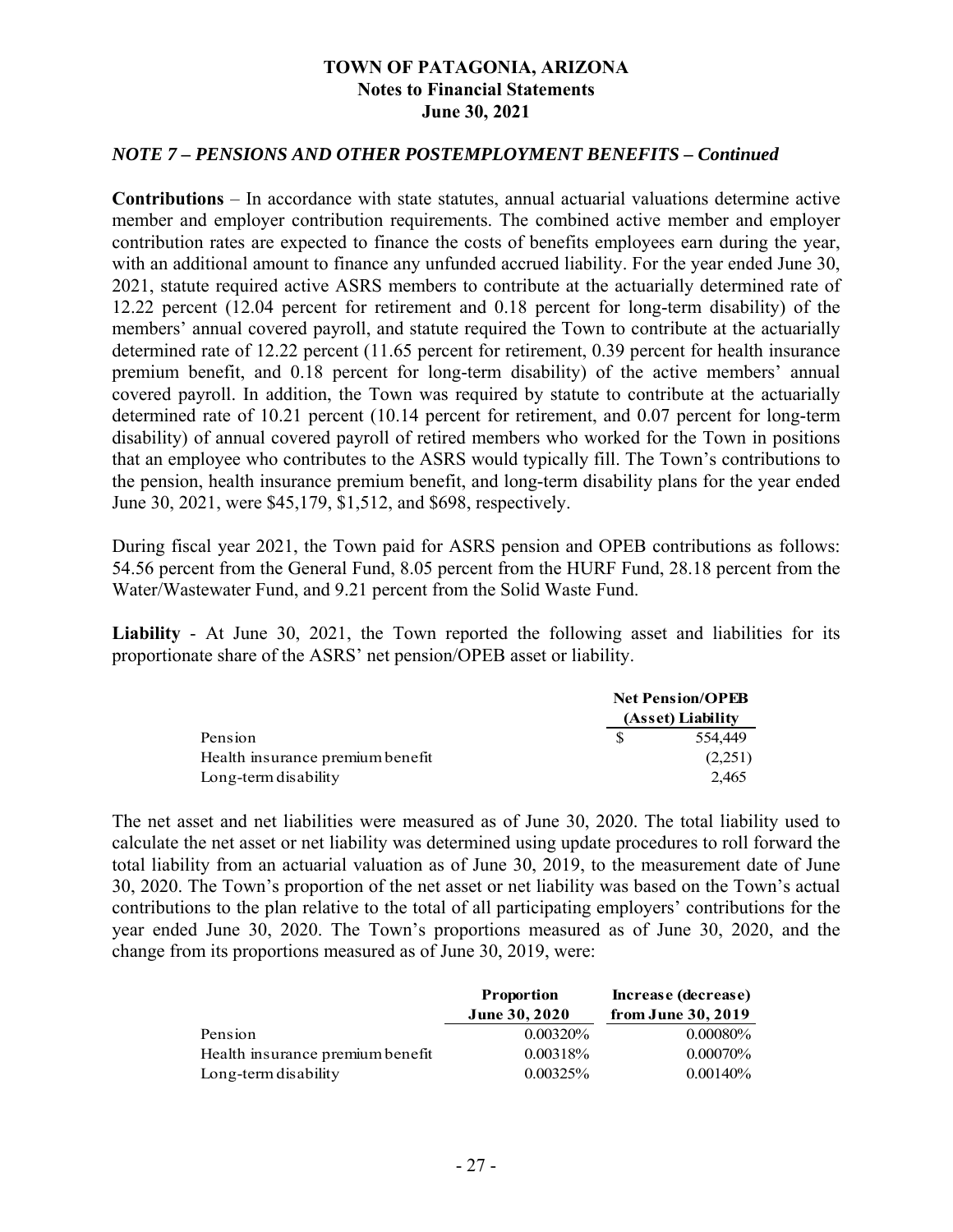#### *NOTE 7 – PENSIONS AND OTHER POSTEMPLOYMENT BENEFITS – Continued*

**Contributions** – In accordance with state statutes, annual actuarial valuations determine active member and employer contribution requirements. The combined active member and employer contribution rates are expected to finance the costs of benefits employees earn during the year, with an additional amount to finance any unfunded accrued liability. For the year ended June 30, 2021, statute required active ASRS members to contribute at the actuarially determined rate of 12.22 percent (12.04 percent for retirement and 0.18 percent for long-term disability) of the members' annual covered payroll, and statute required the Town to contribute at the actuarially determined rate of 12.22 percent (11.65 percent for retirement, 0.39 percent for health insurance premium benefit, and 0.18 percent for long-term disability) of the active members' annual covered payroll. In addition, the Town was required by statute to contribute at the actuarially determined rate of 10.21 percent (10.14 percent for retirement, and 0.07 percent for long-term disability) of annual covered payroll of retired members who worked for the Town in positions that an employee who contributes to the ASRS would typically fill. The Town's contributions to the pension, health insurance premium benefit, and long-term disability plans for the year ended June 30, 2021, were \$45,179, \$1,512, and \$698, respectively.

During fiscal year 2021, the Town paid for ASRS pension and OPEB contributions as follows: 54.56 percent from the General Fund, 8.05 percent from the HURF Fund, 28.18 percent from the Water/Wastewater Fund, and 9.21 percent from the Solid Waste Fund.

**Liability** - At June 30, 2021, the Town reported the following asset and liabilities for its proportionate share of the ASRS' net pension/OPEB asset or liability.

|                                  | <b>Net Pension/OPEB</b> |                   |  |
|----------------------------------|-------------------------|-------------------|--|
|                                  |                         | (Asset) Liability |  |
| Pension                          |                         | 554,449           |  |
| Health insurance premium benefit |                         | (2,251)           |  |
| Long-term disability             |                         | 2.465             |  |

The net asset and net liabilities were measured as of June 30, 2020. The total liability used to calculate the net asset or net liability was determined using update procedures to roll forward the total liability from an actuarial valuation as of June 30, 2019, to the measurement date of June 30, 2020. The Town's proportion of the net asset or net liability was based on the Town's actual contributions to the plan relative to the total of all participating employers' contributions for the year ended June 30, 2020. The Town's proportions measured as of June 30, 2020, and the change from its proportions measured as of June 30, 2019, were:

|                                  | <b>Proportion</b>    | Increase (decrease) |  |  |
|----------------------------------|----------------------|---------------------|--|--|
|                                  | <b>June 30, 2020</b> | from June 30, 2019  |  |  |
| Pension                          | $0.00320\%$          | $0.00080\%$         |  |  |
| Health insurance premium benefit | 0.00318%             | $0.00070\%$         |  |  |
| Long-term disability             | 0.00325%             | $0.00140\%$         |  |  |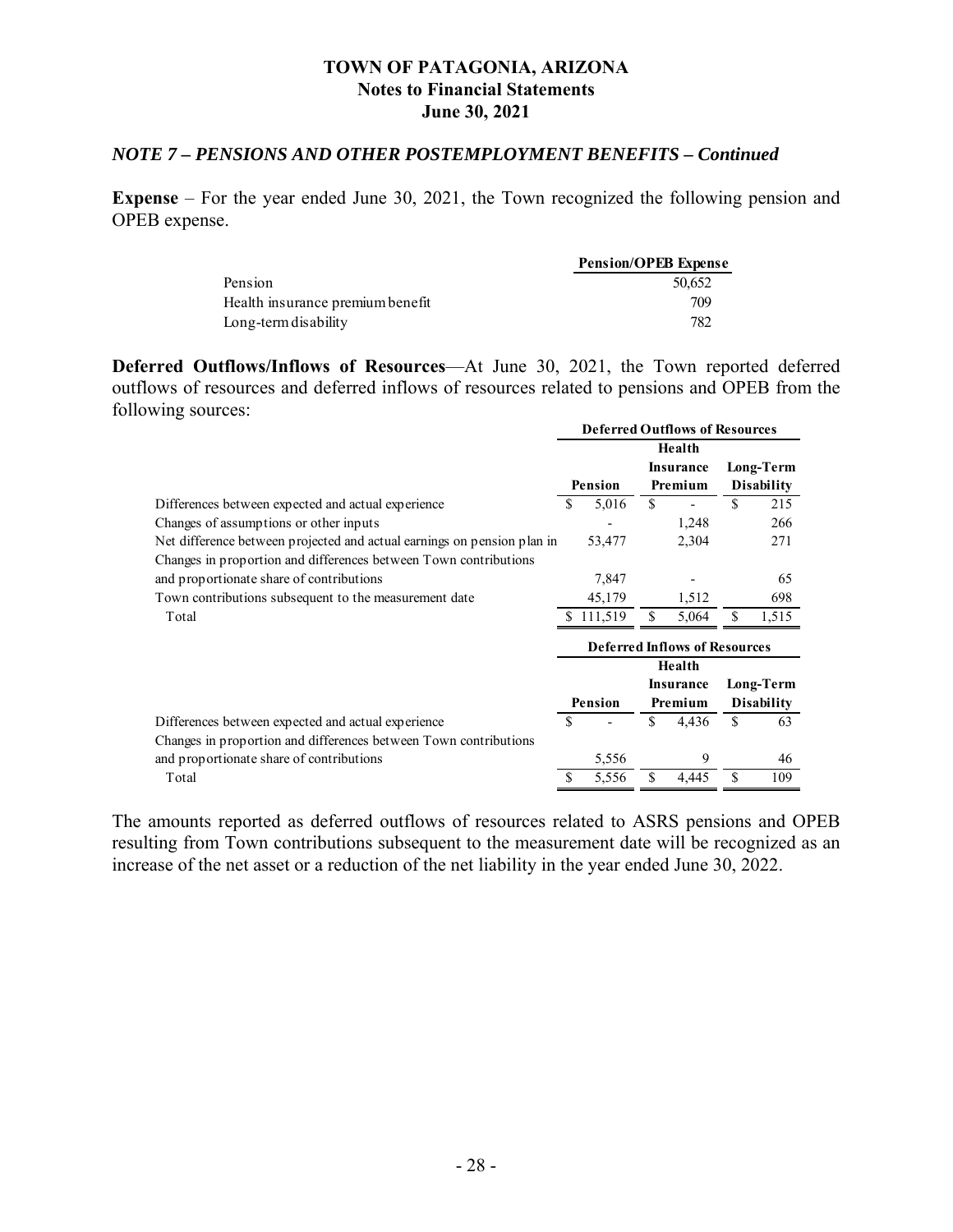### *NOTE 7 – PENSIONS AND OTHER POSTEMPLOYMENT BENEFITS – Continued*

**Expense** – For the year ended June 30, 2021, the Town recognized the following pension and OPEB expense.

|                                  | <b>Pension/OPEB Expense</b> |
|----------------------------------|-----------------------------|
| Pension                          | 50.652                      |
| Health insurance premium benefit | 709                         |
| Long-term disability             | 782                         |

**Deferred Outflows/Inflows of Resources**—At June 30, 2021, the Town reported deferred outflows of resources and deferred inflows of resources related to pensions and OPEB from the following sources: **Deferred Outflows of Resources**

|                                                                         |    | <b>Deferred Outflows of Resources</b> |    |                                      |    |                   |
|-------------------------------------------------------------------------|----|---------------------------------------|----|--------------------------------------|----|-------------------|
|                                                                         |    |                                       |    | Health                               |    |                   |
|                                                                         |    |                                       |    | <b>Insurance</b>                     |    | Long-Term         |
|                                                                         |    | Pension                               |    | Premium                              |    | <b>Disability</b> |
| Differences between expected and actual experience                      | \$ | 5,016                                 | \$ |                                      | \$ | 215               |
| Changes of assumptions or other inputs                                  |    |                                       |    | 1,248                                |    | 266               |
| Net difference between projected and actual earnings on pension plan in |    | 53,477                                |    | 2,304                                |    | 271               |
| Changes in proportion and differences between Town contributions        |    |                                       |    |                                      |    |                   |
| and proportionate share of contributions                                |    | 7,847                                 |    |                                      |    | 65                |
| Town contributions subsequent to the measurement date                   |    | 45,179                                |    | 1,512                                |    | 698               |
| Total                                                                   |    | \$111,519                             | \$ | 5,064                                |    | 1,515             |
|                                                                         |    |                                       |    | <b>Deferred Inflows of Resources</b> |    |                   |
|                                                                         |    |                                       |    | Health                               |    |                   |
|                                                                         |    |                                       |    | Insurance                            |    | Long-Term         |
|                                                                         |    | Pension                               |    | Premium                              |    | <b>Disability</b> |
| Differences between expected and actual experience                      | S  |                                       | \$ | 4,436                                | \$ | 63                |
| Changes in proportion and differences between Town contributions        |    |                                       |    |                                      |    |                   |
| and proportionate share of contributions                                |    | 5,556                                 |    | 9                                    |    | 46                |
| Total                                                                   |    | 5,556                                 | \$ | 4,445                                | \$ | 109               |

The amounts reported as deferred outflows of resources related to ASRS pensions and OPEB resulting from Town contributions subsequent to the measurement date will be recognized as an increase of the net asset or a reduction of the net liability in the year ended June 30, 2022.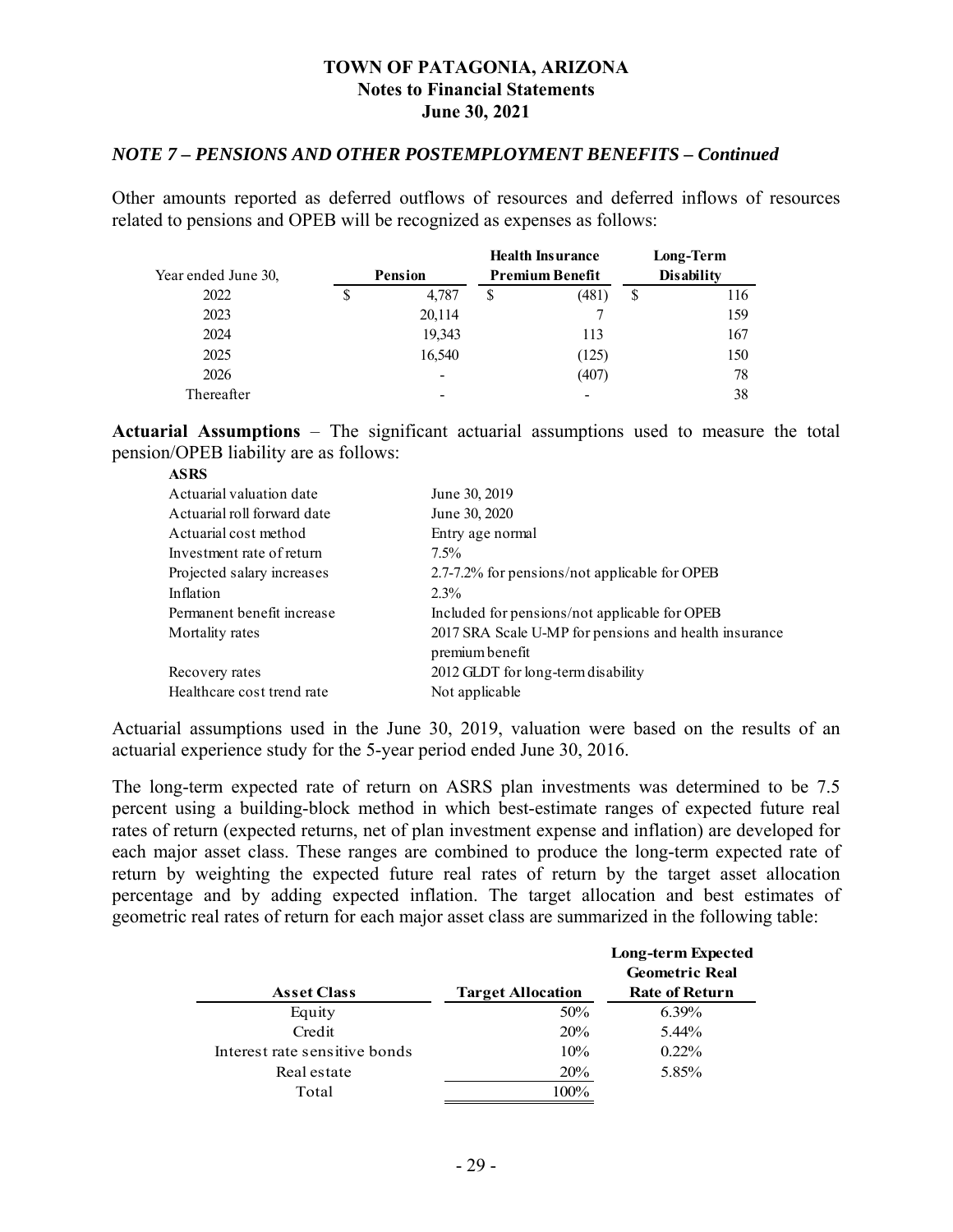#### *NOTE 7 – PENSIONS AND OTHER POSTEMPLOYMENT BENEFITS – Continued*

Other amounts reported as deferred outflows of resources and deferred inflows of resources related to pensions and OPEB will be recognized as expenses as follows:

|                     |                | <b>Health Insurance</b> |    | Long-Term         |
|---------------------|----------------|-------------------------|----|-------------------|
| Year ended June 30, | <b>Pension</b> | <b>Premium Benefit</b>  |    | <b>Disability</b> |
| 2022                | 4,787          | \$<br>(481)             | \$ | 116               |
| 2023                | 20,114         |                         |    | 159               |
| 2024                | 19,343         | 113                     |    | 167               |
| 2025                | 16,540         | (125)                   |    | 150               |
| 2026                | -              | (407)                   |    | 78                |
| Thereafter          |                |                         |    | 38                |

**Actuarial Assumptions** – The significant actuarial assumptions used to measure the total pension/OPEB liability are as follows: **ASRS**

| ASKS                        |                                                       |
|-----------------------------|-------------------------------------------------------|
| Actuarial valuation date    | June 30, 2019                                         |
| Actuarial roll forward date | June 30, 2020                                         |
| Actuarial cost method       | Entry age normal                                      |
| Investment rate of return   | $7.5\%$                                               |
| Projected salary increases  | 2.7-7.2% for pensions/not applicable for OPEB         |
| Inflation                   | $2.3\%$                                               |
| Permanent benefit increase  | Included for pensions/not applicable for OPEB         |
| Mortality rates             | 2017 SRA Scale U-MP for pensions and health insurance |
|                             | premium benefit                                       |
| Recovery rates              | 2012 GLDT for long-term disability                    |
| Healthcare cost trend rate  | Not applicable                                        |
|                             |                                                       |

Actuarial assumptions used in the June 30, 2019, valuation were based on the results of an actuarial experience study for the 5-year period ended June 30, 2016.

The long-term expected rate of return on ASRS plan investments was determined to be 7.5 percent using a building-block method in which best-estimate ranges of expected future real rates of return (expected returns, net of plan investment expense and inflation) are developed for each major asset class. These ranges are combined to produce the long-term expected rate of return by weighting the expected future real rates of return by the target asset allocation percentage and by adding expected inflation. The target allocation and best estimates of geometric real rates of return for each major asset class are summarized in the following table:

|                               |                          | Long-term Expected<br><b>Geometric Real</b> |
|-------------------------------|--------------------------|---------------------------------------------|
| <b>Asset Class</b>            | <b>Target Allocation</b> | <b>Rate of Return</b>                       |
| Equity                        | 50%                      | $6.39\%$                                    |
| Credit                        | 20%                      | 5.44%                                       |
| Interest rate sensitive bonds | 10%                      | $0.22\%$                                    |
| Real estate                   | <b>20%</b>               | 5.85%                                       |
| Total                         | 100%                     |                                             |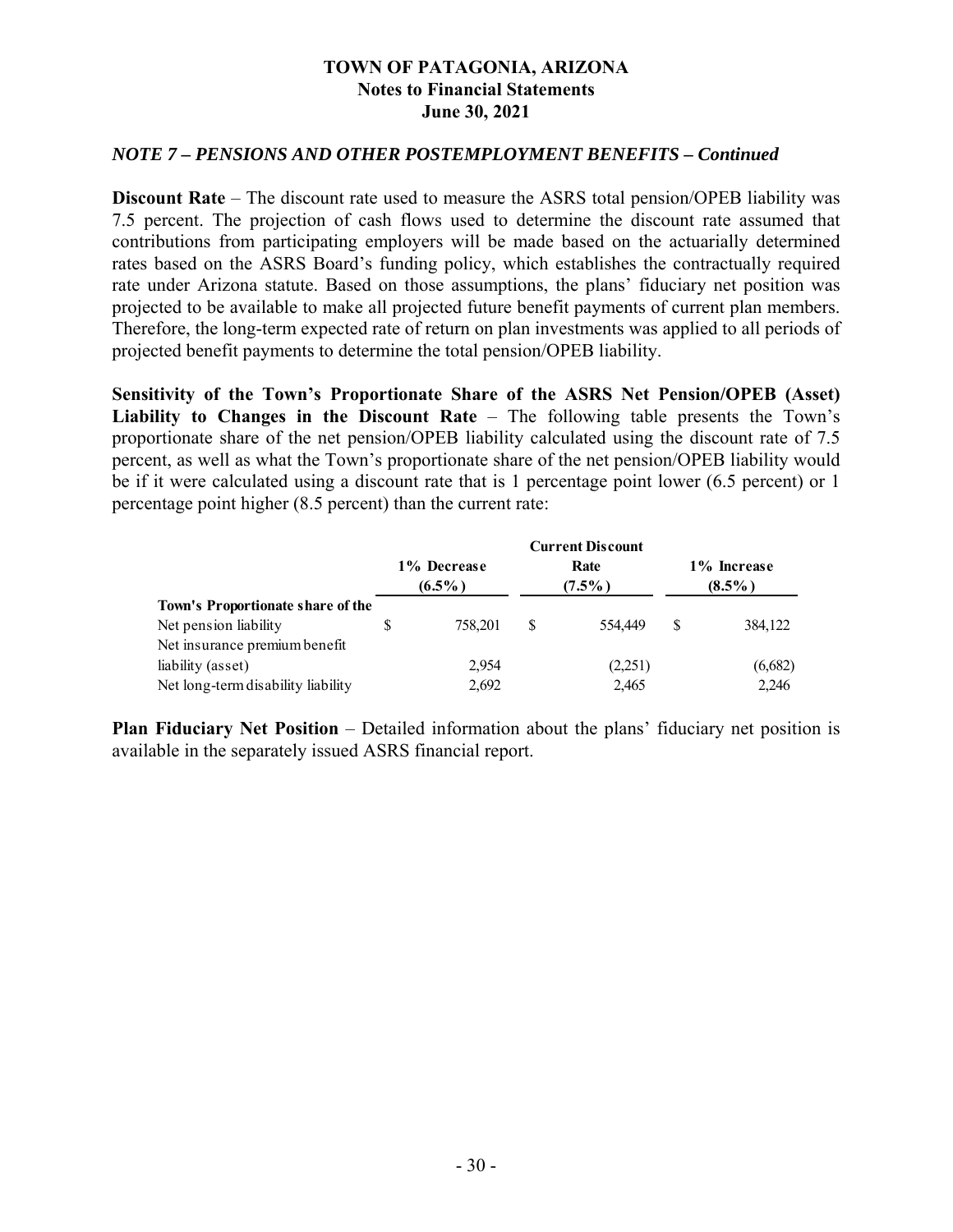#### *NOTE 7 – PENSIONS AND OTHER POSTEMPLOYMENT BENEFITS – Continued*

**Discount Rate** – The discount rate used to measure the ASRS total pension/OPEB liability was 7.5 percent. The projection of cash flows used to determine the discount rate assumed that contributions from participating employers will be made based on the actuarially determined rates based on the ASRS Board's funding policy, which establishes the contractually required rate under Arizona statute. Based on those assumptions, the plans' fiduciary net position was projected to be available to make all projected future benefit payments of current plan members. Therefore, the long-term expected rate of return on plan investments was applied to all periods of projected benefit payments to determine the total pension/OPEB liability.

**Sensitivity of the Town's Proportionate Share of the ASRS Net Pension/OPEB (Asset) Liability to Changes in the Discount Rate** – The following table presents the Town's proportionate share of the net pension/OPEB liability calculated using the discount rate of 7.5 percent, as well as what the Town's proportionate share of the net pension/OPEB liability would be if it were calculated using a discount rate that is 1 percentage point lower (6.5 percent) or 1 percentage point higher (8.5 percent) than the current rate:

|                                    | <b>Current Discount</b> |                          |   |                   |   |                          |
|------------------------------------|-------------------------|--------------------------|---|-------------------|---|--------------------------|
|                                    |                         | 1% Decrease<br>$(6.5\%)$ |   | Rate<br>$(7.5\%)$ |   | 1% Increase<br>$(8.5\%)$ |
| Town's Proportionate share of the  |                         |                          |   |                   |   |                          |
| Net pension liability              |                         | 758,201                  | S | 554,449           | S | 384,122                  |
| Net insurance premium benefit      |                         |                          |   |                   |   |                          |
| liability (asset)                  |                         | 2,954                    |   | (2,251)           |   | (6,682)                  |
| Net long-term disability liability |                         | 2,692                    |   | 2,465             |   | 2.246                    |

**Plan Fiduciary Net Position** – Detailed information about the plans' fiduciary net position is available in the separately issued ASRS financial report.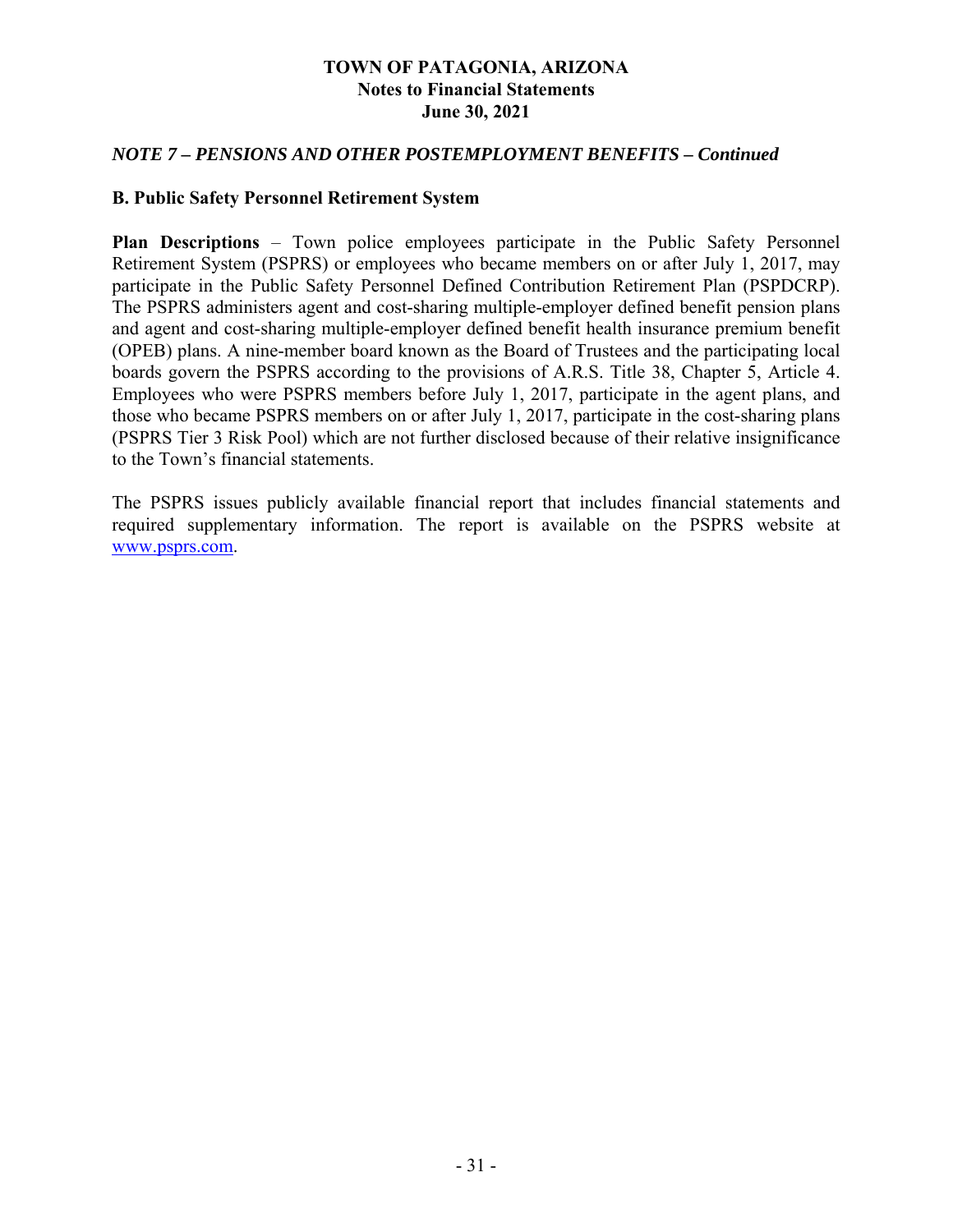#### *NOTE 7 – PENSIONS AND OTHER POSTEMPLOYMENT BENEFITS – Continued*

#### **B. Public Safety Personnel Retirement System**

**Plan Descriptions** – Town police employees participate in the Public Safety Personnel Retirement System (PSPRS) or employees who became members on or after July 1, 2017, may participate in the Public Safety Personnel Defined Contribution Retirement Plan (PSPDCRP). The PSPRS administers agent and cost-sharing multiple-employer defined benefit pension plans and agent and cost-sharing multiple-employer defined benefit health insurance premium benefit (OPEB) plans. A nine-member board known as the Board of Trustees and the participating local boards govern the PSPRS according to the provisions of A.R.S. Title 38, Chapter 5, Article 4. Employees who were PSPRS members before July 1, 2017, participate in the agent plans, and those who became PSPRS members on or after July 1, 2017, participate in the cost-sharing plans (PSPRS Tier 3 Risk Pool) which are not further disclosed because of their relative insignificance to the Town's financial statements.

The PSPRS issues publicly available financial report that includes financial statements and required supplementary information. The report is available on the PSPRS website at www.psprs.com.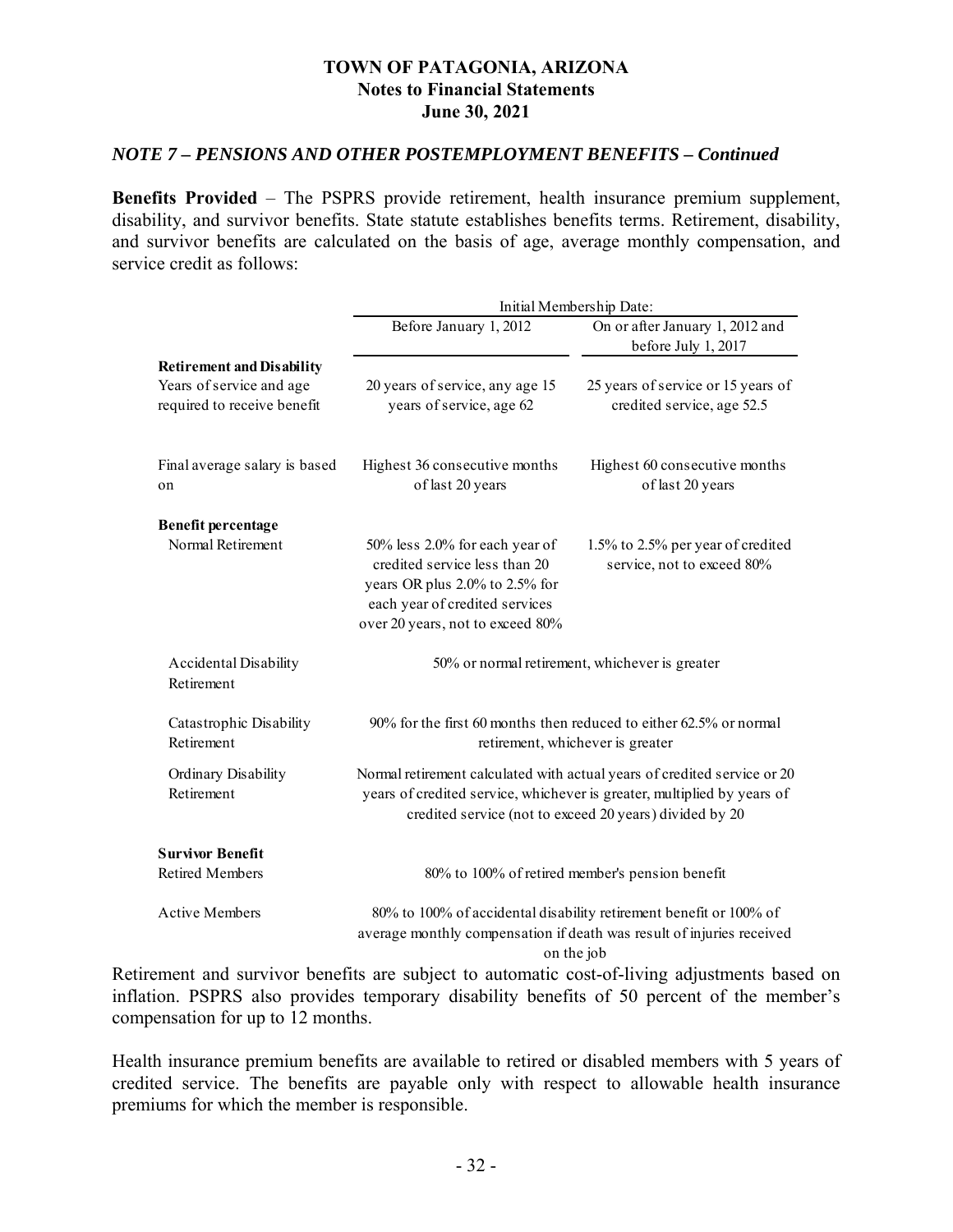#### *NOTE 7 – PENSIONS AND OTHER POSTEMPLOYMENT BENEFITS – Continued*

**Benefits Provided** – The PSPRS provide retirement, health insurance premium supplement, disability, and survivor benefits. State statute establishes benefits terms. Retirement, disability, and survivor benefits are calculated on the basis of age, average monthly compensation, and service credit as follows:

|                                                                                             |                                                                                                                                                                         | Initial Membership Date:                                                                                                                                                                                       |
|---------------------------------------------------------------------------------------------|-------------------------------------------------------------------------------------------------------------------------------------------------------------------------|----------------------------------------------------------------------------------------------------------------------------------------------------------------------------------------------------------------|
|                                                                                             | Before January 1, 2012                                                                                                                                                  | On or after January 1, 2012 and<br>before July 1, 2017                                                                                                                                                         |
| <b>Retirement and Disability</b><br>Years of service and age<br>required to receive benefit | 20 years of service, any age 15<br>years of service, age 62                                                                                                             | 25 years of service or 15 years of<br>credited service, age 52.5                                                                                                                                               |
| Final average salary is based<br>on                                                         | Highest 36 consecutive months<br>of last 20 years                                                                                                                       | Highest 60 consecutive months<br>of last 20 years                                                                                                                                                              |
| <b>Benefit percentage</b>                                                                   |                                                                                                                                                                         |                                                                                                                                                                                                                |
| Normal Retirement                                                                           | 50% less 2.0% for each year of<br>credited service less than 20<br>years OR plus 2.0% to 2.5% for<br>each year of credited services<br>over 20 years, not to exceed 80% | 1.5% to 2.5% per year of credited<br>service, not to exceed 80%                                                                                                                                                |
| Accidental Disability<br>Retirement                                                         |                                                                                                                                                                         | 50% or normal retirement, whichever is greater                                                                                                                                                                 |
| Catastrophic Disability<br>Retirement                                                       |                                                                                                                                                                         | 90% for the first 60 months then reduced to either 62.5% or normal<br>retirement, whichever is greater                                                                                                         |
| Ordinary Disability<br>Retirement                                                           |                                                                                                                                                                         | Normal retirement calculated with actual years of credited service or 20<br>years of credited service, whichever is greater, multiplied by years of<br>credited service (not to exceed 20 years) divided by 20 |
| <b>Survivor Benefit</b>                                                                     |                                                                                                                                                                         |                                                                                                                                                                                                                |
| <b>Retired Members</b>                                                                      |                                                                                                                                                                         | 80% to 100% of retired member's pension benefit                                                                                                                                                                |
| <b>Active Members</b>                                                                       |                                                                                                                                                                         | 80% to 100% of accidental disability retirement benefit or 100% of<br>average monthly compensation if death was result of injuries received<br>on the job                                                      |

Retirement and survivor benefits are subject to automatic cost-of-living adjustments based on inflation. PSPRS also provides temporary disability benefits of 50 percent of the member's compensation for up to 12 months.

Health insurance premium benefits are available to retired or disabled members with 5 years of credited service. The benefits are payable only with respect to allowable health insurance premiums for which the member is responsible.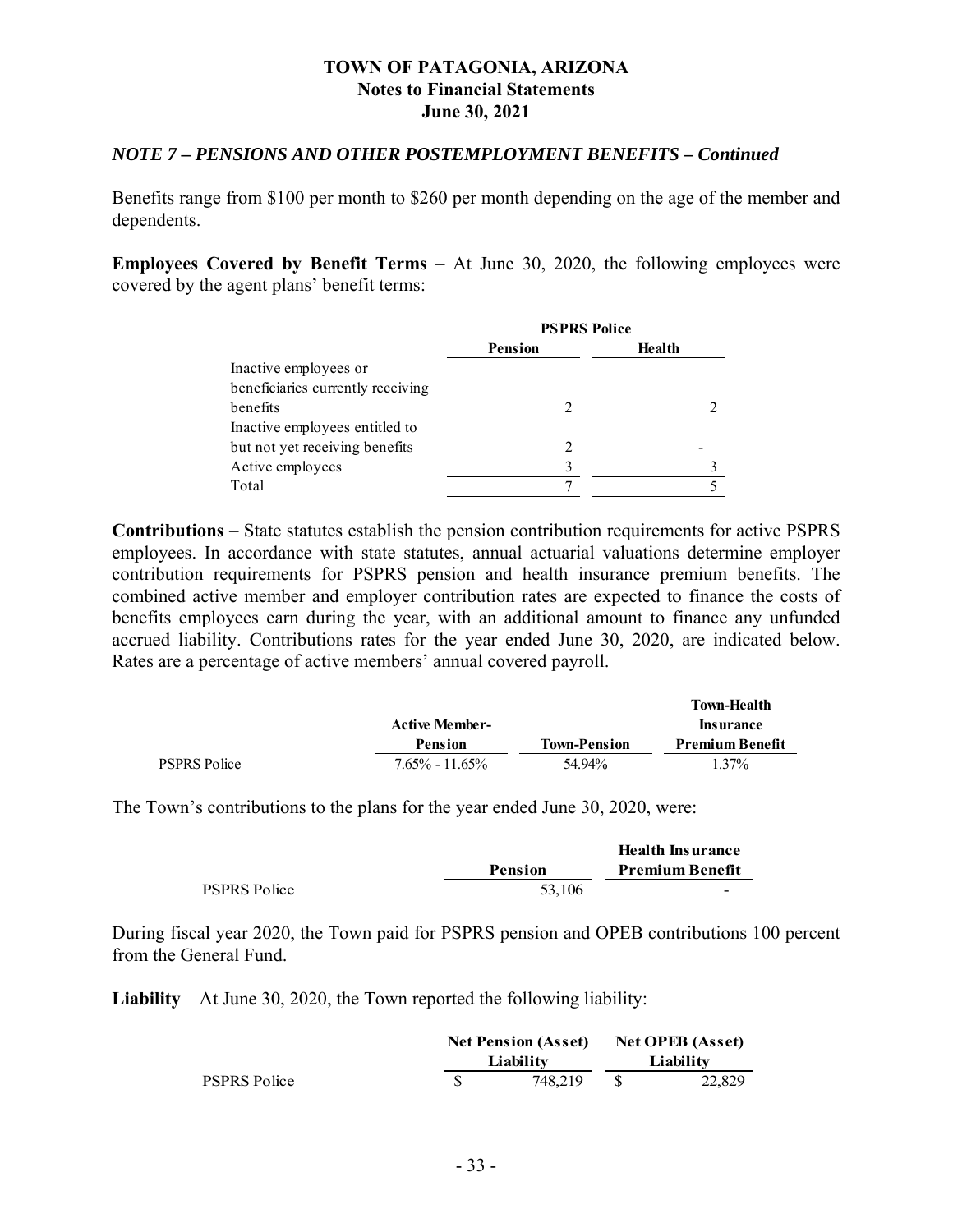#### *NOTE 7 – PENSIONS AND OTHER POSTEMPLOYMENT BENEFITS – Continued*

Benefits range from \$100 per month to \$260 per month depending on the age of the member and dependents.

**Employees Covered by Benefit Terms** – At June 30, 2020, the following employees were covered by the agent plans' benefit terms:

|                                   | <b>PSPRS Police</b> |        |  |  |
|-----------------------------------|---------------------|--------|--|--|
|                                   | <b>Pension</b>      | Health |  |  |
| Inactive employees or             |                     |        |  |  |
| beneficiaries currently receiving |                     |        |  |  |
| henefits                          |                     |        |  |  |
| Inactive employees entitled to    |                     |        |  |  |
| but not yet receiving benefits    |                     |        |  |  |
| Active employees                  |                     |        |  |  |
| Total                             |                     |        |  |  |

**Contributions** – State statutes establish the pension contribution requirements for active PSPRS employees. In accordance with state statutes, annual actuarial valuations determine employer contribution requirements for PSPRS pension and health insurance premium benefits. The combined active member and employer contribution rates are expected to finance the costs of benefits employees earn during the year, with an additional amount to finance any unfunded accrued liability. Contributions rates for the year ended June 30, 2020, are indicated below. Rates are a percentage of active members' annual covered payroll.

|                     |                       |                     | <b>Town-Health</b>     |
|---------------------|-----------------------|---------------------|------------------------|
|                     | <b>Active Member-</b> |                     | <b>Insurance</b>       |
|                     | <b>Pension</b>        | <b>Town-Pension</b> | <b>Premium Benefit</b> |
| <b>PSPRS Police</b> | $7.65\% - 11.65\%$    | 54.94%              | 1.37%                  |

The Town's contributions to the plans for the year ended June 30, 2020, were:

|                     |                | <b>Health Insurance</b> |
|---------------------|----------------|-------------------------|
|                     | <b>Pension</b> | <b>Premium Benefit</b>  |
| <b>PSPRS Police</b> | 53,106         | -                       |

During fiscal year 2020, the Town paid for PSPRS pension and OPEB contributions 100 percent from the General Fund.

**Liability** – At June 30, 2020, the Town reported the following liability:

|                     | <b>Net Pension (Asset)</b> |  | <b>Net OPEB</b> (Asset) |
|---------------------|----------------------------|--|-------------------------|
|                     | Liability                  |  | Liability               |
| <b>PSPRS Police</b> | 748.219                    |  | 22,829                  |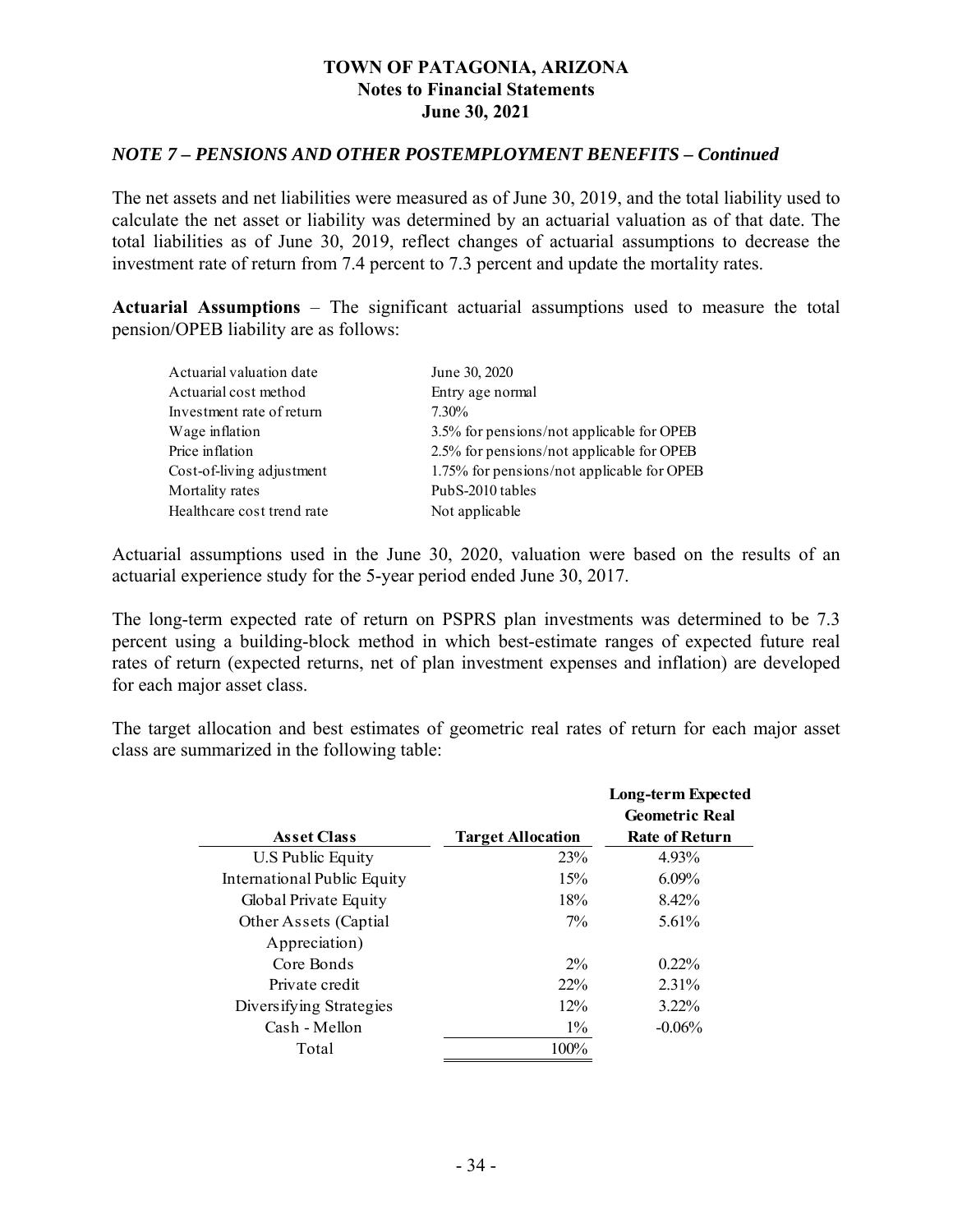#### *NOTE 7 – PENSIONS AND OTHER POSTEMPLOYMENT BENEFITS – Continued*

The net assets and net liabilities were measured as of June 30, 2019, and the total liability used to calculate the net asset or liability was determined by an actuarial valuation as of that date. The total liabilities as of June 30, 2019, reflect changes of actuarial assumptions to decrease the investment rate of return from 7.4 percent to 7.3 percent and update the mortality rates.

**Actuarial Assumptions** – The significant actuarial assumptions used to measure the total pension/OPEB liability are as follows:

| Actuarial valuation date   | June 30, 2020                              |
|----------------------------|--------------------------------------------|
| Actuarial cost method      | Entry age normal                           |
| Investment rate of return  | 7.30%                                      |
| Wage inflation             | 3.5% for pensions/not applicable for OPEB  |
| Price inflation            | 2.5% for pensions/not applicable for OPEB  |
| Cost-of-living adjustment  | 1.75% for pensions/not applicable for OPEB |
| Mortality rates            | PubS-2010 tables                           |
| Healthcare cost trend rate | Not applicable                             |

Actuarial assumptions used in the June 30, 2020, valuation were based on the results of an actuarial experience study for the 5-year period ended June 30, 2017.

The long-term expected rate of return on PSPRS plan investments was determined to be 7.3 percent using a building-block method in which best-estimate ranges of expected future real rates of return (expected returns, net of plan investment expenses and inflation) are developed for each major asset class.

The target allocation and best estimates of geometric real rates of return for each major asset class are summarized in the following table:

|                             |                          | <b>Long-term Expected</b><br><b>Geometric Real</b> |
|-----------------------------|--------------------------|----------------------------------------------------|
| <b>Asset Class</b>          | <b>Target Allocation</b> | <b>Rate of Return</b>                              |
| U.S Public Equity           | 23%                      | 4.93%                                              |
| International Public Equity | 15%                      | $6.09\%$                                           |
| Global Private Equity       | 18%                      | 8.42%                                              |
| Other Assets (Captial       | $7\%$                    | $5.61\%$                                           |
| Appreciation)               |                          |                                                    |
| Core Bonds                  | $2\%$                    | $0.22\%$                                           |
| Private credit              | $22\%$                   | 2.31%                                              |
| Diversifying Strategies     | $12\%$                   | $3.22\%$                                           |
| Cash - Mellon               | $1\%$                    | $-0.06\%$                                          |
| Total                       | 100%                     |                                                    |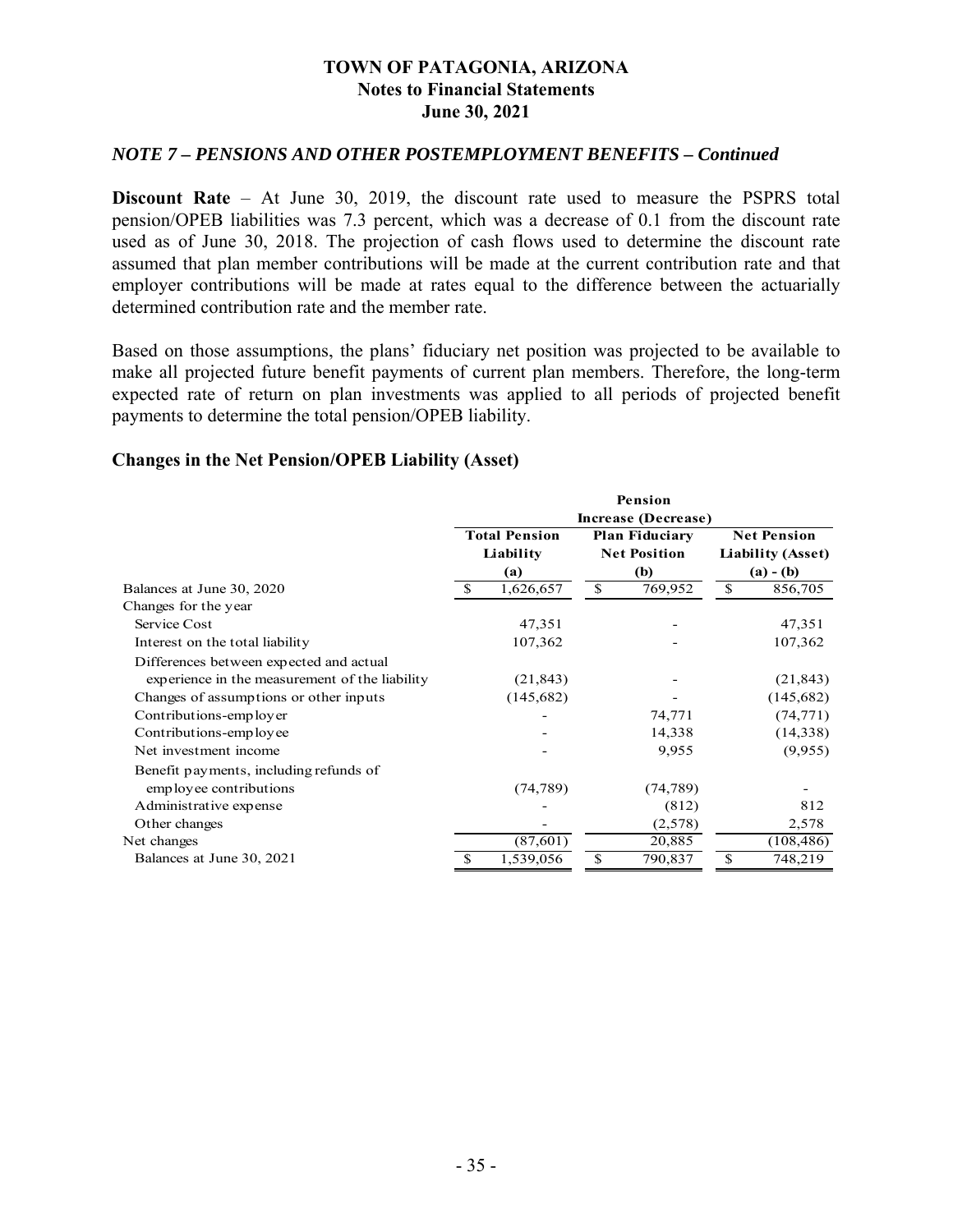#### *NOTE 7 – PENSIONS AND OTHER POSTEMPLOYMENT BENEFITS – Continued*

**Discount Rate** – At June 30, 2019, the discount rate used to measure the PSPRS total pension/OPEB liabilities was 7.3 percent, which was a decrease of 0.1 from the discount rate used as of June 30, 2018. The projection of cash flows used to determine the discount rate assumed that plan member contributions will be made at the current contribution rate and that employer contributions will be made at rates equal to the difference between the actuarially determined contribution rate and the member rate.

Based on those assumptions, the plans' fiduciary net position was projected to be available to make all projected future benefit payments of current plan members. Therefore, the long-term expected rate of return on plan investments was applied to all periods of projected benefit payments to determine the total pension/OPEB liability.

#### **Changes in the Net Pension/OPEB Liability (Asset)**

|                                                |                     |                      |              | Pension               |                    |                          |  |  |  |
|------------------------------------------------|---------------------|----------------------|--------------|-----------------------|--------------------|--------------------------|--|--|--|
|                                                | Increase (Decrease) |                      |              |                       |                    |                          |  |  |  |
|                                                |                     | <b>Total Pension</b> |              | <b>Plan Fiduciary</b> | <b>Net Pension</b> |                          |  |  |  |
|                                                |                     | Liability            |              | <b>Net Position</b>   |                    | <b>Liability (Asset)</b> |  |  |  |
|                                                |                     | (a)                  |              | (b)                   |                    | $(a) - (b)$              |  |  |  |
| Balances at June 30, 2020                      | S                   | 1,626,657            | $\mathbb{S}$ | 769,952               | <sup>\$</sup>      | $856,70\overline{5}$     |  |  |  |
| Changes for the year                           |                     |                      |              |                       |                    |                          |  |  |  |
| Service Cost                                   |                     | 47,351               |              |                       |                    | 47,351                   |  |  |  |
| Interest on the total liability                |                     | 107,362              |              |                       |                    | 107,362                  |  |  |  |
| Differences between expected and actual        |                     |                      |              |                       |                    |                          |  |  |  |
| experience in the measurement of the liability |                     | (21, 843)            |              |                       |                    | (21, 843)                |  |  |  |
| Changes of assumptions or other inputs         |                     | (145, 682)           |              |                       |                    | (145,682)                |  |  |  |
| Contributions-employer                         |                     |                      |              | 74,771                |                    | (74, 771)                |  |  |  |
| Contributions-employee                         |                     |                      |              | 14,338                |                    | (14, 338)                |  |  |  |
| Net investment income                          |                     |                      |              | 9,955                 |                    | (9,955)                  |  |  |  |
| Benefit payments, including refunds of         |                     |                      |              |                       |                    |                          |  |  |  |
| employee contributions                         |                     | (74, 789)            |              | (74, 789)             |                    |                          |  |  |  |
| Administrative expense                         |                     |                      |              | (812)                 |                    | 812                      |  |  |  |
| Other changes                                  |                     |                      |              | (2,578)               |                    | 2,578                    |  |  |  |
| Net changes                                    |                     | (87, 601)            |              | 20,885                |                    | (108, 486)               |  |  |  |
| Balances at June 30, 2021                      | S                   | 1,539,056            | \$           | 790,837               | \$                 | 748,219                  |  |  |  |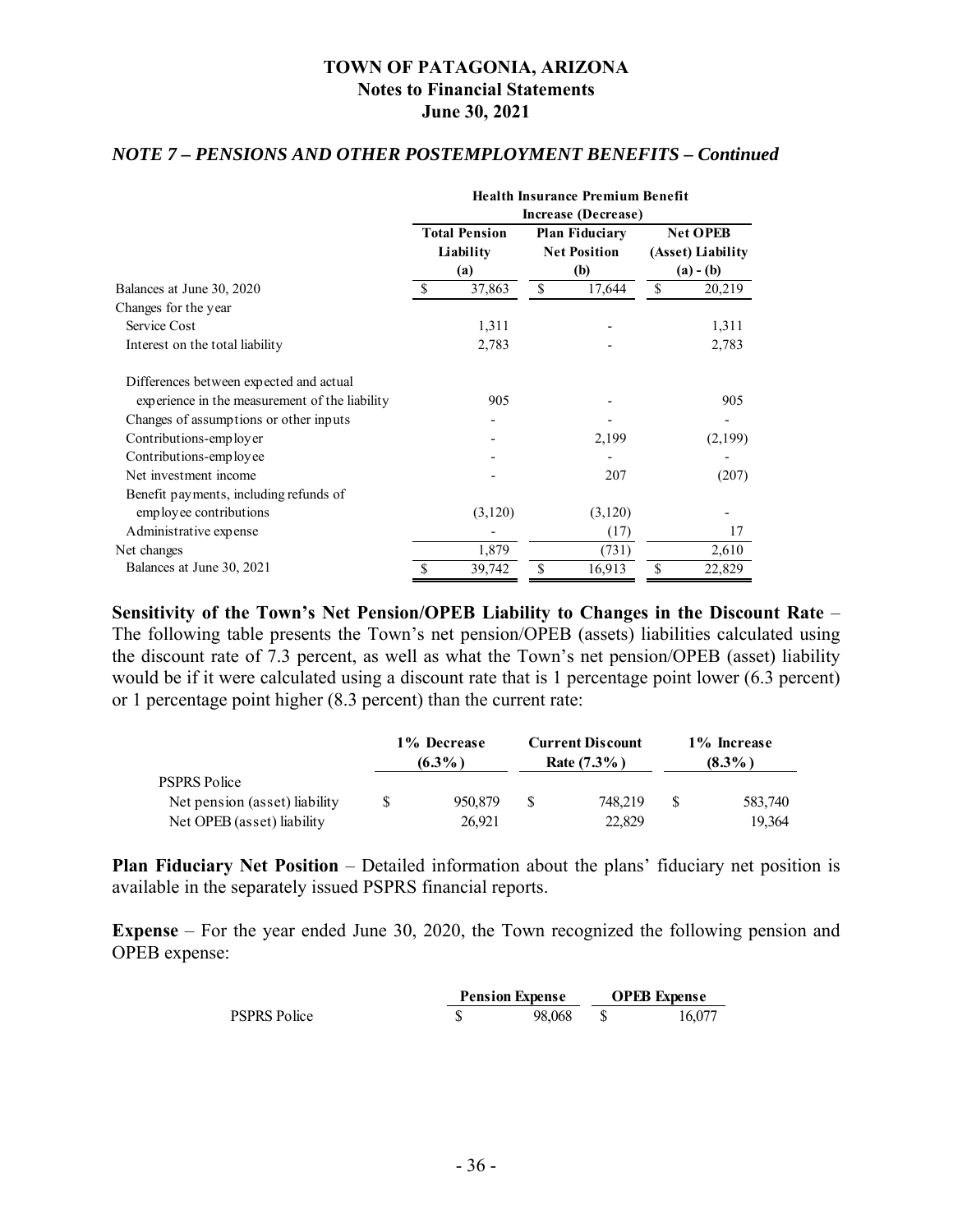#### *NOTE 7 – PENSIONS AND OTHER POSTEMPLOYMENT BENEFITS – Continued*

|                                                | <b>Health Insurance Premium Benefit</b> |                      |              |                       |    |                   |  |  |  |
|------------------------------------------------|-----------------------------------------|----------------------|--------------|-----------------------|----|-------------------|--|--|--|
|                                                | Increase (Decrease)                     |                      |              |                       |    |                   |  |  |  |
|                                                |                                         | <b>Total Pension</b> |              | <b>Plan Fiduciary</b> |    | <b>Net OPEB</b>   |  |  |  |
|                                                |                                         | Liability            |              | <b>Net Position</b>   |    | (Asset) Liability |  |  |  |
|                                                |                                         | (a)                  |              | (b)                   |    | $(a) - (b)$       |  |  |  |
| Balances at June 30, 2020                      |                                         | 37,863               | 17,644<br>S. |                       | \$ | 20,219            |  |  |  |
| Changes for the year                           |                                         |                      |              |                       |    |                   |  |  |  |
| Service Cost                                   |                                         | 1,311                |              |                       |    | 1,311             |  |  |  |
| Interest on the total liability                |                                         | 2,783                |              |                       |    | 2,783             |  |  |  |
| Differences between expected and actual        |                                         |                      |              |                       |    |                   |  |  |  |
| experience in the measurement of the liability |                                         | 905                  |              |                       |    | 905               |  |  |  |
| Changes of assumptions or other inputs         |                                         |                      |              |                       |    |                   |  |  |  |
| Contributions-employer                         |                                         |                      |              | 2,199                 |    | (2,199)           |  |  |  |
| Contributions-employee                         |                                         |                      |              |                       |    |                   |  |  |  |
| Net investment income                          |                                         |                      |              | 207                   |    | (207)             |  |  |  |
| Benefit payments, including refunds of         |                                         |                      |              |                       |    |                   |  |  |  |
| employee contributions                         |                                         | (3,120)              |              | (3,120)               |    |                   |  |  |  |
| Administrative expense                         |                                         |                      |              | (17)                  |    | 17                |  |  |  |
| Net changes                                    |                                         | 1,879                |              | (731)                 |    | 2,610             |  |  |  |
| Balances at June 30, 2021                      |                                         | 39,742               | \$           | 16,913                | \$ | 22,829            |  |  |  |

**Sensitivity of the Town's Net Pension/OPEB Liability to Changes in the Discount Rate** – The following table presents the Town's net pension/OPEB (assets) liabilities calculated using the discount rate of 7.3 percent, as well as what the Town's net pension/OPEB (asset) liability would be if it were calculated using a discount rate that is 1 percentage point lower (6.3 percent) or 1 percentage point higher (8.3 percent) than the current rate:

|                               | 1% Decrease<br>$(6.3\%)$ |         |    | <b>Current Discount</b><br>Rate $(7.3\%)$ | 1% Increase<br>$(8.3\%)$ |         |  |
|-------------------------------|--------------------------|---------|----|-------------------------------------------|--------------------------|---------|--|
| <b>PSPRS Police</b>           |                          |         |    |                                           |                          |         |  |
| Net pension (asset) liability |                          | 950,879 | -S | 748.219                                   |                          | 583,740 |  |
| Net OPEB (asset) liability    |                          | 26.921  |    | 22,829                                    |                          | 19.364  |  |

**Plan Fiduciary Net Position** – Detailed information about the plans' fiduciary net position is available in the separately issued PSPRS financial reports.

**Expense** – For the year ended June 30, 2020, the Town recognized the following pension and OPEB expense:

|                     | <b>Pension Expense</b> |        | <b>OPEB</b> Expense |        |
|---------------------|------------------------|--------|---------------------|--------|
| <b>PSPRS Police</b> |                        | 98,068 |                     | 16.077 |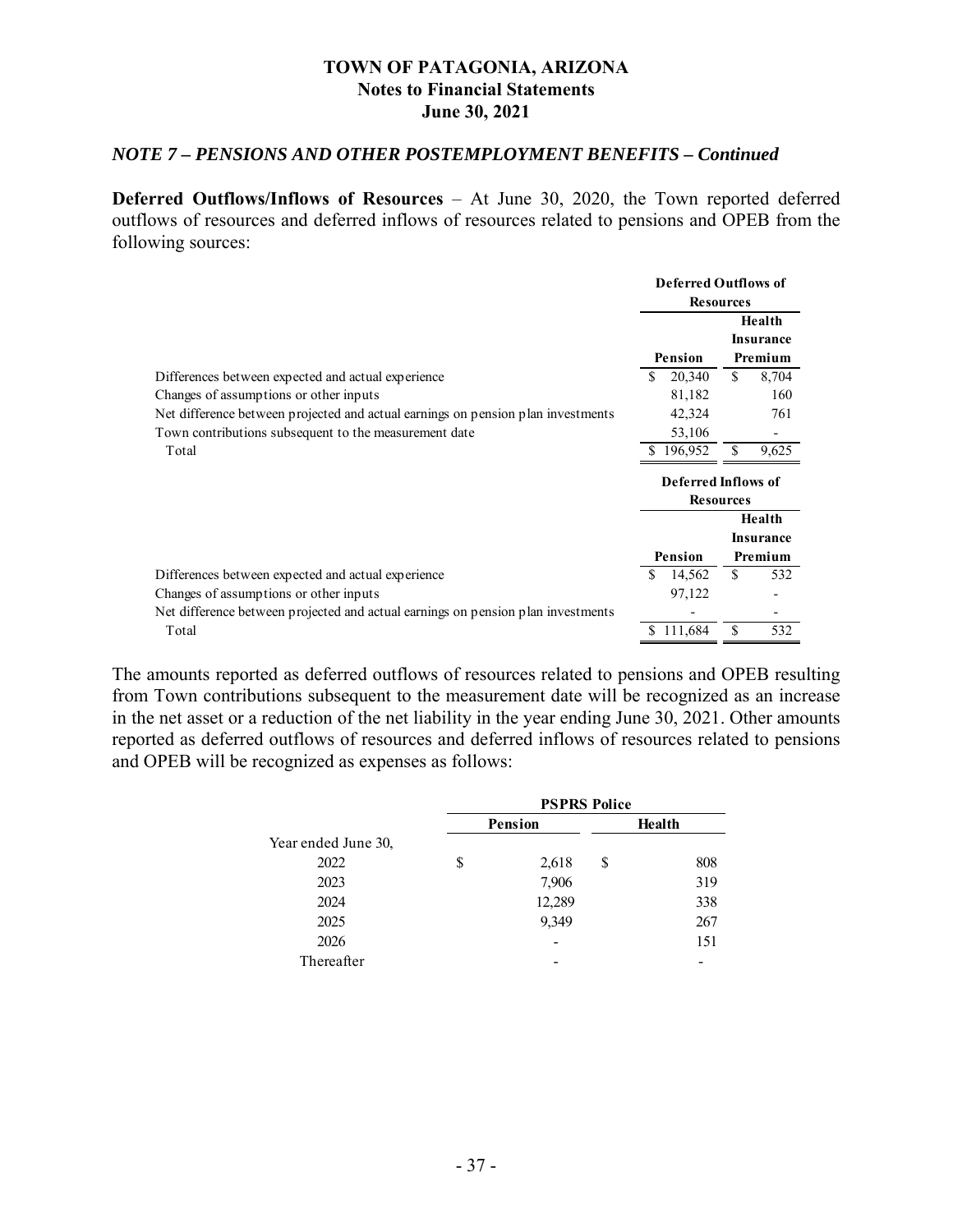#### *NOTE 7 – PENSIONS AND OTHER POSTEMPLOYMENT BENEFITS – Continued*

**Deferred Outflows/Inflows of Resources** – At June 30, 2020, the Town reported deferred outflows of resources and deferred inflows of resources related to pensions and OPEB from the following sources:

|                                                                                  | <b>Deferred Outflows of</b><br><b>Resources</b> |                                         |     |                            |
|----------------------------------------------------------------------------------|-------------------------------------------------|-----------------------------------------|-----|----------------------------|
|                                                                                  |                                                 |                                         |     | Health<br><b>Insurance</b> |
|                                                                                  |                                                 | Pension                                 |     | Premium                    |
| Differences between expected and actual experience                               | S.                                              | 20,340                                  | \$. | 8,704                      |
| Changes of assumptions or other inputs                                           |                                                 | 81,182                                  |     | 160                        |
| Net difference between projected and actual earnings on pension plan investments |                                                 | 42,324                                  |     | 761                        |
| Town contributions subsequent to the measurement date                            |                                                 | 53,106                                  |     |                            |
| Total                                                                            |                                                 | \$196,952                               |     | 9,625                      |
|                                                                                  |                                                 | Deferred Inflows of<br><b>Resources</b> |     |                            |
|                                                                                  |                                                 |                                         |     | Health                     |
|                                                                                  |                                                 |                                         |     | <b>Insurance</b>           |
|                                                                                  |                                                 | Pension                                 |     | Premium                    |
| Differences between expected and actual experience                               | \$                                              | 14,562                                  | \$. | 532                        |
| Changes of assumptions or other inputs                                           |                                                 | 97,122                                  |     |                            |
| Net difference between projected and actual earnings on pension plan investments |                                                 |                                         |     |                            |
|                                                                                  |                                                 |                                         |     |                            |

The amounts reported as deferred outflows of resources related to pensions and OPEB resulting from Town contributions subsequent to the measurement date will be recognized as an increase in the net asset or a reduction of the net liability in the year ending June 30, 2021. Other amounts reported as deferred outflows of resources and deferred inflows of resources related to pensions and OPEB will be recognized as expenses as follows:

|                     | <b>PSPRS Police</b> |                |        |     |  |  |  |
|---------------------|---------------------|----------------|--------|-----|--|--|--|
|                     |                     | <b>Pension</b> | Health |     |  |  |  |
| Year ended June 30, |                     |                |        |     |  |  |  |
| 2022                | \$                  | 2,618          | \$     | 808 |  |  |  |
| 2023                |                     | 7,906          |        | 319 |  |  |  |
| 2024                |                     | 12,289         |        | 338 |  |  |  |
| 2025                |                     | 9,349          |        | 267 |  |  |  |
| 2026                |                     |                |        | 151 |  |  |  |
| Thereafter          |                     |                |        |     |  |  |  |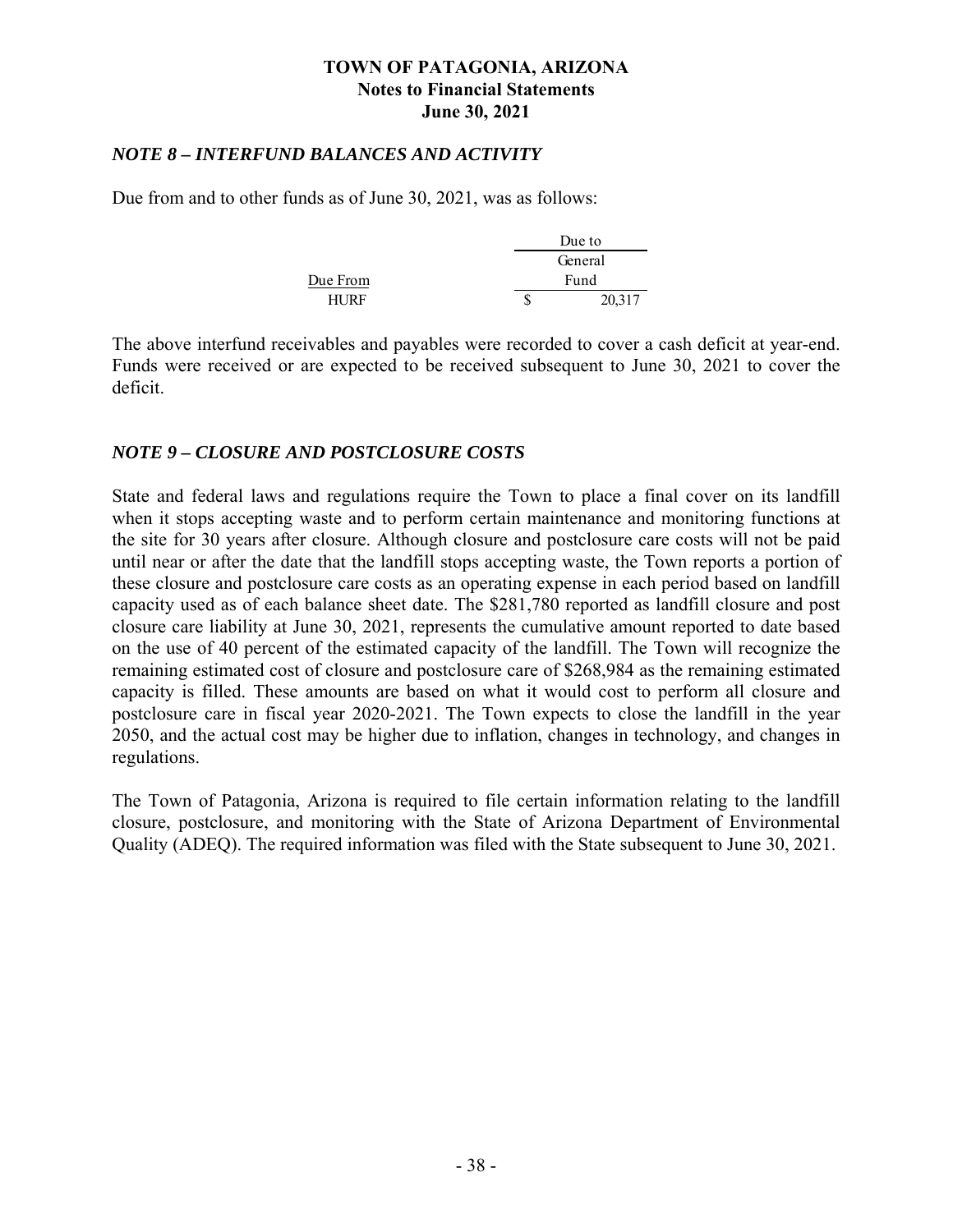#### *NOTE 8 – INTERFUND BALANCES AND ACTIVITY*

Due from and to other funds as of June 30, 2021, was as follows:

|          |         | Due to |  |
|----------|---------|--------|--|
|          | General |        |  |
| Due From | Fund    |        |  |
| HI IRF   |         | 20.317 |  |

The above interfund receivables and payables were recorded to cover a cash deficit at year-end. Funds were received or are expected to be received subsequent to June 30, 2021 to cover the deficit.

### *NOTE 9 – CLOSURE AND POSTCLOSURE COSTS*

State and federal laws and regulations require the Town to place a final cover on its landfill when it stops accepting waste and to perform certain maintenance and monitoring functions at the site for 30 years after closure. Although closure and postclosure care costs will not be paid until near or after the date that the landfill stops accepting waste, the Town reports a portion of these closure and postclosure care costs as an operating expense in each period based on landfill capacity used as of each balance sheet date. The \$281,780 reported as landfill closure and post closure care liability at June 30, 2021, represents the cumulative amount reported to date based on the use of 40 percent of the estimated capacity of the landfill. The Town will recognize the remaining estimated cost of closure and postclosure care of \$268,984 as the remaining estimated capacity is filled. These amounts are based on what it would cost to perform all closure and postclosure care in fiscal year 2020-2021. The Town expects to close the landfill in the year 2050, and the actual cost may be higher due to inflation, changes in technology, and changes in regulations.

The Town of Patagonia, Arizona is required to file certain information relating to the landfill closure, postclosure, and monitoring with the State of Arizona Department of Environmental Quality (ADEQ). The required information was filed with the State subsequent to June 30, 2021.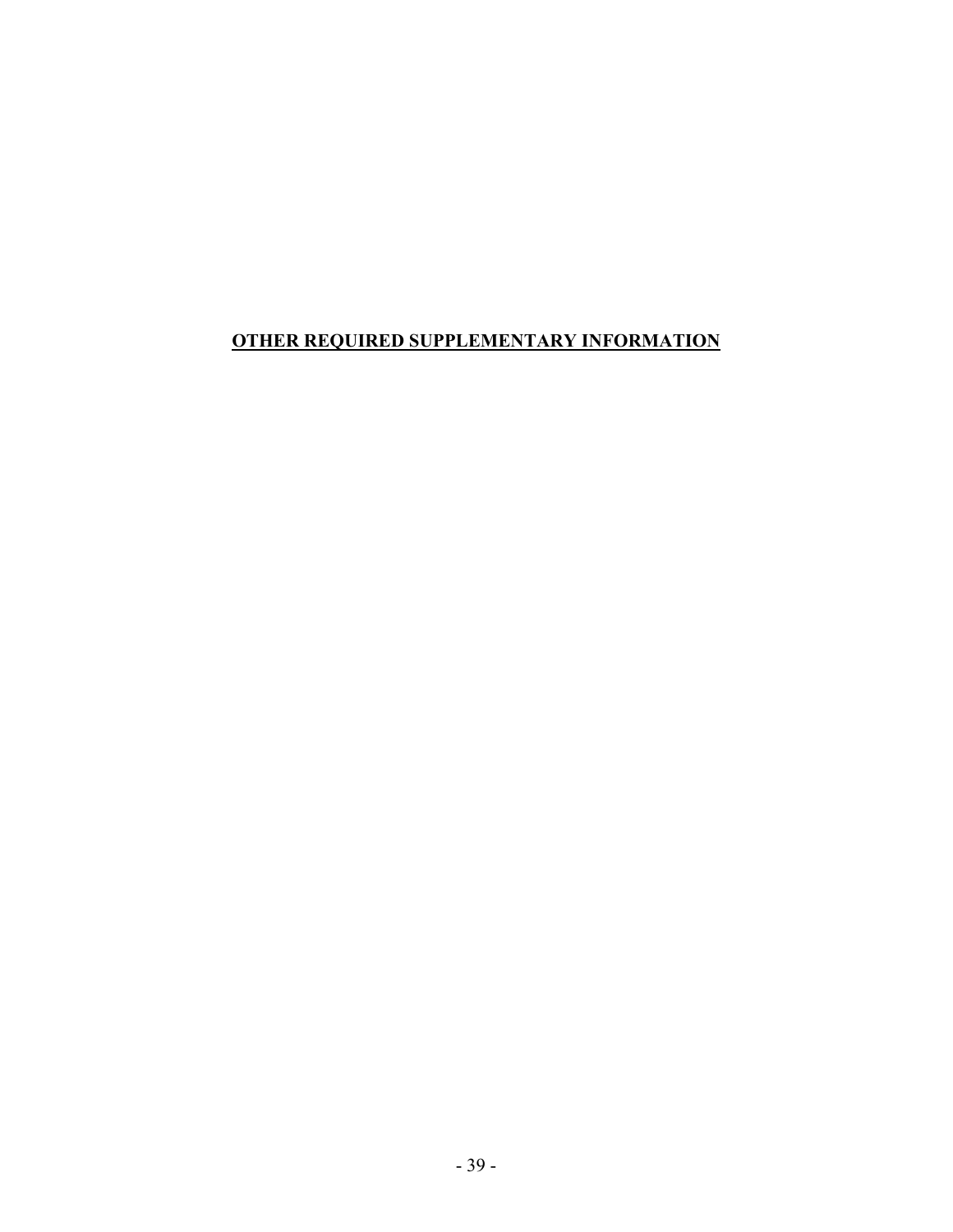## **OTHER REQUIRED SUPPLEMENTARY INFORMATION**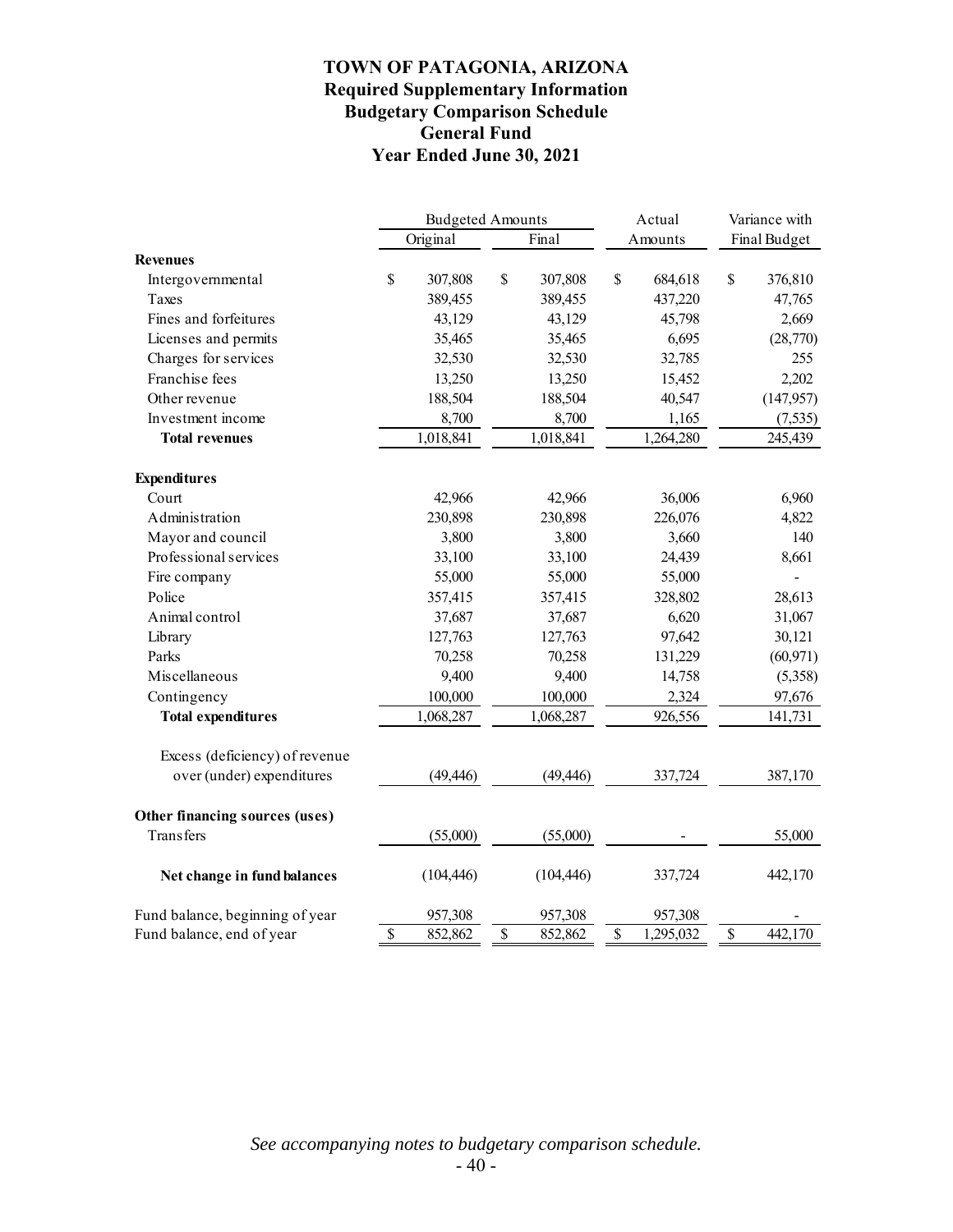### **TOWN OF PATAGONIA, ARIZONA Required Supplementary Information Budgetary Comparison Schedule General Fund Year Ended June 30, 2021**

|                                 | <b>Budgeted Amounts</b> |            |    |            | Actual                   | Variance with |              |              |
|---------------------------------|-------------------------|------------|----|------------|--------------------------|---------------|--------------|--------------|
|                                 |                         | Original   |    | Final      |                          | Amounts       |              | Final Budget |
| <b>Revenues</b>                 |                         |            |    |            |                          |               |              |              |
| Intergovernmental               | $\mathbb{S}$            | 307,808    | \$ | 307,808    | $\mathbb{S}$             | 684,618       | $\mathbb{S}$ | 376,810      |
| Taxes                           |                         | 389,455    |    | 389,455    |                          | 437,220       |              | 47,765       |
| Fines and forfeitures           |                         | 43,129     |    | 43,129     |                          | 45,798        |              | 2,669        |
| Licenses and permits            |                         | 35,465     |    | 35,465     |                          | 6,695         |              | (28,770)     |
| Charges for services            |                         | 32,530     |    | 32,530     |                          | 32,785        |              | 255          |
| Franchise fees                  |                         | 13,250     |    | 13,250     |                          | 15,452        |              | 2,202        |
| Other revenue                   |                         | 188,504    |    | 188,504    |                          | 40,547        |              | (147, 957)   |
| Investment income               |                         | 8,700      |    | 8,700      |                          | 1,165         |              | (7,535)      |
| <b>Total revenues</b>           |                         | 1,018,841  |    | 1,018,841  |                          | 1,264,280     |              | 245,439      |
| <b>Expenditures</b>             |                         |            |    |            |                          |               |              |              |
| Court                           |                         | 42,966     |    | 42,966     |                          | 36,006        |              | 6,960        |
| Administration                  |                         | 230,898    |    | 230,898    |                          | 226,076       |              | 4,822        |
| Mayor and council               |                         | 3,800      |    | 3,800      |                          | 3,660         |              | 140          |
| Professional services           |                         | 33,100     |    | 33,100     |                          | 24,439        |              | 8,661        |
| Fire company                    |                         | 55,000     |    | 55,000     |                          | 55,000        |              |              |
| Police                          |                         | 357,415    |    | 357,415    |                          | 328,802       |              | 28,613       |
| Animal control                  |                         | 37,687     |    | 37,687     |                          | 6,620         |              | 31,067       |
| Library                         |                         | 127,763    |    | 127,763    |                          | 97,642        |              | 30,121       |
| Parks                           |                         | 70,258     |    | 70,258     |                          | 131,229       |              | (60, 971)    |
| Miscellaneous                   |                         | 9,400      |    | 9,400      |                          | 14,758        |              | (5,358)      |
| Contingency                     |                         | 100,000    |    | 100,000    |                          | 2,324         |              | 97,676       |
| <b>Total expenditures</b>       |                         | 1,068,287  |    | 1,068,287  |                          | 926,556       |              | 141,731      |
| Excess (deficiency) of revenue  |                         |            |    |            |                          |               |              |              |
| over (under) expenditures       |                         | (49, 446)  |    | (49, 446)  |                          | 337,724       |              | 387,170      |
| Other financing sources (uses)  |                         |            |    |            |                          |               |              |              |
| <b>Transfers</b>                |                         | (55,000)   |    | (55,000)   |                          |               |              | 55,000       |
| Net change in fund balances     |                         | (104, 446) |    | (104, 446) |                          | 337,724       |              | 442,170      |
| Fund balance, beginning of year |                         | 957,308    |    | 957,308    |                          | 957,308       |              |              |
| Fund balance, end of year       | \$                      | 852,862    | \$ | 852,862    | $\overline{\mathcal{S}}$ | 1,295,032     | \$           | 442,170      |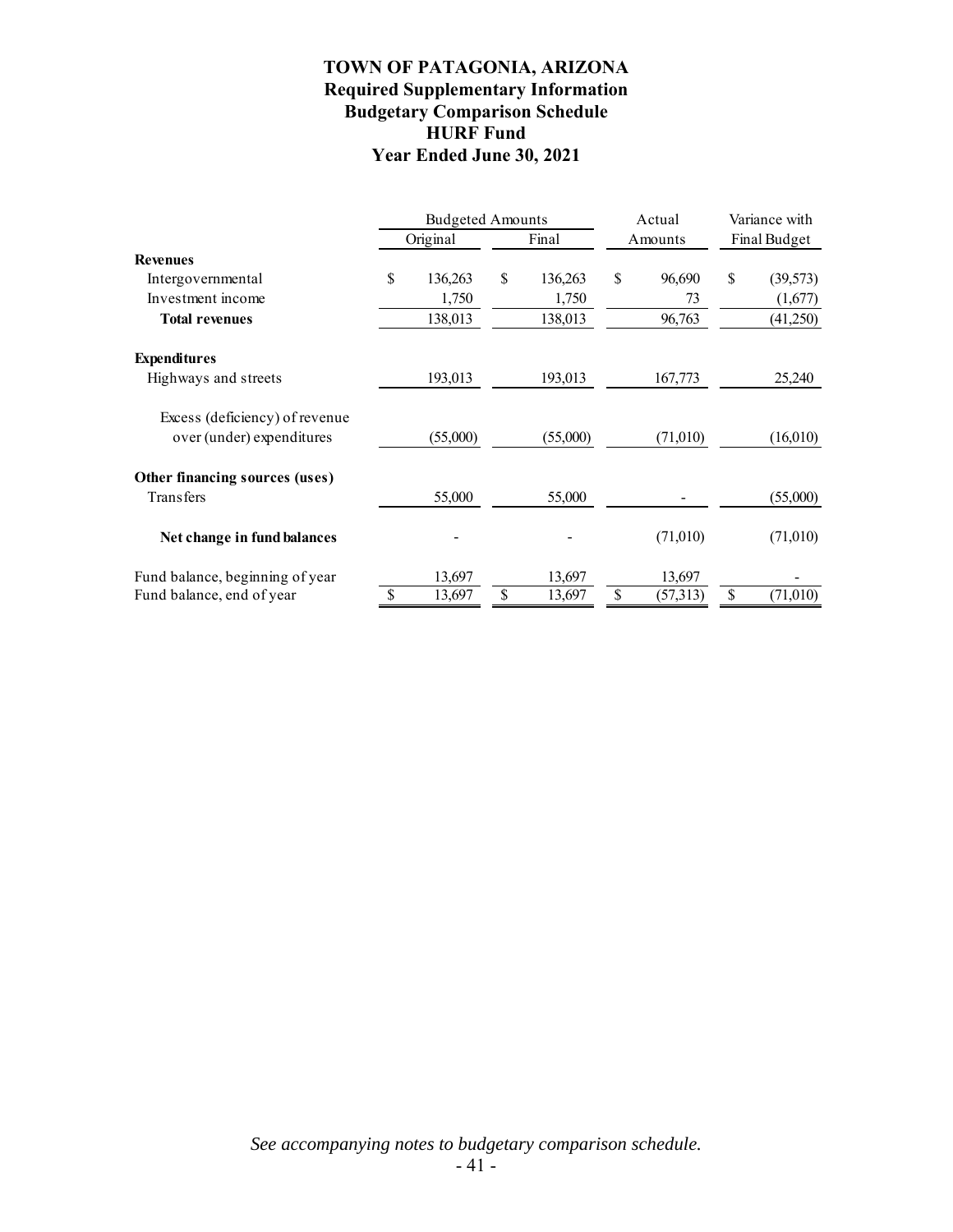### **TOWN OF PATAGONIA, ARIZONA Required Supplementary Information Budgetary Comparison Schedule HURF Fund Year Ended June 30, 2021**

|                                                             | <b>Budgeted Amounts</b> |          |    | Actual   |    | Variance with |    |              |  |
|-------------------------------------------------------------|-------------------------|----------|----|----------|----|---------------|----|--------------|--|
|                                                             |                         | Original |    | Final    |    | Amounts       |    | Final Budget |  |
| <b>Revenues</b>                                             |                         |          |    |          |    |               |    |              |  |
| Intergovernmental                                           | \$                      | 136,263  | \$ | 136,263  | \$ | 96,690        | \$ | (39, 573)    |  |
| Investment income                                           |                         | 1,750    |    | 1,750    |    | 73            |    | (1,677)      |  |
| <b>Total revenues</b>                                       |                         | 138,013  |    | 138,013  |    | 96,763        |    | (41,250)     |  |
| <b>Expenditures</b>                                         |                         |          |    |          |    |               |    |              |  |
| Highways and streets                                        |                         | 193,013  |    | 193,013  |    | 167,773       |    | 25,240       |  |
| Excess (deficiency) of revenue<br>over (under) expenditures |                         | (55,000) |    | (55,000) |    | (71,010)      |    | (16,010)     |  |
| Other financing sources (uses)                              |                         |          |    |          |    |               |    |              |  |
| <b>Transfers</b>                                            |                         | 55,000   |    | 55,000   |    |               |    | (55,000)     |  |
| Net change in fund balances                                 |                         |          |    |          |    | (71,010)      |    | (71,010)     |  |
| Fund balance, beginning of year                             |                         | 13,697   |    | 13,697   |    | 13,697        |    |              |  |
| Fund balance, end of year                                   | \$.                     | 13,697   | \$ | 13,697   | \$ | (57,313)      | \$ | (71,010)     |  |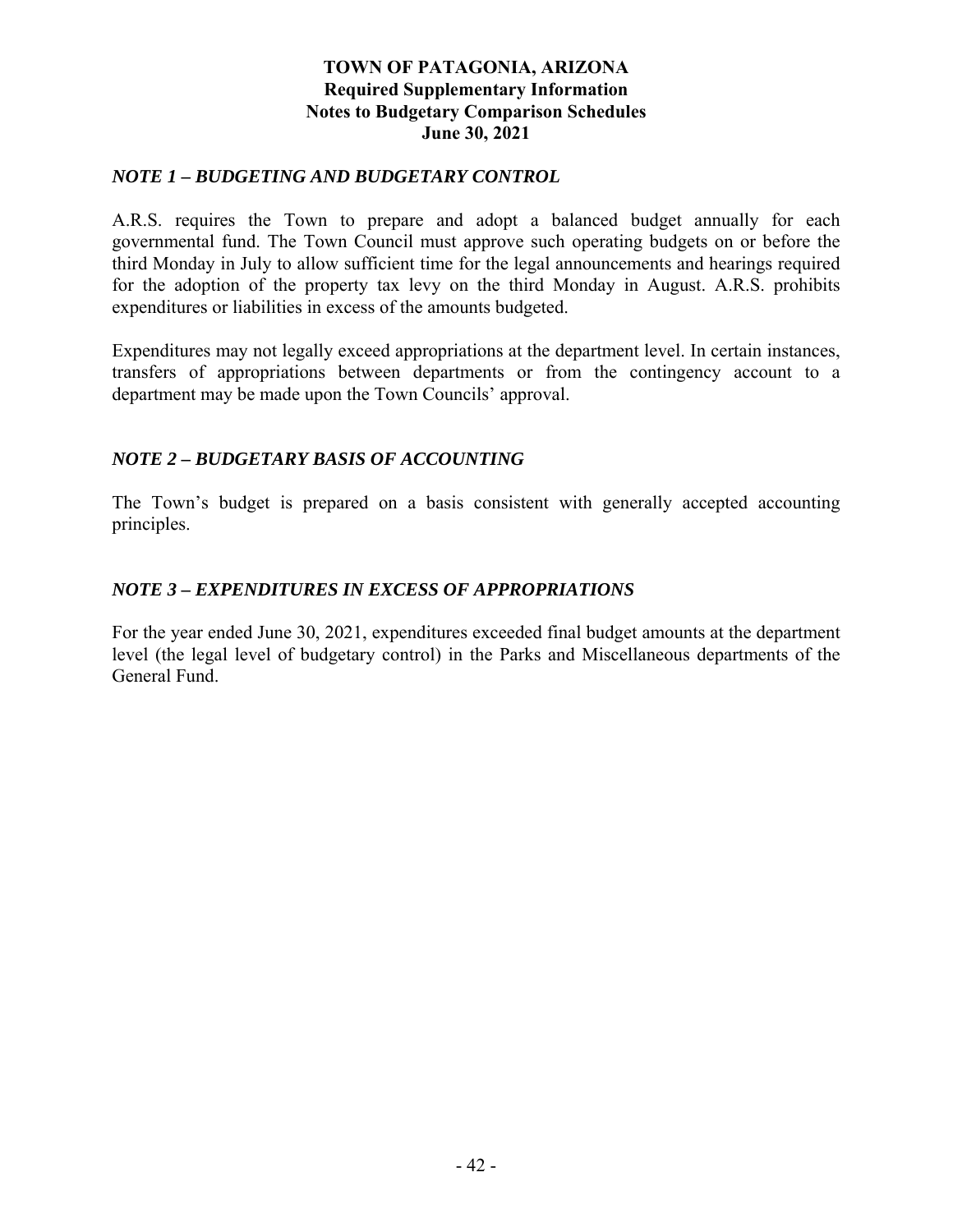### **TOWN OF PATAGONIA, ARIZONA Required Supplementary Information Notes to Budgetary Comparison Schedules June 30, 2021**

### *NOTE 1 – BUDGETING AND BUDGETARY CONTROL*

A.R.S. requires the Town to prepare and adopt a balanced budget annually for each governmental fund. The Town Council must approve such operating budgets on or before the third Monday in July to allow sufficient time for the legal announcements and hearings required for the adoption of the property tax levy on the third Monday in August. A.R.S. prohibits expenditures or liabilities in excess of the amounts budgeted.

Expenditures may not legally exceed appropriations at the department level. In certain instances, transfers of appropriations between departments or from the contingency account to a department may be made upon the Town Councils' approval.

### *NOTE 2 – BUDGETARY BASIS OF ACCOUNTING*

The Town's budget is prepared on a basis consistent with generally accepted accounting principles.

### *NOTE 3 – EXPENDITURES IN EXCESS OF APPROPRIATIONS*

For the year ended June 30, 2021, expenditures exceeded final budget amounts at the department level (the legal level of budgetary control) in the Parks and Miscellaneous departments of the General Fund.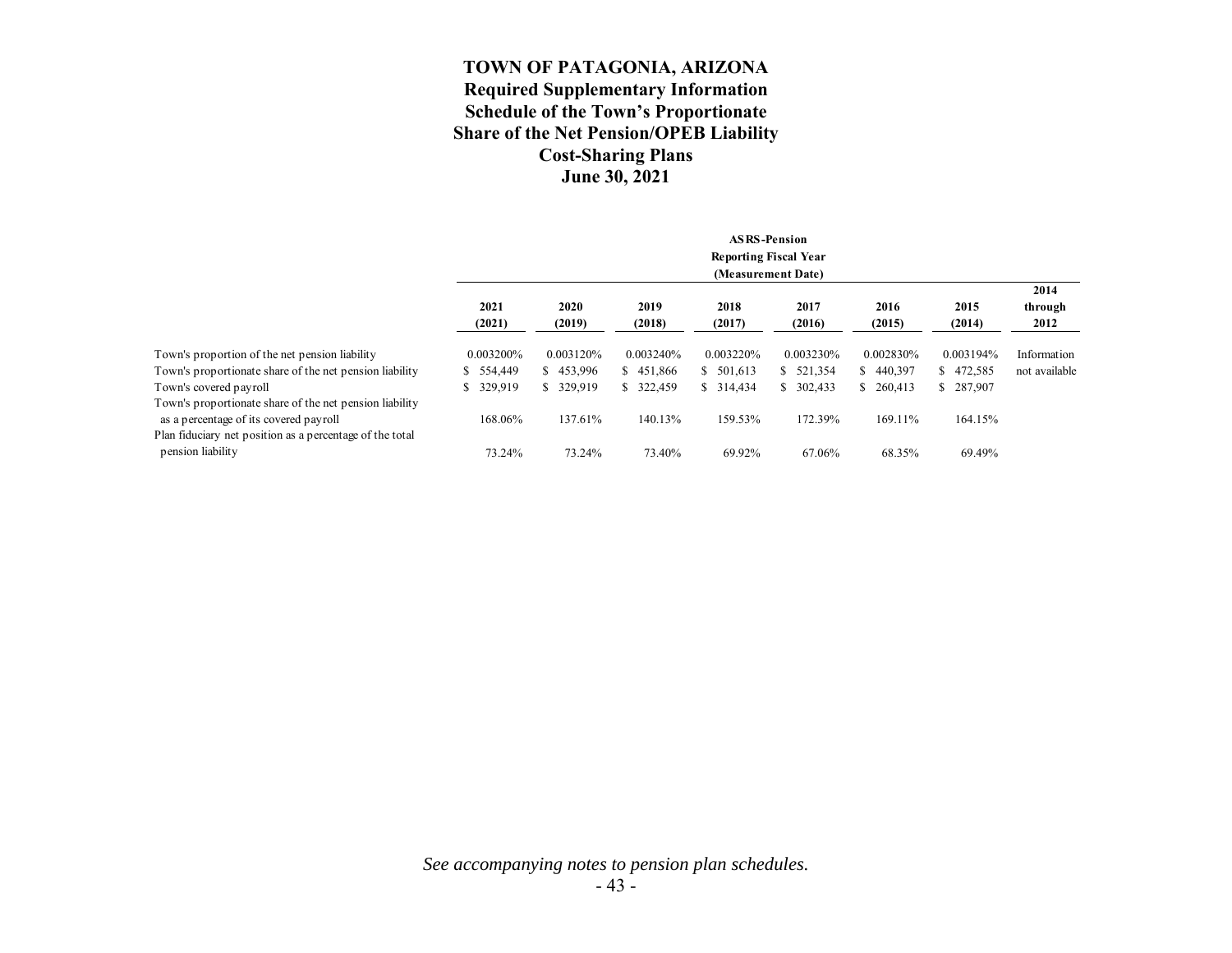### **TOWN OF PATAGONIA, ARIZONA Required Supplementary Information Schedule of the Town's Proportionate Share of the Net Pension/OPEB Liability Cost-Sharing Plans June 30, 2021**

|                                                                                                   |                |                              |                | <b>ASRS-Pension</b> |                |                |                |                 |  |  |  |  |
|---------------------------------------------------------------------------------------------------|----------------|------------------------------|----------------|---------------------|----------------|----------------|----------------|-----------------|--|--|--|--|
|                                                                                                   |                | <b>Reporting Fiscal Year</b> |                |                     |                |                |                |                 |  |  |  |  |
|                                                                                                   |                |                              |                | (Measurement Date)  |                |                |                |                 |  |  |  |  |
|                                                                                                   |                |                              |                |                     |                |                |                | 2014            |  |  |  |  |
|                                                                                                   | 2021<br>(2021) | 2020<br>(2019)               | 2019<br>(2018) | 2018<br>(2017)      | 2017<br>(2016) | 2016<br>(2015) | 2015<br>(2014) | through<br>2012 |  |  |  |  |
| Town's proportion of the net pension liability                                                    | 0.003200%      | 0.003120%                    | 0.003240%      | 0.003220%           | 0.003230%      | 0.002830%      | 0.003194%      | Information     |  |  |  |  |
| Town's proportionate share of the net pension liability                                           | 554,449        | \$453,996                    | \$451,866      | \$501,613           | \$521,354      | \$440,397      | \$472,585      | not available   |  |  |  |  |
| Town's covered payroll                                                                            | 329,919<br>S.  | \$ 329,919                   | \$ 322,459     | \$314,434           | \$302,433      | \$260,413      | \$287,907      |                 |  |  |  |  |
| Town's proportionate share of the net pension liability<br>as a percentage of its covered payroll | 168.06%        | 137.61%                      | 140.13%        | 159.53%             | 172.39%        | 169.11%        | 164.15%        |                 |  |  |  |  |
| Plan fiduciary net position as a percentage of the total<br>pension liability                     | 73.24%         | 73.24%                       | 73.40%         | 69.92%              | 67.06%         | 68.35%         | 69.49%         |                 |  |  |  |  |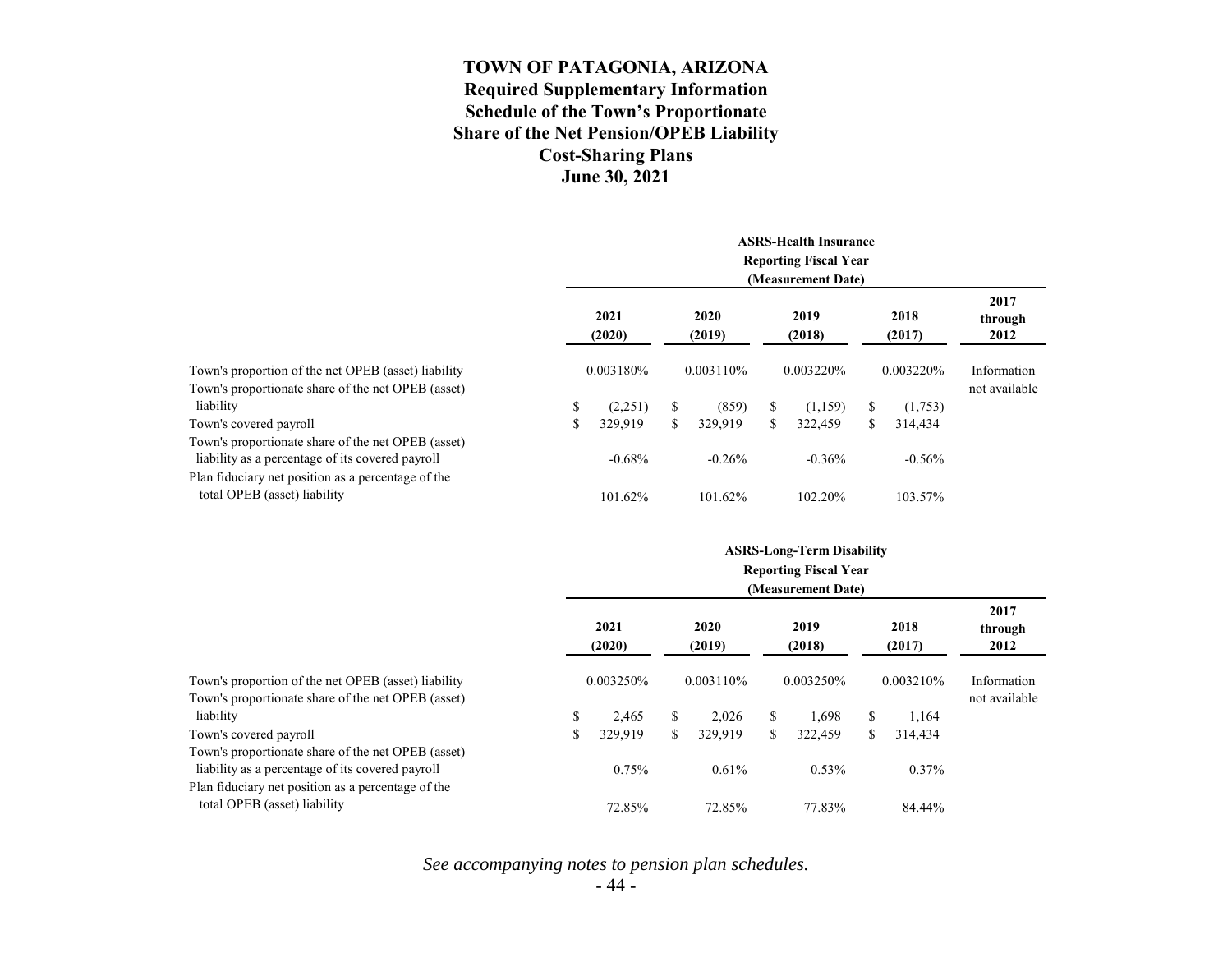### **TOWN OF PATAGONIA, ARIZONA Required Supplementary Information Schedule of the Town's Proportionate Share of the Net Pension/OPEB Liability Cost-Sharing Plans June 30, 2021**

|                                                                                                                                                              | <b>ASRS-Health Insurance</b><br><b>Reporting Fiscal Year</b><br>(Measurement Date) |                |    |                |    |                |           |                |                         |  |
|--------------------------------------------------------------------------------------------------------------------------------------------------------------|------------------------------------------------------------------------------------|----------------|----|----------------|----|----------------|-----------|----------------|-------------------------|--|
|                                                                                                                                                              |                                                                                    | 2021<br>(2020) |    | 2020<br>(2019) |    | 2019<br>(2018) |           | 2018<br>(2017) | 2017<br>through<br>2012 |  |
| Town's proportion of the net OPEB (asset) liability                                                                                                          |                                                                                    | 0.003180%      |    | 0.003110\%     |    | 0.003220%      | 0.003220% |                | Information             |  |
| Town's proportionate share of the net OPEB (asset)                                                                                                           |                                                                                    |                |    |                |    |                |           |                | not available           |  |
| liability                                                                                                                                                    | \$                                                                                 | (2,251)        | \$ | (859)          | S  | (1,159)        | \$        | (1,753)        |                         |  |
| Town's covered payroll                                                                                                                                       | \$                                                                                 | 329,919        | \$ | 329,919        | S. | 322,459        | S.        | 314,434        |                         |  |
| Town's proportionate share of the net OPEB (asset)<br>liability as a percentage of its covered payroll<br>Plan fiduciary net position as a percentage of the |                                                                                    | $-0.68%$       |    | $-0.26%$       |    | $-0.36%$       |           | $-0.56%$       |                         |  |
| total OPEB (asset) liability                                                                                                                                 |                                                                                    | 101.62%        |    | 101.62%        |    | 102.20%        |           | 103.57%        |                         |  |

|                                                     | <b>ASRS-Long-Term Disability</b><br><b>Reporting Fiscal Year</b><br>(Measurement Date) |                |    |                |     |                |           |                |                         |  |
|-----------------------------------------------------|----------------------------------------------------------------------------------------|----------------|----|----------------|-----|----------------|-----------|----------------|-------------------------|--|
|                                                     |                                                                                        | 2021<br>(2020) |    | 2020<br>(2019) |     | 2019<br>(2018) |           | 2018<br>(2017) | 2017<br>through<br>2012 |  |
| Town's proportion of the net OPEB (asset) liability |                                                                                        | 0.003250%      |    | 0.003110%      |     | 0.003250%      | 0.003210% |                | Information             |  |
| Town's proportionate share of the net OPEB (asset)  |                                                                                        |                |    |                |     |                |           |                | not available           |  |
| liability                                           | \$                                                                                     | 2,465          | \$ | 2.026          | \$  | 1.698          | S         | 1,164          |                         |  |
| Town's covered payroll                              | \$                                                                                     | 329,919        | \$ | 329,919        | \$. | 322,459        | \$        | 314,434        |                         |  |
| Town's proportionate share of the net OPEB (asset)  |                                                                                        |                |    |                |     |                |           |                |                         |  |
| liability as a percentage of its covered payroll    |                                                                                        | 0.75%          |    | 0.61%          |     | 0.53%          |           | $0.37\%$       |                         |  |
| Plan fiduciary net position as a percentage of the  |                                                                                        |                |    |                |     |                |           |                |                         |  |
| total OPEB (asset) liability                        |                                                                                        | 72.85%         |    | 72.85%         |     | 77.83%         |           | 84.44%         |                         |  |

*See accompanying notes to pension plan schedules.*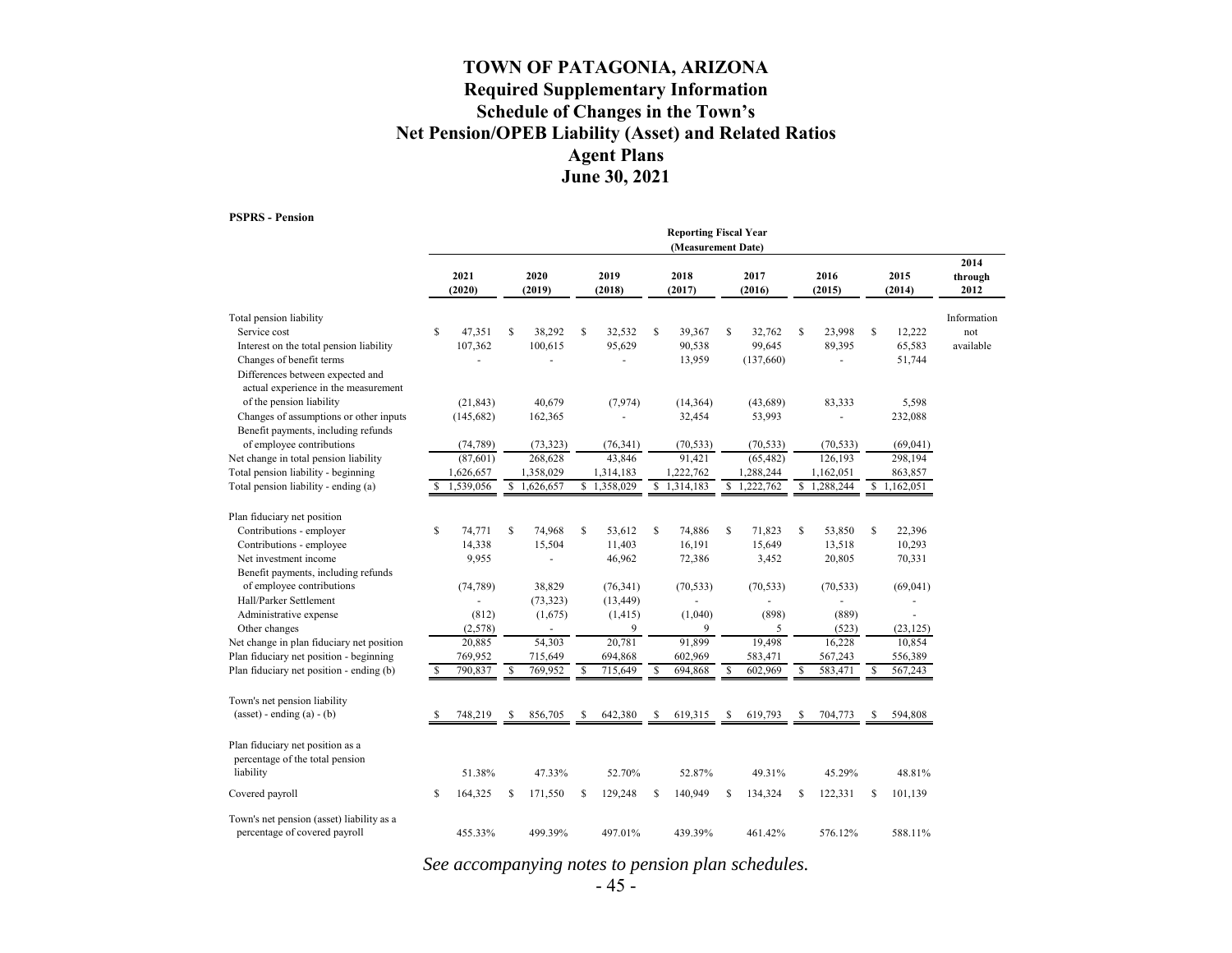### **TOWN OF PATAGONIA, ARIZONA Required Supplementary Information Schedule of Changes in the Town's Net Pension/OPEB Liability (Asset) and Related Ratios Agent Plans June 30, 2021**

**PSPRS - Pension**

|                                                                                                      | <b>Reporting Fiscal Year</b><br>(Measurement Date) |                |             |                |    |                |              |                |    |                |    |                |    |                          |                         |
|------------------------------------------------------------------------------------------------------|----------------------------------------------------|----------------|-------------|----------------|----|----------------|--------------|----------------|----|----------------|----|----------------|----|--------------------------|-------------------------|
|                                                                                                      |                                                    | 2021<br>(2020) |             | 2020<br>(2019) |    | 2019<br>(2018) |              | 2018<br>(2017) |    | 2017<br>(2016) |    | 2016<br>(2015) |    | 2015<br>(2014)           | 2014<br>through<br>2012 |
| Total pension liability                                                                              |                                                    |                |             |                |    |                |              |                |    |                |    |                |    |                          | Information             |
| Service cost                                                                                         | $\mathbb{S}$                                       | 47,351         | S           | 38,292         | \$ | 32,532         | $\mathbb{S}$ | 39,367         | \$ | 32,762         | \$ | 23,998         | S  | 12,222                   | not                     |
| Interest on the total pension liability                                                              |                                                    | 107,362        |             | 100,615        |    | 95,629         |              | 90,538         |    | 99,645         |    | 89,395         |    | 65,583                   | available               |
| Changes of benefit terms<br>Differences between expected and<br>actual experience in the measurement |                                                    |                |             |                |    |                |              | 13,959         |    | (137,660)      |    |                |    | 51,744                   |                         |
| of the pension liability                                                                             |                                                    | (21, 843)      |             | 40,679         |    | (7, 974)       |              | (14,364)       |    | (43,689)       |    | 83,333         |    | 5,598                    |                         |
| Changes of assumptions or other inputs<br>Benefit payments, including refunds                        |                                                    | (145, 682)     |             | 162,365        |    |                |              | 32,454         |    | 53,993         |    |                |    | 232,088                  |                         |
| of employee contributions                                                                            |                                                    | (74, 789)      |             | (73, 323)      |    | (76, 341)      |              | (70, 533)      |    | (70, 533)      |    | (70, 533)      |    | (69,041)                 |                         |
| Net change in total pension liability                                                                |                                                    | (87, 601)      |             | 268,628        |    | 43,846         |              | 91,421         |    | (65, 482)      |    | 126,193        |    | 298,194                  |                         |
| Total pension liability - beginning                                                                  |                                                    | 1,626,657      |             | 1,358,029      |    | 1,314,183      |              | 1,222,762      |    | 1,288,244      |    | 1,162,051      |    | 863,857                  |                         |
| Total pension liability - ending (a)                                                                 | \$.                                                | 1,539,056      | $\mathbf S$ | 1,626,657      |    | \$1,358,029    |              | \$1,314,183    |    | \$1,222,762    |    | \$1,288,244    |    | $\overline{S}$ 1,162,051 |                         |
| Plan fiduciary net position                                                                          |                                                    |                |             |                |    |                |              |                |    |                |    |                |    |                          |                         |
| Contributions - employer                                                                             | $\mathbb{S}$                                       | 74,771         | S           | 74,968         | S. | 53,612         | S            | 74,886         | S  | 71,823         | S  | 53,850         | S  | 22,396                   |                         |
| Contributions - employee                                                                             |                                                    | 14,338         |             | 15,504         |    | 11,403         |              | 16,191         |    | 15,649         |    | 13,518         |    | 10,293                   |                         |
| Net investment income                                                                                |                                                    | 9,955          |             |                |    | 46,962         |              | 72,386         |    | 3,452          |    | 20,805         |    | 70,331                   |                         |
| Benefit payments, including refunds                                                                  |                                                    |                |             |                |    |                |              |                |    |                |    |                |    |                          |                         |
| of employee contributions                                                                            |                                                    | (74, 789)      |             | 38,829         |    | (76, 341)      |              | (70, 533)      |    | (70, 533)      |    | (70, 533)      |    | (69,041)                 |                         |
| Hall/Parker Settlement                                                                               |                                                    |                |             | (73, 323)      |    | (13, 449)      |              |                |    |                |    |                |    |                          |                         |
| Administrative expense                                                                               |                                                    | (812)          |             | (1,675)        |    | (1, 415)       |              | (1,040)        |    | (898)          |    | (889)          |    |                          |                         |
| Other changes                                                                                        |                                                    | (2,578)        |             |                |    | 9              |              | 9              |    | 5              |    | (523)          |    | (23, 125)                |                         |
| Net change in plan fiduciary net position                                                            |                                                    | 20,885         |             | 54,303         |    | 20,781         |              | 91,899         |    | 19,498         |    | 16,228         |    | 10,854                   |                         |
| Plan fiduciary net position - beginning                                                              |                                                    | 769,952        |             | 715,649        |    | 694,868        |              | 602,969        |    | 583,471        |    | 567,243        |    | 556,389                  |                         |
| Plan fiduciary net position - ending (b)                                                             |                                                    | 790,837        | \$          | 769,952        | \$ | 715,649        | s            | 694,868        | \$ | 602,969        | \$ | 583,471        | \$ | 567,243                  |                         |
| Town's net pension liability                                                                         |                                                    |                |             |                |    |                |              |                |    |                |    |                |    |                          |                         |
| $(asset) - ending (a) - (b)$                                                                         | -S                                                 | 748,219        | S           | 856,705        | S  | 642,380        | S            | 619,315        | S  | 619,793        | \$ | 704,773        | S  | 594,808                  |                         |
| Plan fiduciary net position as a<br>percentage of the total pension<br>liability                     |                                                    | 51.38%         |             | 47.33%         |    | 52.70%         |              | 52.87%         |    | 49.31%         |    | 45.29%         |    | 48.81%                   |                         |
|                                                                                                      |                                                    |                |             |                |    |                |              |                |    |                |    |                |    |                          |                         |
| Covered payroll                                                                                      | \$                                                 | 164,325        | S           | 171,550        | S. | 129,248        | S            | 140,949        | \$ | 134,324        | \$ | 122,331        | S  | 101,139                  |                         |
| Town's net pension (asset) liability as a<br>percentage of covered payroll                           |                                                    | 455.33%        |             | 499.39%        |    | 497.01%        |              | 439.39%        |    | 461.42%        |    | 576.12%        |    | 588.11%                  |                         |

*See accompanying notes to pension plan schedules.*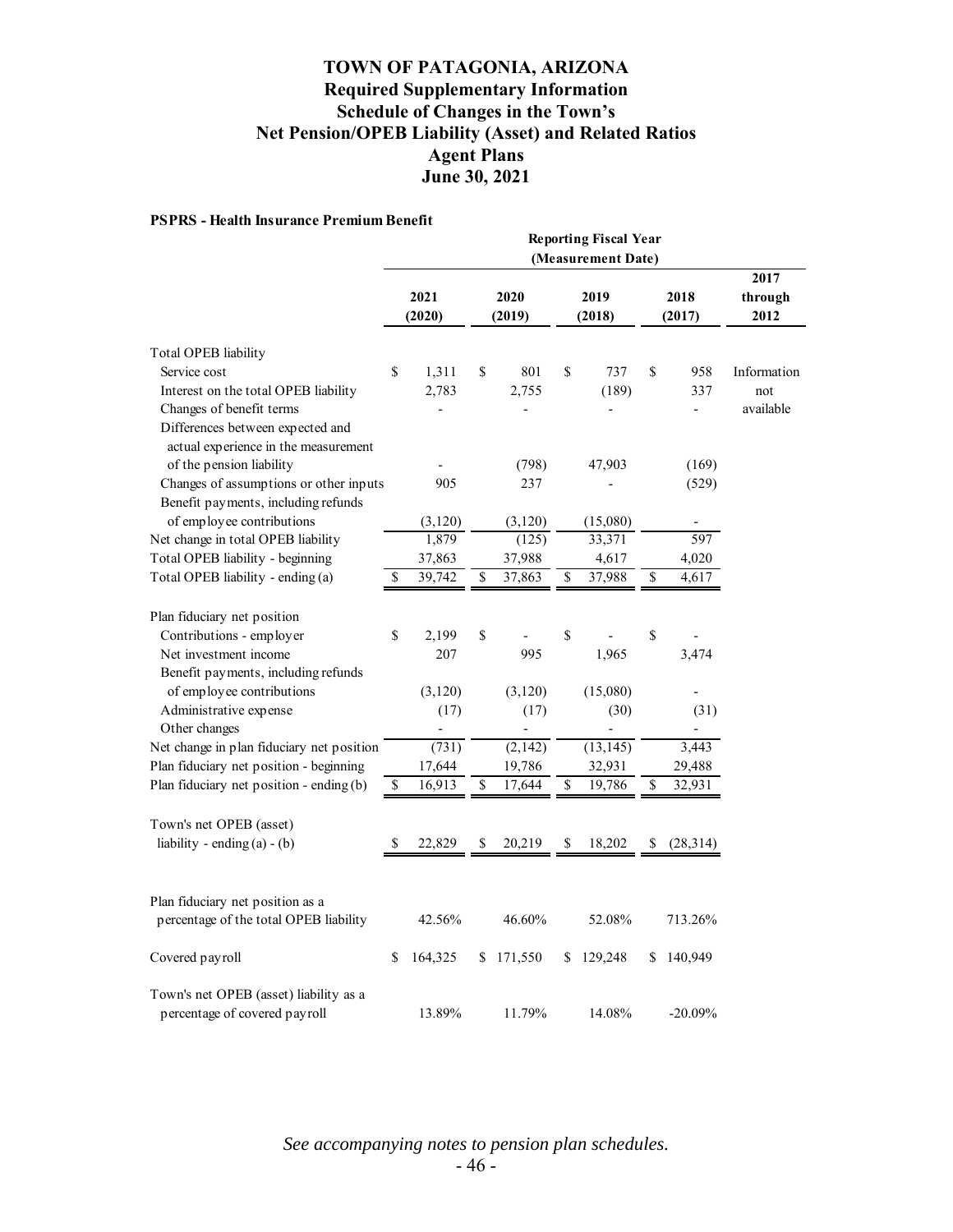### **TOWN OF PATAGONIA, ARIZONA Required Supplementary Information Schedule of Changes in the Town's Net Pension/OPEB Liability (Asset) and Related Ratios Agent Plans June 30, 2021**

#### **PSPRS - Health Insurance Premium Benefit**

|                                           | <b>Reporting Fiscal Year</b><br>(Measurement Date) |          |    |                |                           |                |                          |                          |                         |  |  |
|-------------------------------------------|----------------------------------------------------|----------|----|----------------|---------------------------|----------------|--------------------------|--------------------------|-------------------------|--|--|
|                                           | 2021<br>(2020)                                     |          |    | 2020<br>(2019) |                           | 2019<br>(2018) |                          | 2018<br>(2017)           | 2017<br>through<br>2012 |  |  |
| Total OPEB liability                      |                                                    |          |    |                |                           |                |                          |                          |                         |  |  |
| Service cost                              | \$                                                 | 1,311    | \$ | 801            | \$                        | 737            | \$                       | 958                      | Information             |  |  |
| Interest on the total OPEB liability      |                                                    | 2,783    |    | 2,755          |                           | (189)          |                          | 337                      | not                     |  |  |
| Changes of benefit terms                  |                                                    |          |    |                |                           |                |                          | $\overline{\phantom{a}}$ | available               |  |  |
| Differences between expected and          |                                                    |          |    |                |                           |                |                          |                          |                         |  |  |
| actual experience in the measurement      |                                                    |          |    |                |                           |                |                          |                          |                         |  |  |
| of the pension liability                  |                                                    |          |    | (798)          |                           | 47,903         |                          | (169)                    |                         |  |  |
| Changes of assumptions or other inputs    |                                                    | 905      |    | 237            |                           |                |                          | (529)                    |                         |  |  |
| Benefit payments, including refunds       |                                                    |          |    |                |                           |                |                          |                          |                         |  |  |
| of employee contributions                 |                                                    | (3, 120) |    | (3,120)        |                           | (15,080)       |                          |                          |                         |  |  |
| Net change in total OPEB liability        |                                                    | 1,879    |    | (125)          |                           | 33,371         |                          | 597                      |                         |  |  |
| Total OPEB liability - beginning          |                                                    | 37,863   |    | 37,988         |                           | 4,617          |                          | 4,020                    |                         |  |  |
| Total OPEB liability - ending (a)         | \$                                                 | 39,742   | \$ | 37,863         | $\overline{\mathcal{S}}$  | 37,988         | $\overline{\mathcal{S}}$ | 4,617                    |                         |  |  |
|                                           |                                                    |          |    |                |                           |                |                          |                          |                         |  |  |
| Plan fiduciary net position               |                                                    |          |    |                |                           |                |                          |                          |                         |  |  |
| Contributions - employer                  | \$                                                 | 2,199    | \$ |                | $\boldsymbol{\mathsf{S}}$ |                | \$                       |                          |                         |  |  |
| Net investment income                     |                                                    | 207      |    | 995            |                           | 1,965          |                          | 3,474                    |                         |  |  |
| Benefit payments, including refunds       |                                                    |          |    |                |                           |                |                          |                          |                         |  |  |
| of employee contributions                 |                                                    | (3, 120) |    | (3, 120)       |                           | (15,080)       |                          |                          |                         |  |  |
| Administrative expense                    |                                                    | (17)     |    | (17)           |                           | (30)           |                          | (31)                     |                         |  |  |
| Other changes                             |                                                    |          |    | -              |                           |                |                          |                          |                         |  |  |
| Net change in plan fiduciary net position |                                                    | (731)    |    | (2,142)        |                           | (13, 145)      |                          | 3,443                    |                         |  |  |
| Plan fiduciary net position - beginning   |                                                    | 17,644   |    | 19,786         |                           | 32,931         |                          | 29,488                   |                         |  |  |
| Plan fiduciary net position - ending (b)  | \$                                                 | 16,913   | \$ | 17,644         | \$                        | 19,786         | \$                       | 32,931                   |                         |  |  |
|                                           |                                                    |          |    |                |                           |                |                          |                          |                         |  |  |
| Town's net OPEB (asset)                   |                                                    |          |    |                |                           |                |                          |                          |                         |  |  |
| liability - ending $(a) - (b)$            | \$                                                 | 22,829   | \$ | 20,219         | \$                        | 18,202         | \$                       | (28,314)                 |                         |  |  |
|                                           |                                                    |          |    |                |                           |                |                          |                          |                         |  |  |
|                                           |                                                    |          |    |                |                           |                |                          |                          |                         |  |  |
| Plan fiduciary net position as a          |                                                    |          |    |                |                           |                |                          |                          |                         |  |  |
| percentage of the total OPEB liability    |                                                    | 42.56%   |    | 46.60%         |                           | 52.08%         |                          | 713.26%                  |                         |  |  |
|                                           |                                                    |          |    |                |                           |                |                          |                          |                         |  |  |
| Covered payroll                           | \$                                                 | 164,325  | \$ | 171,550        | \$                        | 129,248        | \$                       | 140,949                  |                         |  |  |
|                                           |                                                    |          |    |                |                           |                |                          |                          |                         |  |  |
| Town's net OPEB (asset) liability as a    |                                                    |          |    |                |                           |                |                          |                          |                         |  |  |
| percentage of covered payroll             |                                                    | 13.89%   |    | 11.79%         |                           | 14.08%         |                          | $-20.09%$                |                         |  |  |

*See accompanying notes to pension plan schedules.*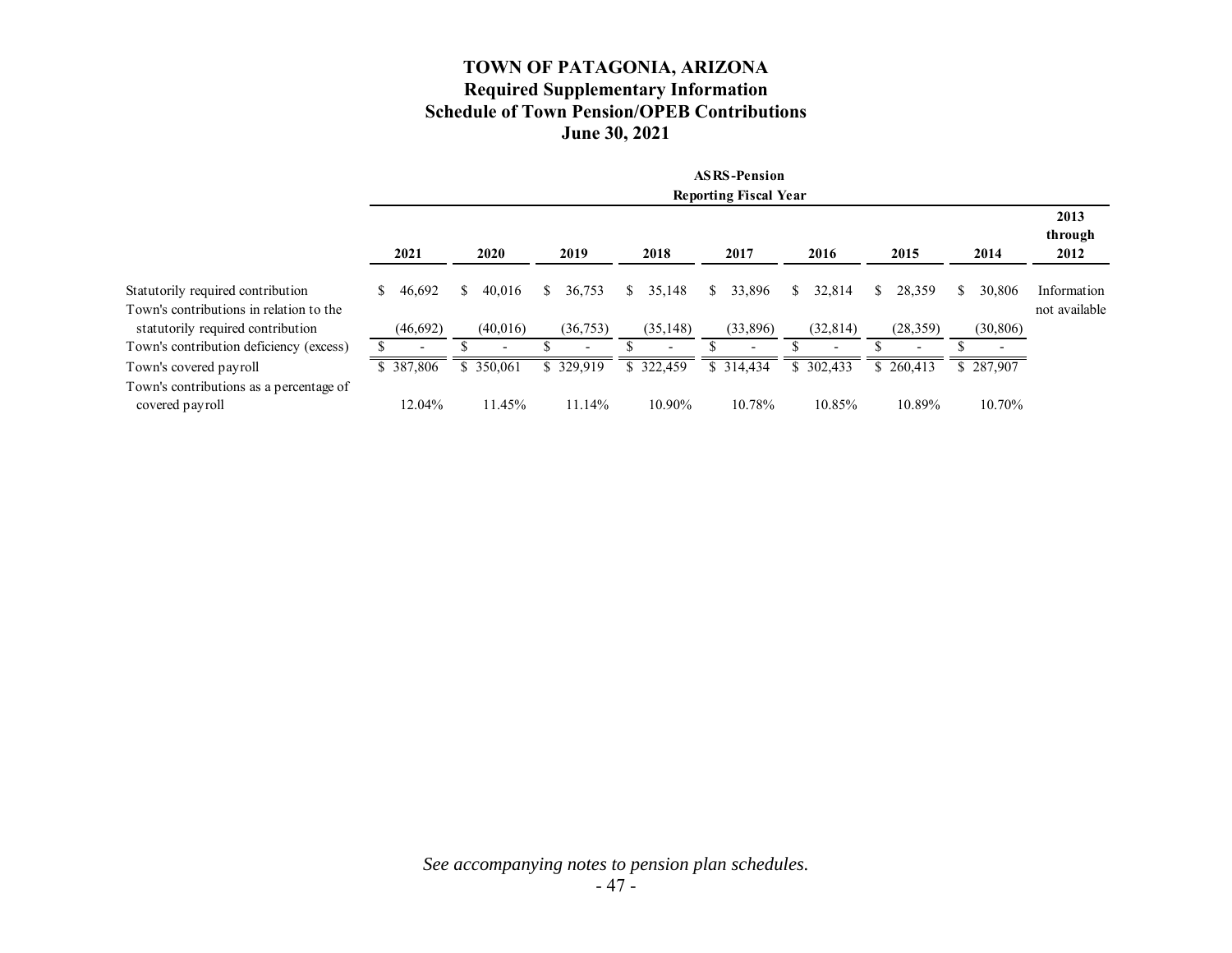### **TOWN OF PATAGONIA, ARIZONA Required Supplementary Information Schedule of Town Pension/OPEB Contributions June 30, 2021**

|                                                                              |              |              |                          |                          | <b>ASRS-Pension</b><br><b>Reporting Fiscal Year</b> |              |                          |             |                              |
|------------------------------------------------------------------------------|--------------|--------------|--------------------------|--------------------------|-----------------------------------------------------|--------------|--------------------------|-------------|------------------------------|
|                                                                              | 2021         | 2020         | 2019                     | 2018                     | 2017                                                | 2016         | 2015                     | 2014        | 2013<br>through<br>2012      |
| Statutorily required contribution<br>Town's contributions in relation to the | 46,692<br>\$ | 40.016<br>S. | 36,753<br>S.             | S.<br>35,148             | 33,896<br>S                                         | 32,814<br>S. | 28,359<br>S.             | 30,806<br>S | Information<br>not available |
| statutorily required contribution                                            | (46,692)     | (40,016)     | (36,753)                 | (35, 148)                | (33,896)                                            | (32, 814)    | (28, 359)                | (30, 806)   |                              |
| Town's contribution deficiency (excess)                                      |              |              | $\overline{\phantom{0}}$ | $\overline{\phantom{0}}$ |                                                     |              | $\overline{\phantom{0}}$ |             |                              |
| Town's covered payroll                                                       | \$387,806    | \$ 350,061   | \$329,919                | \$322,459                | \$314,434                                           | \$302,433    | \$260,413                | \$287,907   |                              |
| Town's contributions as a percentage of<br>covered payroll                   | 12.04%       | 11.45%       | 11.14%                   | 10.90%                   | 10.78%                                              | 10.85%       | 10.89%                   | 10.70%      |                              |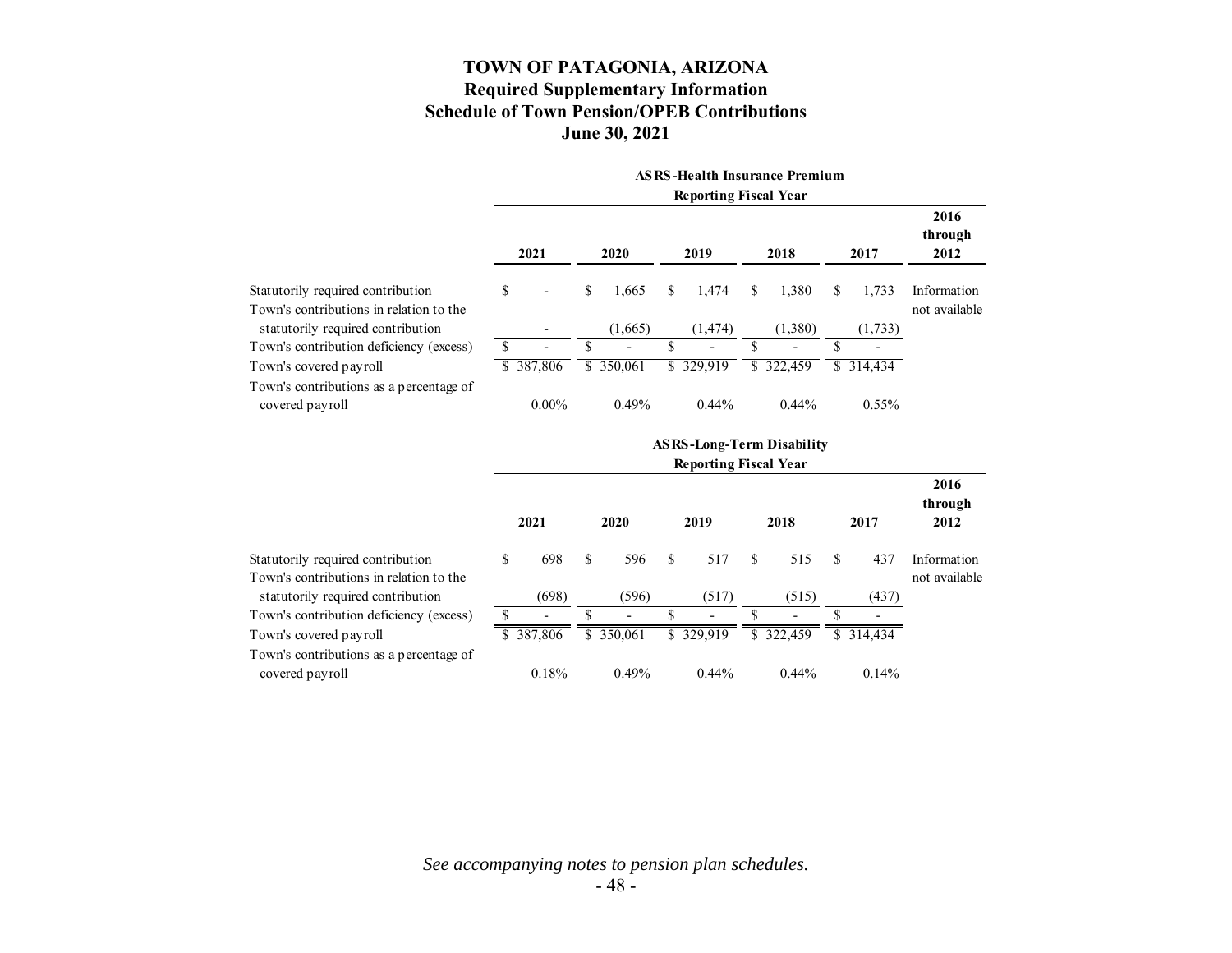### **TOWN OF PATAGONIA, ARIZONA Required Supplementary Information Schedule of Town Pension/OPEB Contributions June 30, 2021**

|                                                                              | <b>ASRS-Health Insurance Premium</b> |                          |      |            |    |           |    |                              |    |           |                              |
|------------------------------------------------------------------------------|--------------------------------------|--------------------------|------|------------|----|-----------|----|------------------------------|----|-----------|------------------------------|
|                                                                              | <b>Reporting Fiscal Year</b>         |                          |      |            |    |           |    |                              |    |           |                              |
|                                                                              | 2021                                 |                          | 2020 |            |    | 2019      |    | 2018                         |    | 2017      | 2016<br>through<br>2012      |
| Statutorily required contribution<br>Town's contributions in relation to the | \$                                   | $\overline{\phantom{a}}$ | \$   | 1,665      | S. | 1,474     | \$ | 1,380                        | \$ | 1,733     | Information<br>not available |
| statutorily required contribution                                            |                                      |                          |      | (1,665)    |    | (1, 474)  |    | (1,380)                      |    | (1,733)   |                              |
| Town's contribution deficiency (excess)                                      |                                      |                          |      |            |    |           |    | $\qquad \qquad \blacksquare$ | S  |           |                              |
| Town's covered payroll                                                       |                                      | \$387,806                |      | \$ 350,061 |    | \$329,919 |    | \$ 322,459                   |    | \$314.434 |                              |
| Town's contributions as a percentage of<br>covered payroll                   |                                      | $0.00\%$                 |      | 0.49%      |    | $0.44\%$  |    | $0.44\%$                     |    | $0.55\%$  |                              |

|                                                                              |    |                          |     |                          |     | <b>ASRS-Long-Term Disability</b><br><b>Reporting Fiscal Year</b> |     |                          |                          |                              |
|------------------------------------------------------------------------------|----|--------------------------|-----|--------------------------|-----|------------------------------------------------------------------|-----|--------------------------|--------------------------|------------------------------|
|                                                                              |    |                          |     |                          |     |                                                                  |     |                          |                          |                              |
|                                                                              |    | 2021                     |     | 2020                     |     | 2019                                                             |     | 2018                     | 2017                     | 2016<br>through<br>2012      |
| Statutorily required contribution<br>Town's contributions in relation to the | \$ | 698                      | \$. | 596                      | \$. | 517                                                              | \$. | 515                      | \$<br>437                | Information<br>not available |
| statutorily required contribution                                            |    | (698)                    |     | (596)                    |     | (517)                                                            |     | (515)                    | (437)                    |                              |
| Town's contribution deficiency (excess)                                      |    | $\overline{\phantom{0}}$ |     | $\overline{\phantom{0}}$ |     |                                                                  |     | $\overline{\phantom{0}}$ | $\overline{\phantom{0}}$ |                              |
| Town's covered payroll                                                       |    | \$387,806                |     | \$ 350,061               |     | \$329,919                                                        |     | \$322,459                | \$314.434                |                              |
| Town's contributions as a percentage of<br>covered payroll                   |    | 0.18%                    |     | 0.49%                    |     | $0.44\%$                                                         |     | $0.44\%$                 | $0.14\%$                 |                              |

*See accompanying notes to pension plan schedules.*  - 48 -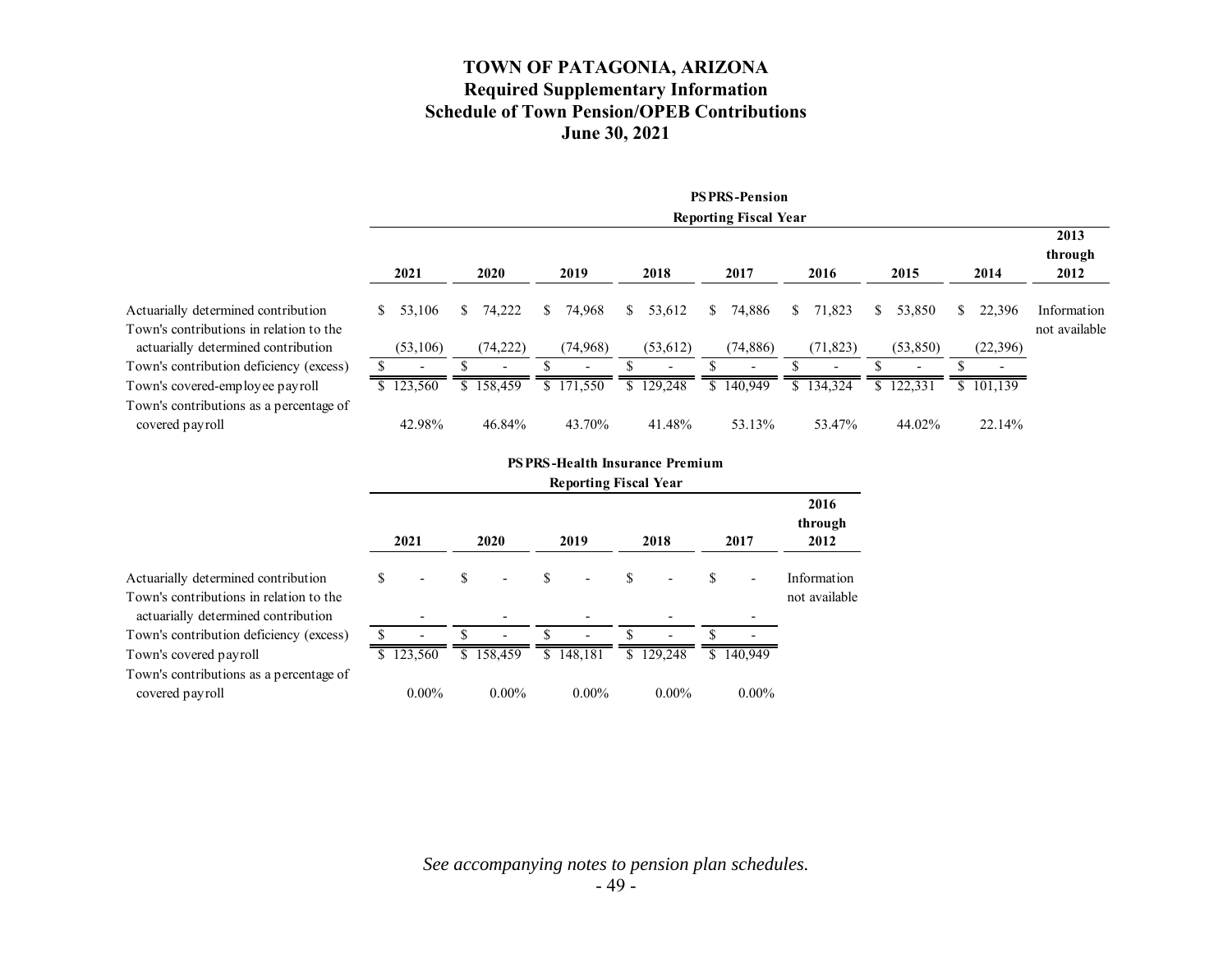### **TOWN OF PATAGONIA, ARIZONA Required Supplementary Information Schedule of Town Pension/OPEB Contributions June 30, 2021**

|                                                                                |    |                              |    |                          |    |                          |    |                          |    | <b>PSPRS-Pension</b>     |    |                          |    |                          |     |                          |                         |
|--------------------------------------------------------------------------------|----|------------------------------|----|--------------------------|----|--------------------------|----|--------------------------|----|--------------------------|----|--------------------------|----|--------------------------|-----|--------------------------|-------------------------|
|                                                                                |    | <b>Reporting Fiscal Year</b> |    |                          |    |                          |    |                          |    |                          |    |                          |    |                          |     |                          |                         |
|                                                                                |    | 2021                         |    | 2020                     |    | 2019                     |    | 2018                     |    | 2017                     |    | 2016                     |    | 2015                     |     | 2014                     | 2013<br>through<br>2012 |
| Actuarially determined contribution                                            | S. | 53,106                       | S. | 74,222                   | \$ | 74,968                   | S. | 53,612                   | S. | 74,886                   | S. | 71,823                   | S. | 53,850                   | \$. | 22,396                   | Information             |
| Town's contributions in relation to the<br>actuarially determined contribution |    | (53,106)                     |    | (74, 222)                |    | (74, 968)                |    | (53, 612)                |    | (74, 886)                |    | (71, 823)                |    | (53,850)                 |     | (22,396)                 | not available           |
| Town's contribution deficiency (excess)                                        |    |                              |    | $\overline{\phantom{0}}$ |    | $\overline{\phantom{a}}$ |    | $\overline{\phantom{a}}$ |    | $\overline{\phantom{0}}$ |    | $\overline{\phantom{a}}$ |    | $\overline{\phantom{a}}$ |     | $\overline{\phantom{a}}$ |                         |
| Town's covered-employee payroll                                                |    | \$123,560                    |    | \$158,459                |    | \$171,550                |    | \$129,248                |    | \$140,949                |    | \$134,324                |    | \$122,331                |     | \$101,139                |                         |
| Town's contributions as a percentage of<br>covered payroll                     |    | 42.98%                       |    | 46.84%                   |    | 43.70%                   |    | 41.48%                   |    | 53.13%                   |    | 53.47%                   |    | 44.02%                   |     | 22.14%                   |                         |

|                                                                                | <b>Reporting Fiscal Year</b> |                          |    |                          |    |           |    |                          |   |                          |                              |
|--------------------------------------------------------------------------------|------------------------------|--------------------------|----|--------------------------|----|-----------|----|--------------------------|---|--------------------------|------------------------------|
|                                                                                |                              | 2021                     |    | 2020                     |    | 2019      |    | 2018                     |   | 2017                     | 2016<br>through<br>2012      |
| Actuarially determined contribution<br>Town's contributions in relation to the | \$                           | $\overline{\phantom{a}}$ | \$ | $\overline{\phantom{a}}$ | \$ |           | \$ | $\overline{\phantom{a}}$ | S | $\overline{\phantom{a}}$ | Information<br>not available |
| actuarially determined contribution                                            |                              | ٠                        |    |                          |    |           |    | $\overline{\phantom{0}}$ |   |                          |                              |
| Town's contribution deficiency (excess)                                        |                              |                          |    |                          |    |           |    |                          |   |                          |                              |
| Town's covered payroll                                                         |                              | \$123,560                |    | \$158,459                |    | \$148,181 | \$ | 129,248                  |   | \$140,949                |                              |
| Town's contributions as a percentage of<br>covered payroll                     |                              | $0.00\%$                 |    | $0.00\%$                 |    | $0.00\%$  |    | $0.00\%$                 |   | $0.00\%$                 |                              |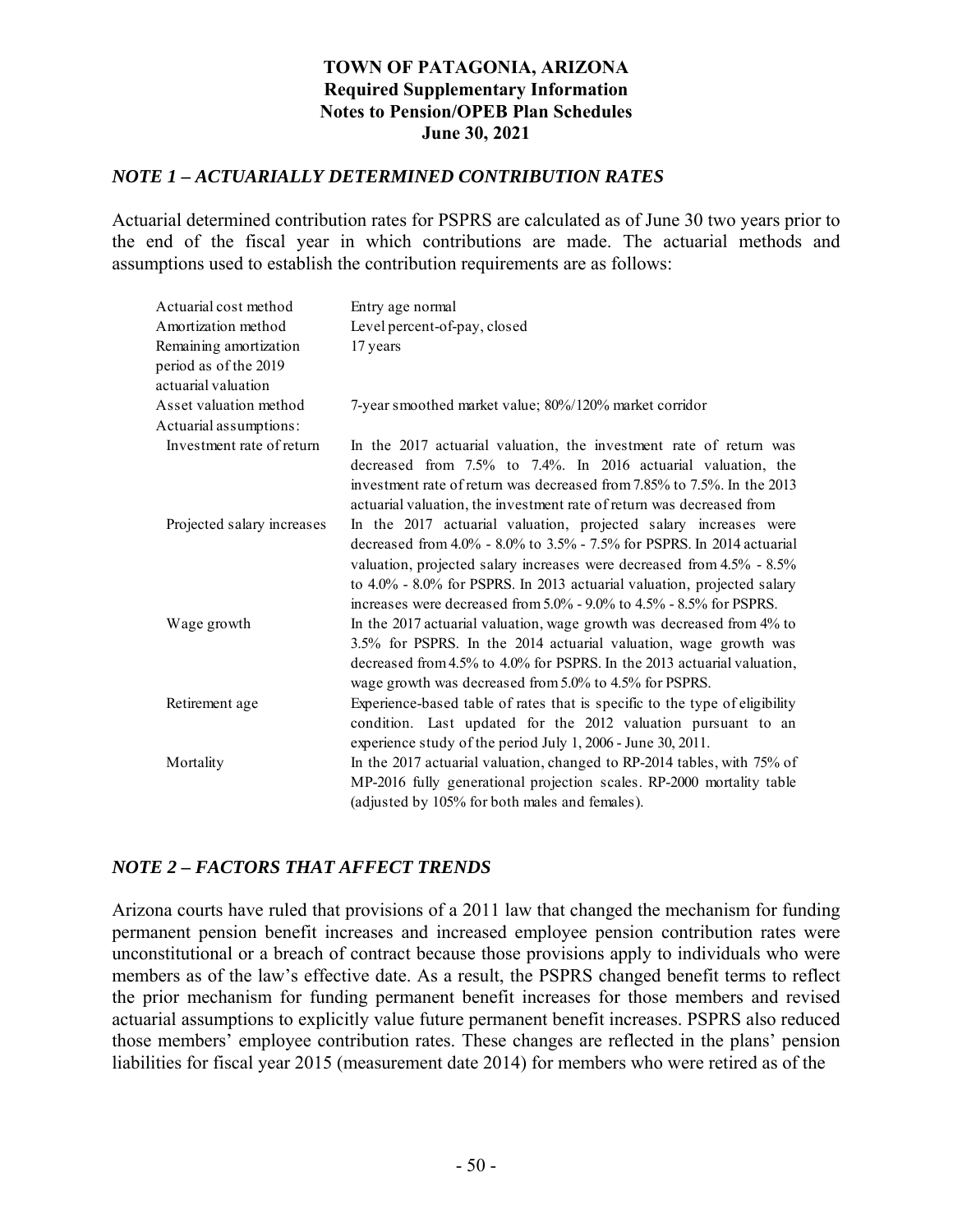### **TOWN OF PATAGONIA, ARIZONA Required Supplementary Information Notes to Pension/OPEB Plan Schedules June 30, 2021**

### *NOTE 1 – ACTUARIALLY DETERMINED CONTRIBUTION RATES*

Actuarial determined contribution rates for PSPRS are calculated as of June 30 two years prior to the end of the fiscal year in which contributions are made. The actuarial methods and assumptions used to establish the contribution requirements are as follows:

| Actuarial cost method                                                  | Entry age normal                                                                                                                                                                                                                                                                                                                                                                  |
|------------------------------------------------------------------------|-----------------------------------------------------------------------------------------------------------------------------------------------------------------------------------------------------------------------------------------------------------------------------------------------------------------------------------------------------------------------------------|
| Amortization method                                                    | Level percent-of-pay, closed                                                                                                                                                                                                                                                                                                                                                      |
| Remaining amortization<br>period as of the 2019<br>actuarial valuation | 17 years                                                                                                                                                                                                                                                                                                                                                                          |
| Asset valuation method                                                 | 7-year smoothed market value; 80%/120% market corridor                                                                                                                                                                                                                                                                                                                            |
| Actuarial assumptions:                                                 |                                                                                                                                                                                                                                                                                                                                                                                   |
| Investment rate of return                                              | In the 2017 actuarial valuation, the investment rate of return was<br>decreased from 7.5% to 7.4%. In 2016 actuarial valuation, the<br>investment rate of return was decreased from 7.85% to 7.5%. In the 2013<br>actuarial valuation, the investment rate of return was decreased from                                                                                           |
| Projected salary increases                                             | In the 2017 actuarial valuation, projected salary increases were<br>decreased from $4.0\%$ - $8.0\%$ to $3.5\%$ - $7.5\%$ for PSPRS. In 2014 actuarial<br>valuation, projected salary increases were decreased from 4.5% - 8.5%<br>to 4.0% - 8.0% for PSPRS. In 2013 actuarial valuation, projected salary<br>increases were decreased from 5.0% - 9.0% to 4.5% - 8.5% for PSPRS. |
| Wage growth                                                            | In the 2017 actuarial valuation, wage growth was decreased from 4% to<br>3.5% for PSPRS. In the 2014 actuarial valuation, wage growth was<br>decreased from 4.5% to 4.0% for PSPRS. In the 2013 actuarial valuation,<br>wage growth was decreased from 5.0% to 4.5% for PSPRS.                                                                                                    |
| Retirement age                                                         | Experience-based table of rates that is specific to the type of eligibility<br>condition. Last updated for the 2012 valuation pursuant to an<br>experience study of the period July 1, 2006 - June 30, 2011.                                                                                                                                                                      |
| Mortality                                                              | In the 2017 actuarial valuation, changed to RP-2014 tables, with 75% of<br>MP-2016 fully generational projection scales. RP-2000 mortality table<br>(adjusted by 105% for both males and females).                                                                                                                                                                                |

### *NOTE 2 – FACTORS THAT AFFECT TRENDS*

Arizona courts have ruled that provisions of a 2011 law that changed the mechanism for funding permanent pension benefit increases and increased employee pension contribution rates were unconstitutional or a breach of contract because those provisions apply to individuals who were members as of the law's effective date. As a result, the PSPRS changed benefit terms to reflect the prior mechanism for funding permanent benefit increases for those members and revised actuarial assumptions to explicitly value future permanent benefit increases. PSPRS also reduced those members' employee contribution rates. These changes are reflected in the plans' pension liabilities for fiscal year 2015 (measurement date 2014) for members who were retired as of the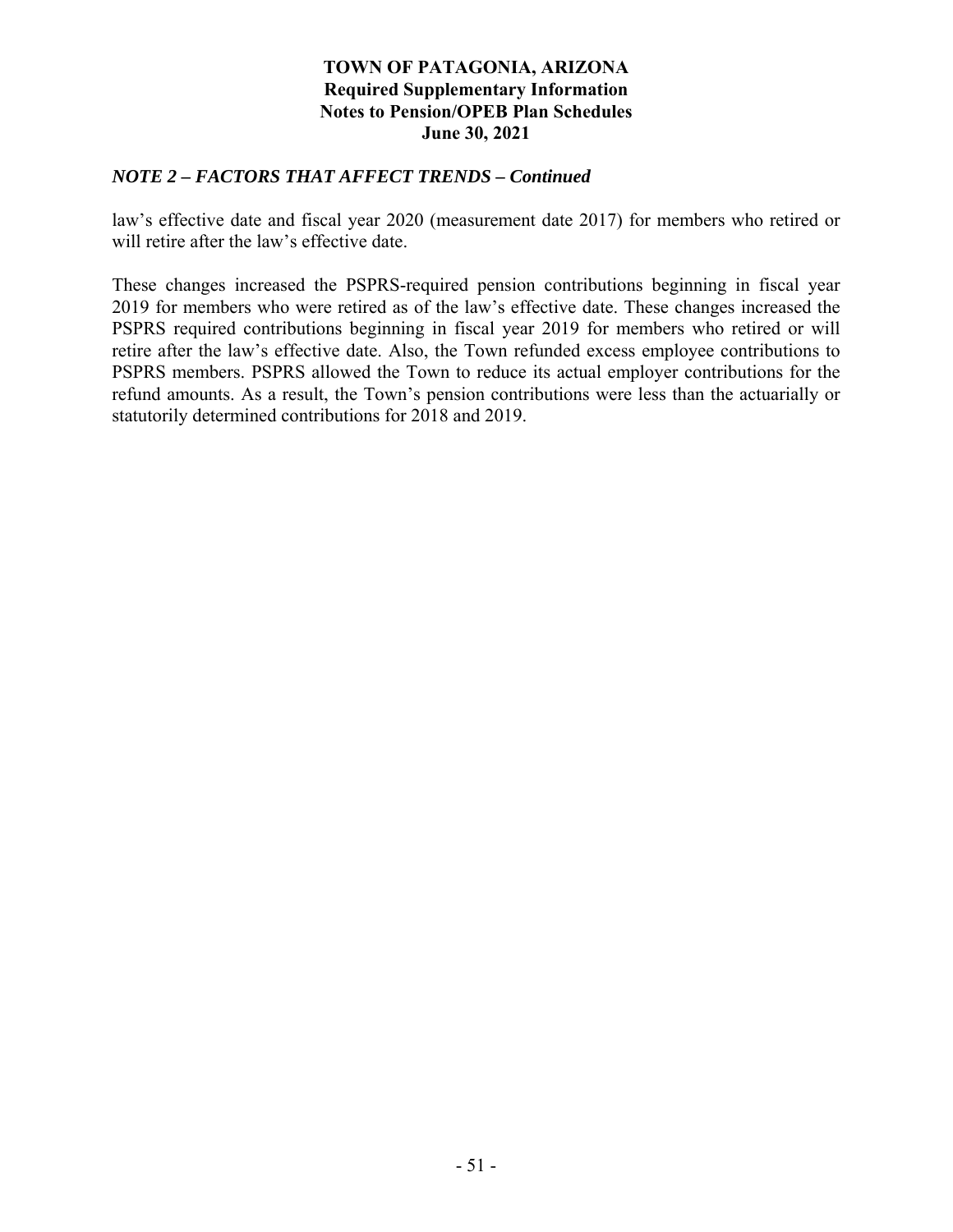### **TOWN OF PATAGONIA, ARIZONA Required Supplementary Information Notes to Pension/OPEB Plan Schedules June 30, 2021**

### *NOTE 2 – FACTORS THAT AFFECT TRENDS – Continued*

law's effective date and fiscal year 2020 (measurement date 2017) for members who retired or will retire after the law's effective date.

These changes increased the PSPRS-required pension contributions beginning in fiscal year 2019 for members who were retired as of the law's effective date. These changes increased the PSPRS required contributions beginning in fiscal year 2019 for members who retired or will retire after the law's effective date. Also, the Town refunded excess employee contributions to PSPRS members. PSPRS allowed the Town to reduce its actual employer contributions for the refund amounts. As a result, the Town's pension contributions were less than the actuarially or statutorily determined contributions for 2018 and 2019.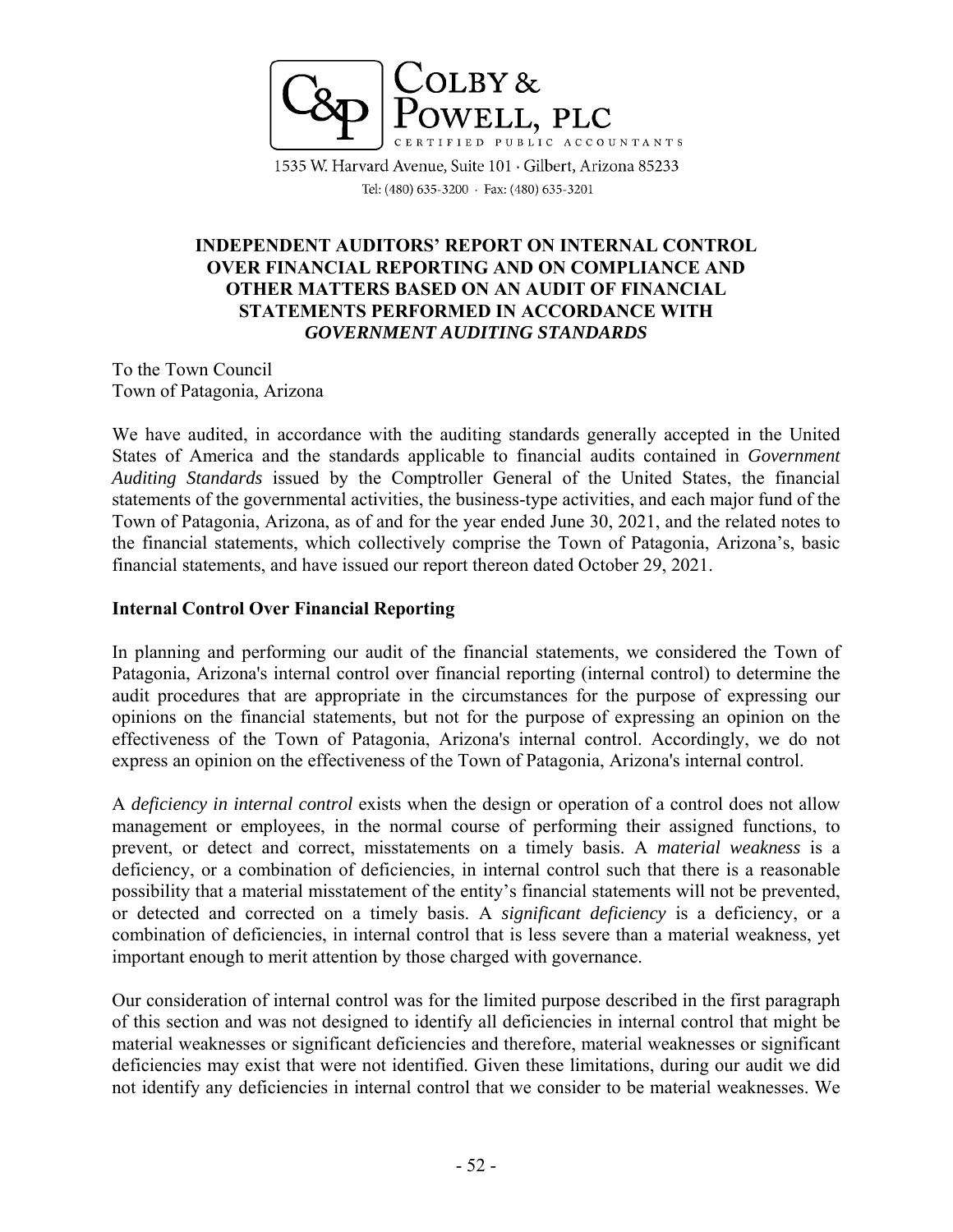

1535 W. Harvard Avenue, Suite 101 · Gilbert, Arizona 85233 Tel: (480) 635-3200 · Fax: (480) 635-3201

### **INDEPENDENT AUDITORS' REPORT ON INTERNAL CONTROL OVER FINANCIAL REPORTING AND ON COMPLIANCE AND OTHER MATTERS BASED ON AN AUDIT OF FINANCIAL STATEMENTS PERFORMED IN ACCORDANCE WITH**  *GOVERNMENT AUDITING STANDARDS*

To the Town Council Town of Patagonia, Arizona

We have audited, in accordance with the auditing standards generally accepted in the United States of America and the standards applicable to financial audits contained in *Government Auditing Standards* issued by the Comptroller General of the United States, the financial statements of the governmental activities, the business-type activities, and each major fund of the Town of Patagonia, Arizona, as of and for the year ended June 30, 2021, and the related notes to the financial statements, which collectively comprise the Town of Patagonia, Arizona's, basic financial statements, and have issued our report thereon dated October 29, 2021.

### **Internal Control Over Financial Reporting**

In planning and performing our audit of the financial statements, we considered the Town of Patagonia, Arizona's internal control over financial reporting (internal control) to determine the audit procedures that are appropriate in the circumstances for the purpose of expressing our opinions on the financial statements, but not for the purpose of expressing an opinion on the effectiveness of the Town of Patagonia, Arizona's internal control. Accordingly, we do not express an opinion on the effectiveness of the Town of Patagonia, Arizona's internal control.

A *deficiency in internal control* exists when the design or operation of a control does not allow management or employees, in the normal course of performing their assigned functions, to prevent, or detect and correct, misstatements on a timely basis. A *material weakness* is a deficiency, or a combination of deficiencies, in internal control such that there is a reasonable possibility that a material misstatement of the entity's financial statements will not be prevented, or detected and corrected on a timely basis. A *significant deficiency* is a deficiency, or a combination of deficiencies, in internal control that is less severe than a material weakness, yet important enough to merit attention by those charged with governance.

Our consideration of internal control was for the limited purpose described in the first paragraph of this section and was not designed to identify all deficiencies in internal control that might be material weaknesses or significant deficiencies and therefore, material weaknesses or significant deficiencies may exist that were not identified. Given these limitations, during our audit we did not identify any deficiencies in internal control that we consider to be material weaknesses. We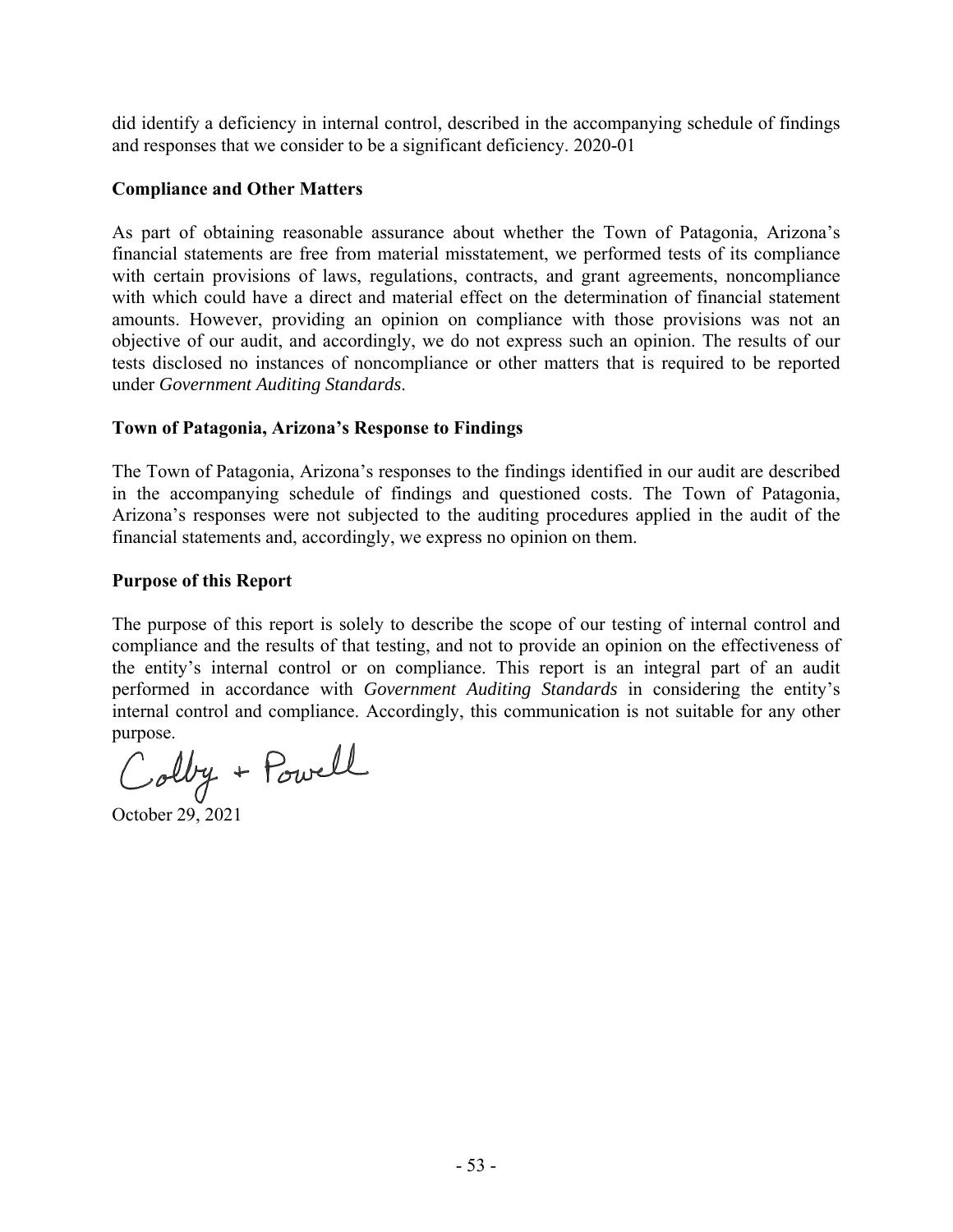did identify a deficiency in internal control, described in the accompanying schedule of findings and responses that we consider to be a significant deficiency. 2020-01

#### **Compliance and Other Matters**

As part of obtaining reasonable assurance about whether the Town of Patagonia, Arizona's financial statements are free from material misstatement, we performed tests of its compliance with certain provisions of laws, regulations, contracts, and grant agreements, noncompliance with which could have a direct and material effect on the determination of financial statement amounts. However, providing an opinion on compliance with those provisions was not an objective of our audit, and accordingly, we do not express such an opinion. The results of our tests disclosed no instances of noncompliance or other matters that is required to be reported under *Government Auditing Standards*.

### **Town of Patagonia, Arizona's Response to Findings**

The Town of Patagonia, Arizona's responses to the findings identified in our audit are described in the accompanying schedule of findings and questioned costs. The Town of Patagonia, Arizona's responses were not subjected to the auditing procedures applied in the audit of the financial statements and, accordingly, we express no opinion on them.

### **Purpose of this Report**

The purpose of this report is solely to describe the scope of our testing of internal control and compliance and the results of that testing, and not to provide an opinion on the effectiveness of the entity's internal control or on compliance. This report is an integral part of an audit performed in accordance with *Government Auditing Standards* in considering the entity's internal control and compliance. Accordingly, this communication is not suitable for any other

purpose.<br>Colby + Powell

October 29, 2021